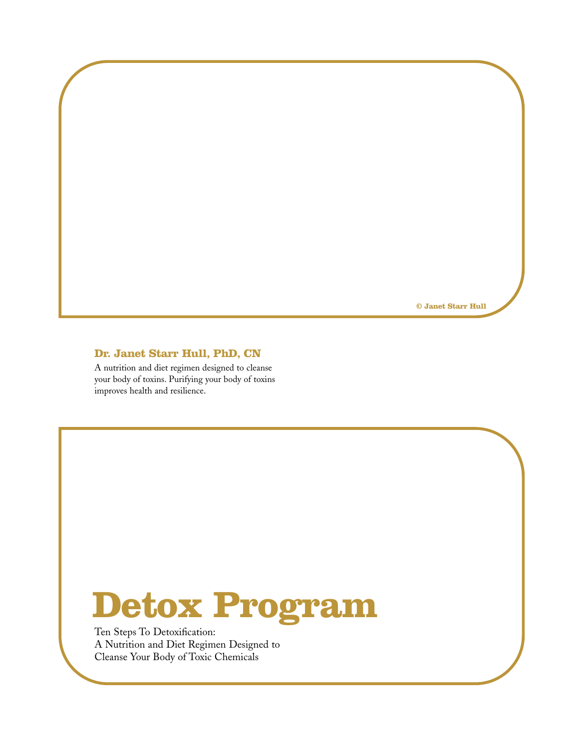**© Janet Starr Hull**

# **Dr. Janet Starr Hull, PhD, CN**

A nutrition and diet regimen designed to cleanse your body of toxins. Purifying your body of toxins improves health and resilience.

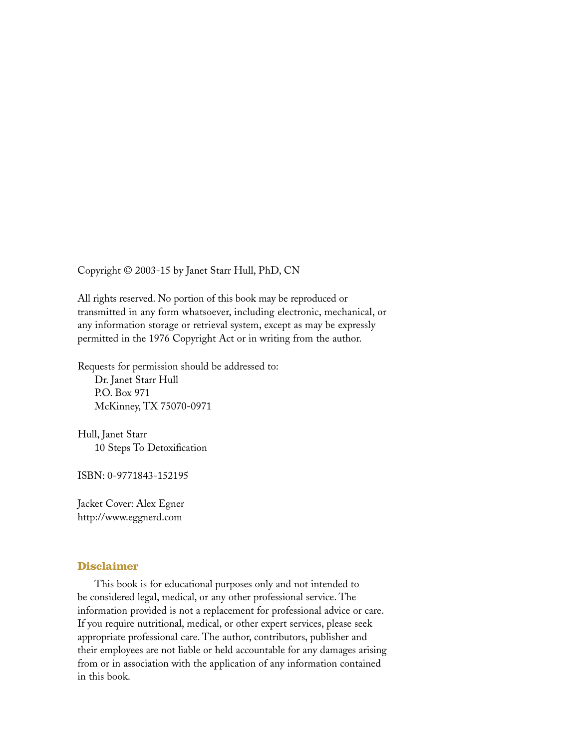Copyright © 2003-15 by Janet Starr Hull, PhD, CN

All rights reserved. No portion of this book may be reproduced or transmitted in any form whatsoever, including electronic, mechanical, or any information storage or retrieval system, except as may be expressly permitted in the 1976 Copyright Act or in writing from the author.

Requests for permission should be addressed to:

Dr. Janet Starr Hull P.O. Box 971 McKinney, TX 75070-0971

Hull, Janet Starr 10 Steps To Detoxification

ISBN: 0-9771843-152195

Jacket Cover: Alex Egner http://www.eggnerd.com

# **Disclaimer**

This book is for educational purposes only and not intended to be considered legal, medical, or any other professional service. The information provided is not a replacement for professional advice or care. If you require nutritional, medical, or other expert services, please seek appropriate professional care. The author, contributors, publisher and their employees are not liable or held accountable for any damages arising from or in association with the application of any information contained in this book.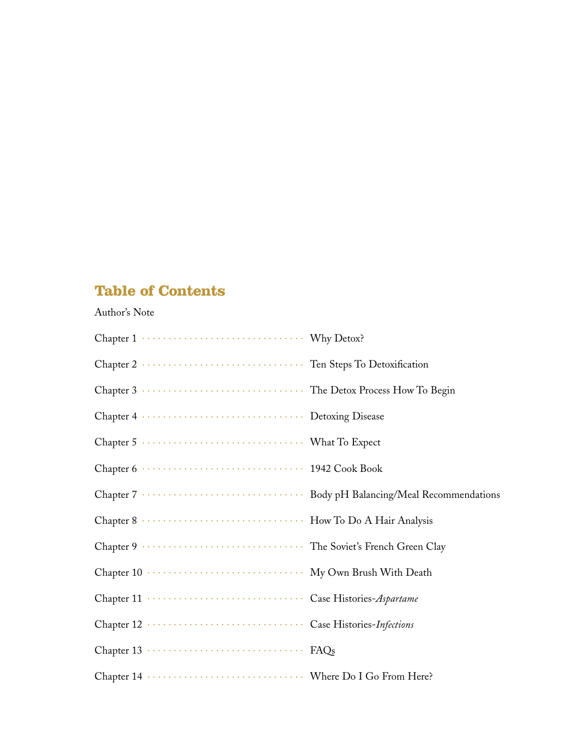# **Table of Contents**

|  | Author's Note |  |  |
|--|---------------|--|--|
|--|---------------|--|--|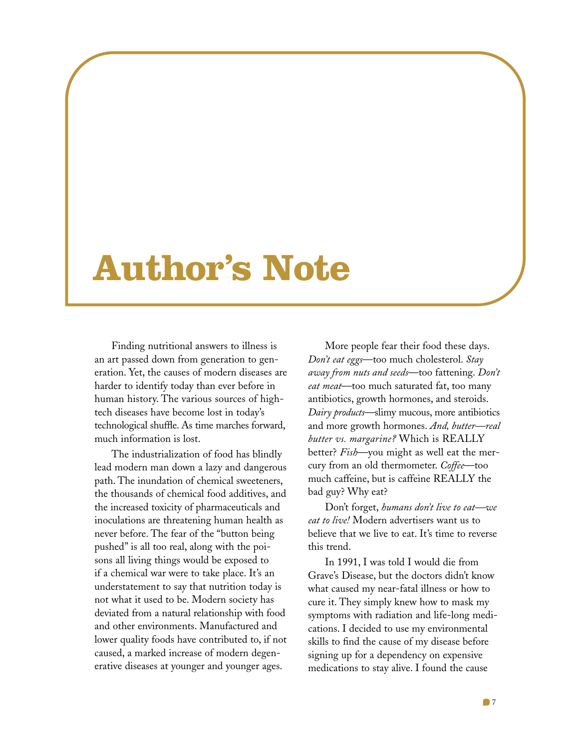# **Author's Note**

Finding nutritional answers to illness is an art passed down from generation to generation. Yet, the causes of modern diseases are harder to identify today than ever before in human history. The various sources of hightech diseases have become lost in today's technological shuffle. As time marches forward, much information is lost.

The industrialization of food has blindly lead modern man down a lazy and dangerous path. The inundation of chemical sweeteners, the thousands of chemical food additives, and the increased toxicity of pharmaceuticals and inoculations are threatening human health as never before. The fear of the "button being pushed" is all too real, along with the poisons all living things would be exposed to if a chemical war were to take place. It's an understatement to say that nutrition today is not what it used to be. Modern society has deviated from a natural relationship with food and other environments. Manufactured and lower quality foods have contributed to, if not caused, a marked increase of modern degenerative diseases at younger and younger ages.

More people fear their food these days. *Don't eat eggs*—too much cholesterol. *Stay away from nuts and seeds*—too fattening. *Don't eat meat*—too much saturated fat, too many antibiotics, growth hormones, and steroids. *Dairy products*—slimy mucous, more antibiotics and more growth hormones. *And, butter—real butter vs. margarine?* Which is REALLY better? *Fish*—you might as well eat the mercury from an old thermometer. *Coffee*—too much caffeine, but is caffeine REALLY the bad guy? Why eat?

Don't forget, *humans don't live to eat—we eat to live!* Modern advertisers want us to believe that we live to eat. It's time to reverse this trend.

In 1991, I was told I would die from Grave's Disease, but the doctors didn't know what caused my near-fatal illness or how to cure it. They simply knew how to mask my symptoms with radiation and life-long medications. I decided to use my environmental skills to find the cause of my disease before signing up for a dependency on expensive medications to stay alive. I found the cause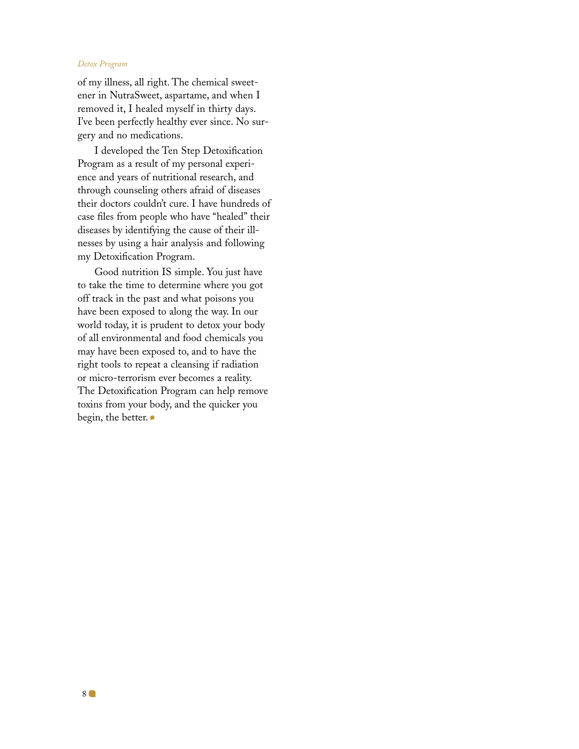of my illness, all right. The chemical sweetener in NutraSweet, aspartame, and when I removed it, I healed myself in thirty days. I've been perfectly healthy ever since. No surgery and no medications.

I developed the Ten Step Detoxification Program as a result of my personal experience and years of nutritional research, and through counseling others afraid of diseases their doctors couldn't cure. I have hundreds of case files from people who have "healed" their diseases by identifying the cause of their illnesses by using a hair analysis and following my Detoxification Program.

Good nutrition IS simple. You just have to take the time to determine where you got off track in the past and what poisons you have been exposed to along the way. In our world today, it is prudent to detox your body of all environmental and food chemicals you may have been exposed to, and to have the right tools to repeat a cleansing if radiation or micro-terrorism ever becomes a reality. The Detoxification Program can help remove toxins from your body, and the quicker you begin, the better.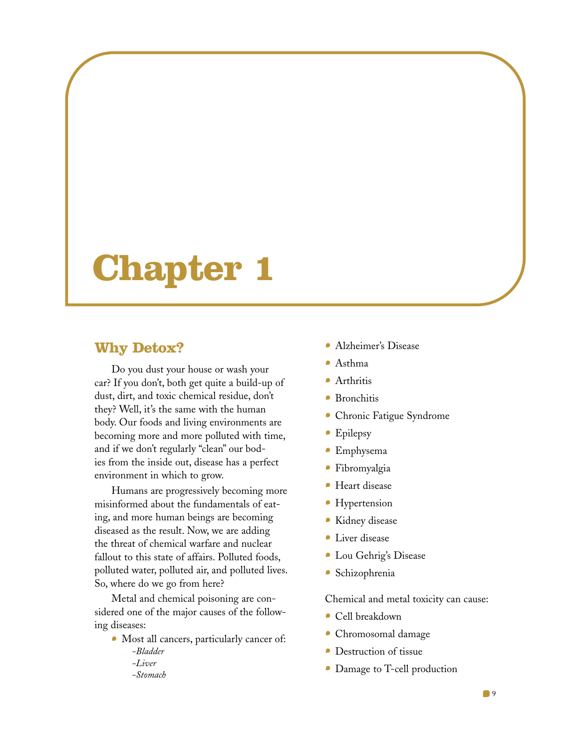# **Chapter 1**

# **Why Detox?**

Do you dust your house or wash your car? If you don't, both get quite a build-up of dust, dirt, and toxic chemical residue, don't they? Well, it's the same with the human body. Our foods and living environments are becoming more and more polluted with time, and if we don't regularly "clean" our bodies from the inside out, disease has a perfect environment in which to grow.

Humans are progressively becoming more misinformed about the fundamentals of eating, and more human beings are becoming diseased as the result. Now, we are adding the threat of chemical warfare and nuclear fallout to this state of affairs. Polluted foods, polluted water, polluted air, and polluted lives. So, where do we go from here?

Metal and chemical poisoning are considered one of the major causes of the following diseases:

 Most all cancers, particularly cancer of:  *-Bladder -Liver -Stomach*

- Alzheimer's Disease
- Asthma
- Arthritis
- **Bronchitis**
- Chronic Fatigue Syndrome
- Epilepsy
- Emphysema
- Fibromyalgia
- Heart disease
- Hypertension
- Kidney disease
- Liver disease
- Lou Gehrig's Disease
- Schizophrenia

Chemical and metal toxicity can cause:

- Cell breakdown
- Chromosomal damage
- Destruction of tissue
- Damage to T-cell production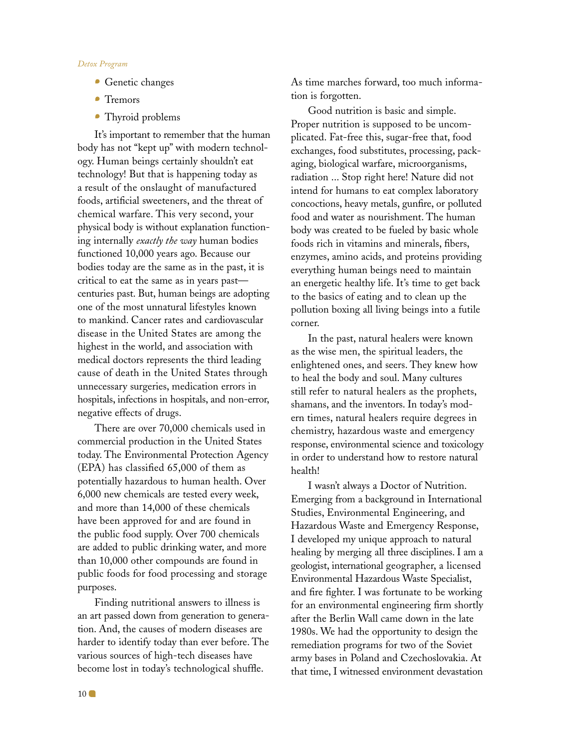- Genetic changes
- Tremors
- Thyroid problems

It's important to remember that the human body has not "kept up" with modern technology. Human beings certainly shouldn't eat technology! But that is happening today as a result of the onslaught of manufactured foods, artificial sweeteners, and the threat of chemical warfare. This very second, your physical body is without explanation functioning internally *exactly the way* human bodies functioned 10,000 years ago. Because our bodies today are the same as in the past, it is critical to eat the same as in years past centuries past. But, human beings are adopting one of the most unnatural lifestyles known to mankind. Cancer rates and cardiovascular disease in the United States are among the highest in the world, and association with medical doctors represents the third leading cause of death in the United States through unnecessary surgeries, medication errors in hospitals, infections in hospitals, and non-error, negative effects of drugs.

There are over 70,000 chemicals used in commercial production in the United States today. The Environmental Protection Agency (EPA) has classified 65,000 of them as potentially hazardous to human health. Over 6,000 new chemicals are tested every week, and more than 14,000 of these chemicals have been approved for and are found in the public food supply. Over 700 chemicals are added to public drinking water, and more than 10,000 other compounds are found in public foods for food processing and storage purposes.

Finding nutritional answers to illness is an art passed down from generation to generation. And, the causes of modern diseases are harder to identify today than ever before. The various sources of high-tech diseases have become lost in today's technological shuffle.

As time marches forward, too much information is forgotten.

Good nutrition is basic and simple. Proper nutrition is supposed to be uncomplicated. Fat-free this, sugar-free that, food exchanges, food substitutes, processing, packaging, biological warfare, microorganisms, radiation ... Stop right here! Nature did not intend for humans to eat complex laboratory concoctions, heavy metals, gunfire, or polluted food and water as nourishment. The human body was created to be fueled by basic whole foods rich in vitamins and minerals, fibers, enzymes, amino acids, and proteins providing everything human beings need to maintain an energetic healthy life. It's time to get back to the basics of eating and to clean up the pollution boxing all living beings into a futile corner.

In the past, natural healers were known as the wise men, the spiritual leaders, the enlightened ones, and seers. They knew how to heal the body and soul. Many cultures still refer to natural healers as the prophets, shamans, and the inventors. In today's modern times, natural healers require degrees in chemistry, hazardous waste and emergency response, environmental science and toxicology in order to understand how to restore natural health!

I wasn't always a Doctor of Nutrition. Emerging from a background in International Studies, Environmental Engineering, and Hazardous Waste and Emergency Response, I developed my unique approach to natural healing by merging all three disciplines. I am a geologist, international geographer, a licensed Environmental Hazardous Waste Specialist, and fire fighter. I was fortunate to be working for an environmental engineering firm shortly after the Berlin Wall came down in the late 1980s. We had the opportunity to design the remediation programs for two of the Soviet army bases in Poland and Czechoslovakia. At that time, I witnessed environment devastation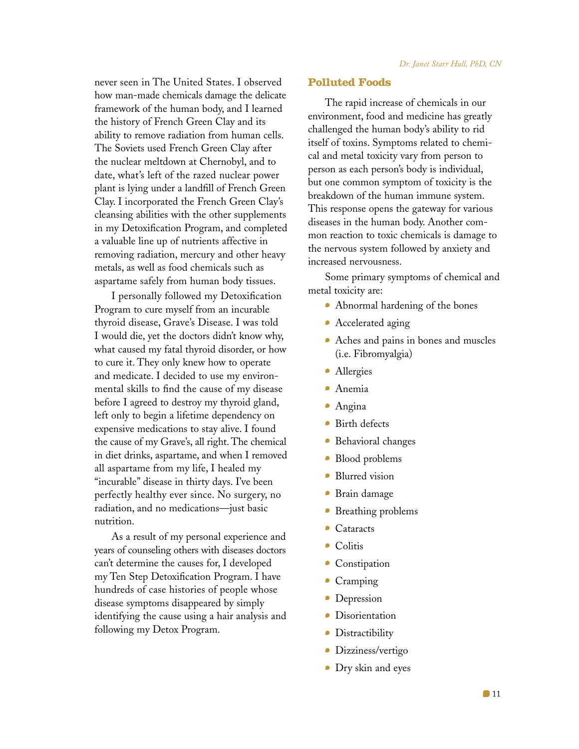never seen in The United States. I observed how man-made chemicals damage the delicate framework of the human body, and I learned the history of French Green Clay and its ability to remove radiation from human cells. The Soviets used French Green Clay after the nuclear meltdown at Chernobyl, and to date, what's left of the razed nuclear power plant is lying under a landfill of French Green Clay. I incorporated the French Green Clay's cleansing abilities with the other supplements in my Detoxification Program, and completed a valuable line up of nutrients affective in removing radiation, mercury and other heavy metals, as well as food chemicals such as aspartame safely from human body tissues.

I personally followed my Detoxification Program to cure myself from an incurable thyroid disease, Grave's Disease. I was told I would die, yet the doctors didn't know why, what caused my fatal thyroid disorder, or how to cure it. They only knew how to operate and medicate. I decided to use my environmental skills to find the cause of my disease before I agreed to destroy my thyroid gland, left only to begin a lifetime dependency on expensive medications to stay alive. I found the cause of my Grave's, all right. The chemical in diet drinks, aspartame, and when I removed all aspartame from my life, I healed my "incurable" disease in thirty days. I've been perfectly healthy ever since. No surgery, no radiation, and no medications—just basic nutrition.

As a result of my personal experience and years of counseling others with diseases doctors can't determine the causes for, I developed my Ten Step Detoxification Program. I have hundreds of case histories of people whose disease symptoms disappeared by simply identifying the cause using a hair analysis and following my Detox Program.

#### **Polluted Foods**

 The rapid increase of chemicals in our environment, food and medicine has greatly challenged the human body's ability to rid itself of toxins. Symptoms related to chemical and metal toxicity vary from person to person as each person's body is individual, but one common symptom of toxicity is the breakdown of the human immune system. This response opens the gateway for various diseases in the human body. Another common reaction to toxic chemicals is damage to the nervous system followed by anxiety and increased nervousness.

Some primary symptoms of chemical and metal toxicity are:

- Abnormal hardening of the bones
- Accelerated aging
- Aches and pains in bones and muscles (i.e. Fibromyalgia)
- **Allergies**
- Anemia
- Angina
- Birth defects
- Behavioral changes
- Blood problems
- Blurred vision
- Brain damage
- Breathing problems
- Cataracts
- Colitis
- Constipation
- Cramping
- Depression
- **Disorientation**
- **•** Distractibility
- **Dizziness/vertigo**
- Dry skin and eyes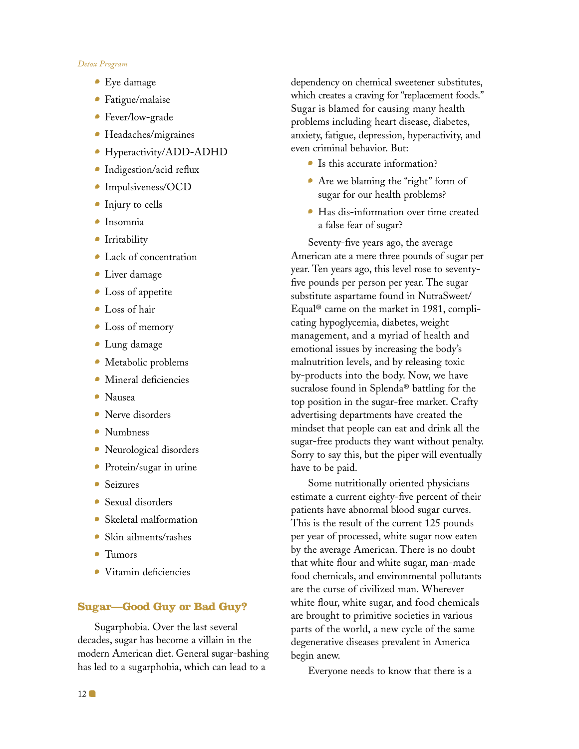- Eye damage
- Fatigue/malaise
- Fever/low-grade
- Headaches/migraines
- Hyperactivity/ADD-ADHD
- Indigestion/acid reflux
- Impulsiveness/OCD
- Injury to cells
- Insomnia
- **Irritability**
- Lack of concentration
- Liver damage
- Loss of appetite
- Loss of hair
- Loss of memory
- Lung damage
- Metabolic problems
- Mineral deficiencies
- Nausea
- Nerve disorders
- Numbness
- Neurological disorders
- Protein/sugar in urine
- Seizures
- Sexual disorders
- Skeletal malformation
- Skin ailments/rashes
- Tumors
- Vitamin deficiencies

# **Sugar—Good Guy or Bad Guy?**

Sugarphobia. Over the last several decades, sugar has become a villain in the modern American diet. General sugar-bashing has led to a sugarphobia, which can lead to a

dependency on chemical sweetener substitutes, which creates a craving for "replacement foods." Sugar is blamed for causing many health problems including heart disease, diabetes, anxiety, fatigue, depression, hyperactivity, and even criminal behavior. But:

- Is this accurate information?
- Are we blaming the "right" form of sugar for our health problems?
- Has dis-information over time created a false fear of sugar?

Seventy-five years ago, the average American ate a mere three pounds of sugar per year. Ten years ago, this level rose to seventyfive pounds per person per year. The sugar substitute aspartame found in NutraSweet/ Equal® came on the market in 1981, complicating hypoglycemia, diabetes, weight management, and a myriad of health and emotional issues by increasing the body's malnutrition levels, and by releasing toxic by-products into the body. Now, we have sucralose found in Splenda® battling for the top position in the sugar-free market. Crafty advertising departments have created the mindset that people can eat and drink all the sugar-free products they want without penalty. Sorry to say this, but the piper will eventually have to be paid.

Some nutritionally oriented physicians estimate a current eighty-five percent of their patients have abnormal blood sugar curves. This is the result of the current 125 pounds per year of processed, white sugar now eaten by the average American. There is no doubt that white flour and white sugar, man-made food chemicals, and environmental pollutants are the curse of civilized man. Wherever white flour, white sugar, and food chemicals are brought to primitive societies in various parts of the world, a new cycle of the same degenerative diseases prevalent in America begin anew.

Everyone needs to know that there is a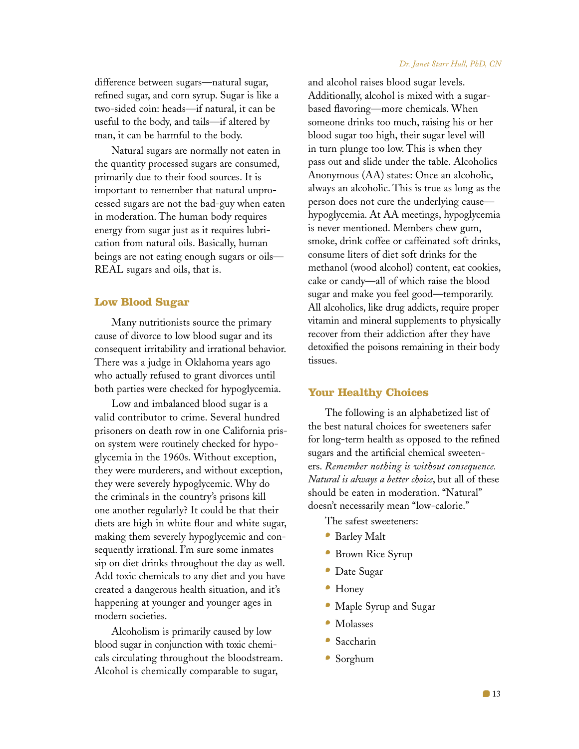# difference between sugars—natural sugar, refined sugar, and corn syrup. Sugar is like a two-sided coin: heads—if natural, it can be useful to the body, and tails—if altered by man, it can be harmful to the body.

Natural sugars are normally not eaten in the quantity processed sugars are consumed, primarily due to their food sources. It is important to remember that natural unprocessed sugars are not the bad-guy when eaten in moderation. The human body requires energy from sugar just as it requires lubrication from natural oils. Basically, human beings are not eating enough sugars or oils— REAL sugars and oils, that is.

# **Low Blood Sugar**

Many nutritionists source the primary cause of divorce to low blood sugar and its consequent irritability and irrational behavior. There was a judge in Oklahoma years ago who actually refused to grant divorces until both parties were checked for hypoglycemia.

Low and imbalanced blood sugar is a valid contributor to crime. Several hundred prisoners on death row in one California prison system were routinely checked for hypoglycemia in the 1960s. Without exception, they were murderers, and without exception, they were severely hypoglycemic. Why do the criminals in the country's prisons kill one another regularly? It could be that their diets are high in white flour and white sugar, making them severely hypoglycemic and consequently irrational. I'm sure some inmates sip on diet drinks throughout the day as well. Add toxic chemicals to any diet and you have created a dangerous health situation, and it's happening at younger and younger ages in modern societies.

Alcoholism is primarily caused by low blood sugar in conjunction with toxic chemicals circulating throughout the bloodstream. Alcohol is chemically comparable to sugar,

### *Dr. Janet Starr Hull, PhD, CN*

and alcohol raises blood sugar levels. Additionally, alcohol is mixed with a sugarbased flavoring—more chemicals. When someone drinks too much, raising his or her blood sugar too high, their sugar level will in turn plunge too low. This is when they pass out and slide under the table. Alcoholics Anonymous (AA) states: Once an alcoholic, always an alcoholic. This is true as long as the person does not cure the underlying cause hypoglycemia. At AA meetings, hypoglycemia is never mentioned. Members chew gum, smoke, drink coffee or caffeinated soft drinks, consume liters of diet soft drinks for the methanol (wood alcohol) content, eat cookies, cake or candy—all of which raise the blood sugar and make you feel good—temporarily. All alcoholics, like drug addicts, require proper vitamin and mineral supplements to physically recover from their addiction after they have detoxified the poisons remaining in their body tissues.

# **Your Healthy Choices**

The following is an alphabetized list of the best natural choices for sweeteners safer for long-term health as opposed to the refined sugars and the artificial chemical sweeteners. *Remember nothing is without consequence. Natural is always a better choice*, but all of these should be eaten in moderation. "Natural" doesn't necessarily mean "low-calorie."

The safest sweeteners:

- Barley Malt
- **Brown Rice Syrup**
- Date Sugar
- Honey
- Maple Syrup and Sugar
- Molasses
- Saccharin
- Sorghum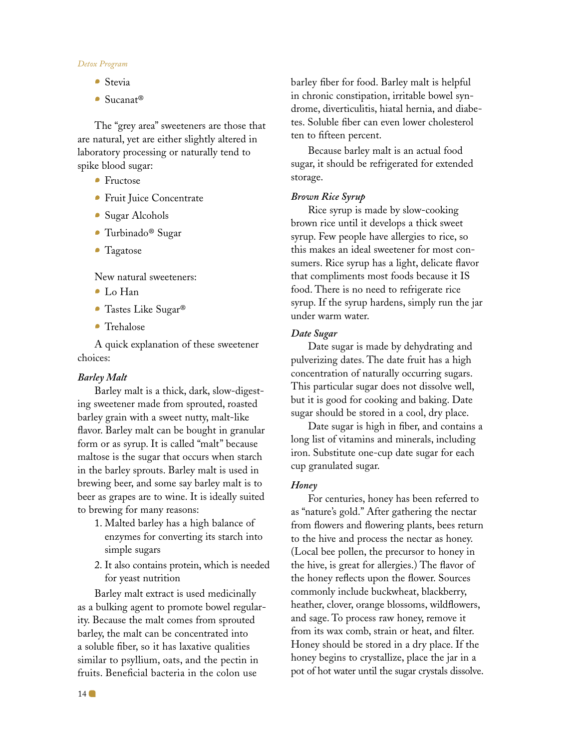- **Stevia**
- Sucanat<sup>®</sup>

The "grey area" sweeteners are those that are natural, yet are either slightly altered in laboratory processing or naturally tend to spike blood sugar:

- Fructose
- Fruit Juice Concentrate
- Sugar Alcohols
- Turbinado® Sugar
- Tagatose

New natural sweeteners:

- Lo Han
- Tastes Like Sugar<sup>®</sup>
- Trehalose

A quick explanation of these sweetener choices:

#### *Barley Malt*

Barley malt is a thick, dark, slow-digesting sweetener made from sprouted, roasted barley grain with a sweet nutty, malt-like flavor. Barley malt can be bought in granular form or as syrup. It is called "malt" because maltose is the sugar that occurs when starch in the barley sprouts. Barley malt is used in brewing beer, and some say barley malt is to beer as grapes are to wine. It is ideally suited to brewing for many reasons:

- 1. Malted barley has a high balance of enzymes for converting its starch into simple sugars
- 2. It also contains protein, which is needed for yeast nutrition

Barley malt extract is used medicinally as a bulking agent to promote bowel regularity. Because the malt comes from sprouted barley, the malt can be concentrated into a soluble fiber, so it has laxative qualities similar to psyllium, oats, and the pectin in fruits. Beneficial bacteria in the colon use

barley fiber for food. Barley malt is helpful in chronic constipation, irritable bowel syndrome, diverticulitis, hiatal hernia, and diabetes. Soluble fiber can even lower cholesterol ten to fifteen percent.

Because barley malt is an actual food sugar, it should be refrigerated for extended storage.

# *Brown Rice Syrup*

Rice syrup is made by slow-cooking brown rice until it develops a thick sweet syrup. Few people have allergies to rice, so this makes an ideal sweetener for most consumers. Rice syrup has a light, delicate flavor that compliments most foods because it IS food. There is no need to refrigerate rice syrup. If the syrup hardens, simply run the jar under warm water.

# *Date Sugar*

Date sugar is made by dehydrating and pulverizing dates. The date fruit has a high concentration of naturally occurring sugars. This particular sugar does not dissolve well, but it is good for cooking and baking. Date sugar should be stored in a cool, dry place.

Date sugar is high in fiber, and contains a long list of vitamins and minerals, including iron. Substitute one-cup date sugar for each cup granulated sugar.

#### *Honey*

For centuries, honey has been referred to as "nature's gold." After gathering the nectar from flowers and flowering plants, bees return to the hive and process the nectar as honey. (Local bee pollen, the precursor to honey in the hive, is great for allergies.) The flavor of the honey reflects upon the flower. Sources commonly include buckwheat, blackberry, heather, clover, orange blossoms, wildflowers, and sage. To process raw honey, remove it from its wax comb, strain or heat, and filter. Honey should be stored in a dry place. If the honey begins to crystallize, place the jar in a pot of hot water until the sugar crystals dissolve.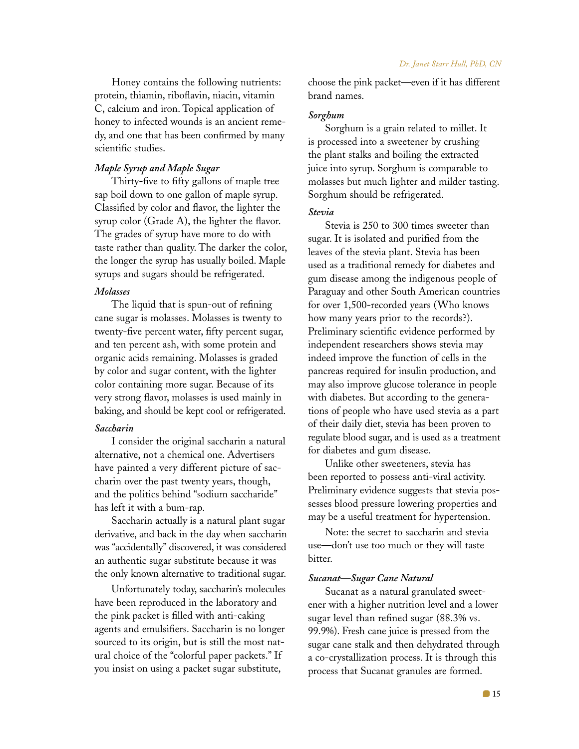Honey contains the following nutrients: protein, thiamin, riboflavin, niacin, vitamin C, calcium and iron. Topical application of honey to infected wounds is an ancient remedy, and one that has been confirmed by many scientific studies.

# *Maple Syrup and Maple Sugar*

Thirty-five to fifty gallons of maple tree sap boil down to one gallon of maple syrup. Classified by color and flavor, the lighter the syrup color (Grade A), the lighter the flavor. The grades of syrup have more to do with taste rather than quality. The darker the color, the longer the syrup has usually boiled. Maple syrups and sugars should be refrigerated.

# *Molasses*

The liquid that is spun-out of refining cane sugar is molasses. Molasses is twenty to twenty-five percent water, fifty percent sugar, and ten percent ash, with some protein and organic acids remaining. Molasses is graded by color and sugar content, with the lighter color containing more sugar. Because of its very strong flavor, molasses is used mainly in baking, and should be kept cool or refrigerated.

### *Saccharin*

I consider the original saccharin a natural alternative, not a chemical one. Advertisers have painted a very different picture of saccharin over the past twenty years, though, and the politics behind "sodium saccharide" has left it with a bum-rap.

Saccharin actually is a natural plant sugar derivative, and back in the day when saccharin was "accidentally" discovered, it was considered an authentic sugar substitute because it was the only known alternative to traditional sugar.

Unfortunately today, saccharin's molecules have been reproduced in the laboratory and the pink packet is filled with anti-caking agents and emulsifiers. Saccharin is no longer sourced to its origin, but is still the most natural choice of the "colorful paper packets." If you insist on using a packet sugar substitute,

choose the pink packet—even if it has different brand names.

# *Sorghum*

Sorghum is a grain related to millet. It is processed into a sweetener by crushing the plant stalks and boiling the extracted juice into syrup. Sorghum is comparable to molasses but much lighter and milder tasting. Sorghum should be refrigerated.

### *Stevia*

Stevia is 250 to 300 times sweeter than sugar. It is isolated and purified from the leaves of the stevia plant. Stevia has been used as a traditional remedy for diabetes and gum disease among the indigenous people of Paraguay and other South American countries for over 1,500-recorded years (Who knows how many years prior to the records?). Preliminary scientific evidence performed by independent researchers shows stevia may indeed improve the function of cells in the pancreas required for insulin production, and may also improve glucose tolerance in people with diabetes. But according to the generations of people who have used stevia as a part of their daily diet, stevia has been proven to regulate blood sugar, and is used as a treatment for diabetes and gum disease.

Unlike other sweeteners, stevia has been reported to possess anti-viral activity. Preliminary evidence suggests that stevia possesses blood pressure lowering properties and may be a useful treatment for hypertension.

Note: the secret to saccharin and stevia use—don't use too much or they will taste bitter.

### *Sucanat—Sugar Cane Natural*

Sucanat as a natural granulated sweetener with a higher nutrition level and a lower sugar level than refined sugar (88.3% vs. 99.9%). Fresh cane juice is pressed from the sugar cane stalk and then dehydrated through a co-crystallization process. It is through this process that Sucanat granules are formed.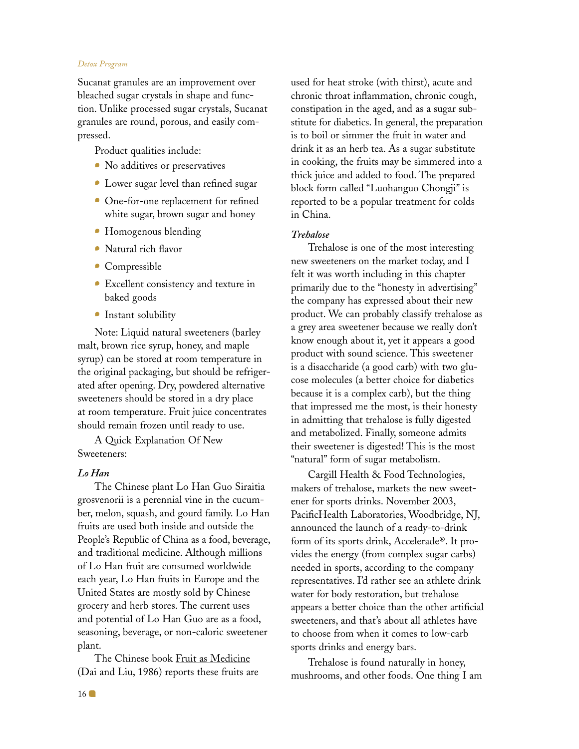Sucanat granules are an improvement over bleached sugar crystals in shape and function. Unlike processed sugar crystals, Sucanat granules are round, porous, and easily compressed.

Product qualities include:

- No additives or preservatives
- Lower sugar level than refined sugar
- One-for-one replacement for refined white sugar, brown sugar and honey
- Homogenous blending
- Natural rich flavor
- Compressible
- Excellent consistency and texture in baked goods
- Instant solubility

Note: Liquid natural sweeteners (barley malt, brown rice syrup, honey, and maple syrup) can be stored at room temperature in the original packaging, but should be refrigerated after opening. Dry, powdered alternative sweeteners should be stored in a dry place at room temperature. Fruit juice concentrates should remain frozen until ready to use.

A Quick Explanation Of New Sweeteners:

# *Lo Han*

The Chinese plant Lo Han Guo Siraitia grosvenorii is a perennial vine in the cucumber, melon, squash, and gourd family. Lo Han fruits are used both inside and outside the People's Republic of China as a food, beverage, and traditional medicine. Although millions of Lo Han fruit are consumed worldwide each year, Lo Han fruits in Europe and the United States are mostly sold by Chinese grocery and herb stores. The current uses and potential of Lo Han Guo are as a food, seasoning, beverage, or non-caloric sweetener plant.

The Chinese book Fruit as Medicine (Dai and Liu, 1986) reports these fruits are

used for heat stroke (with thirst), acute and chronic throat inflammation, chronic cough, constipation in the aged, and as a sugar substitute for diabetics. In general, the preparation is to boil or simmer the fruit in water and drink it as an herb tea. As a sugar substitute in cooking, the fruits may be simmered into a thick juice and added to food. The prepared block form called "Luohanguo Chongji" is reported to be a popular treatment for colds in China.

# *Trehalose*

Trehalose is one of the most interesting new sweeteners on the market today, and I felt it was worth including in this chapter primarily due to the "honesty in advertising" the company has expressed about their new product. We can probably classify trehalose as a grey area sweetener because we really don't know enough about it, yet it appears a good product with sound science. This sweetener is a disaccharide (a good carb) with two glucose molecules (a better choice for diabetics because it is a complex carb), but the thing that impressed me the most, is their honesty in admitting that trehalose is fully digested and metabolized. Finally, someone admits their sweetener is digested! This is the most "natural" form of sugar metabolism.

Cargill Health & Food Technologies, makers of trehalose, markets the new sweetener for sports drinks. November 2003, PacificHealth Laboratories, Woodbridge, NJ, announced the launch of a ready-to-drink form of its sports drink, Accelerade®. It provides the energy (from complex sugar carbs) needed in sports, according to the company representatives. I'd rather see an athlete drink water for body restoration, but trehalose appears a better choice than the other artificial sweeteners, and that's about all athletes have to choose from when it comes to low-carb sports drinks and energy bars.

Trehalose is found naturally in honey, mushrooms, and other foods. One thing I am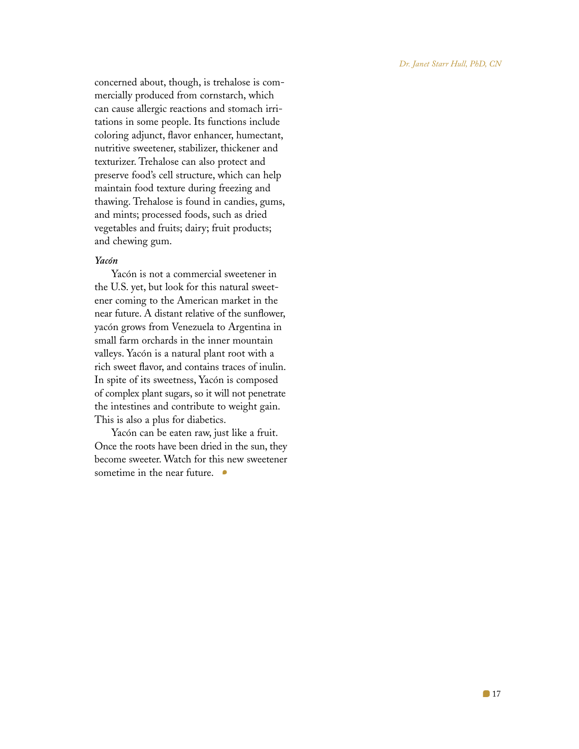concerned about, though, is trehalose is commercially produced from cornstarch, which can cause allergic reactions and stomach irritations in some people. Its functions include coloring adjunct, flavor enhancer, humectant, nutritive sweetener, stabilizer, thickener and texturizer. Trehalose can also protect and preserve food's cell structure, which can help maintain food texture during freezing and thawing. Trehalose is found in candies, gums, and mints; processed foods, such as dried vegetables and fruits; dairy; fruit products; and chewing gum.

# *Yacón*

Yacón is not a commercial sweetener in the U.S. yet, but look for this natural sweetener coming to the American market in the near future. A distant relative of the sunflower, yacón grows from Venezuela to Argentina in small farm orchards in the inner mountain valleys. Yacón is a natural plant root with a rich sweet flavor, and contains traces of inulin. In spite of its sweetness, Yacón is composed of complex plant sugars, so it will not penetrate the intestines and contribute to weight gain. This is also a plus for diabetics.

Yacón can be eaten raw, just like a fruit. Once the roots have been dried in the sun, they become sweeter. Watch for this new sweetener sometime in the near future.  $\bullet$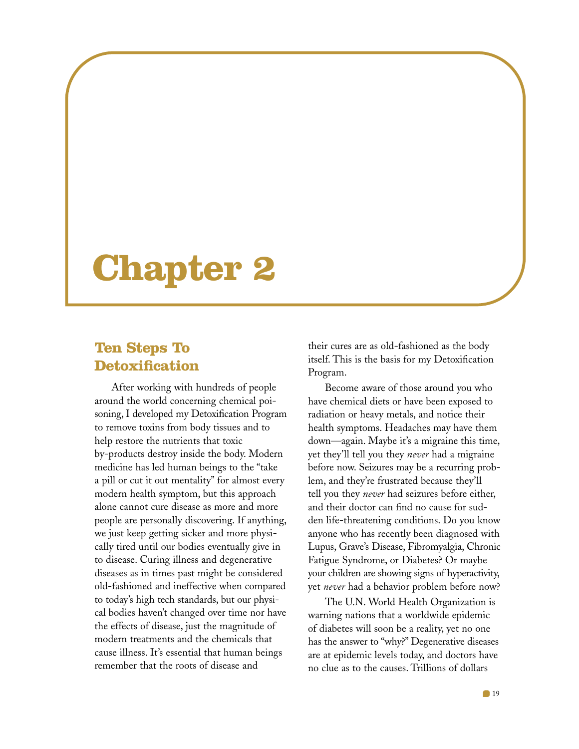# **Chapter 2**

# **Ten Steps To Detoxification**

After working with hundreds of people around the world concerning chemical poisoning, I developed my Detoxification Program to remove toxins from body tissues and to help restore the nutrients that toxic by-products destroy inside the body. Modern medicine has led human beings to the "take a pill or cut it out mentality" for almost every modern health symptom, but this approach alone cannot cure disease as more and more people are personally discovering. If anything, we just keep getting sicker and more physically tired until our bodies eventually give in to disease. Curing illness and degenerative diseases as in times past might be considered old-fashioned and ineffective when compared to today's high tech standards, but our physical bodies haven't changed over time nor have the effects of disease, just the magnitude of modern treatments and the chemicals that cause illness. It's essential that human beings remember that the roots of disease and

their cures are as old-fashioned as the body itself. This is the basis for my Detoxification Program.

Become aware of those around you who have chemical diets or have been exposed to radiation or heavy metals, and notice their health symptoms. Headaches may have them down—again. Maybe it's a migraine this time, yet they'll tell you they *never* had a migraine before now. Seizures may be a recurring problem, and they're frustrated because they'll tell you they *never* had seizures before either, and their doctor can find no cause for sudden life-threatening conditions. Do you know anyone who has recently been diagnosed with Lupus, Grave's Disease, Fibromyalgia, Chronic Fatigue Syndrome, or Diabetes? Or maybe your children are showing signs of hyperactivity, yet *never* had a behavior problem before now?

The U.N. World Health Organization is warning nations that a worldwide epidemic of diabetes will soon be a reality, yet no one has the answer to "why?" Degenerative diseases are at epidemic levels today, and doctors have no clue as to the causes. Trillions of dollars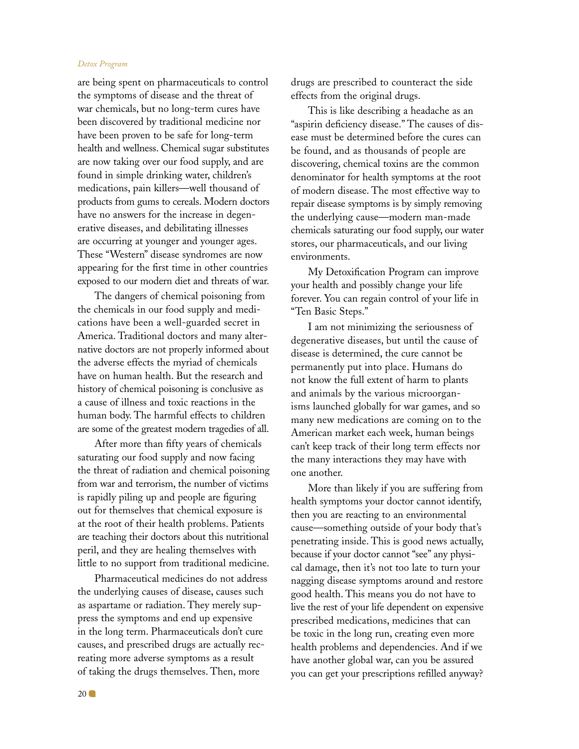are being spent on pharmaceuticals to control the symptoms of disease and the threat of war chemicals, but no long-term cures have been discovered by traditional medicine nor have been proven to be safe for long-term health and wellness. Chemical sugar substitutes are now taking over our food supply, and are found in simple drinking water, children's medications, pain killers—well thousand of products from gums to cereals. Modern doctors have no answers for the increase in degenerative diseases, and debilitating illnesses are occurring at younger and younger ages. These "Western" disease syndromes are now appearing for the first time in other countries exposed to our modern diet and threats of war.

The dangers of chemical poisoning from the chemicals in our food supply and medications have been a well-guarded secret in America. Traditional doctors and many alternative doctors are not properly informed about the adverse effects the myriad of chemicals have on human health. But the research and history of chemical poisoning is conclusive as a cause of illness and toxic reactions in the human body. The harmful effects to children are some of the greatest modern tragedies of all.

After more than fifty years of chemicals saturating our food supply and now facing the threat of radiation and chemical poisoning from war and terrorism, the number of victims is rapidly piling up and people are figuring out for themselves that chemical exposure is at the root of their health problems. Patients are teaching their doctors about this nutritional peril, and they are healing themselves with little to no support from traditional medicine.

Pharmaceutical medicines do not address the underlying causes of disease, causes such as aspartame or radiation. They merely suppress the symptoms and end up expensive in the long term. Pharmaceuticals don't cure causes, and prescribed drugs are actually recreating more adverse symptoms as a result of taking the drugs themselves. Then, more

drugs are prescribed to counteract the side effects from the original drugs.

This is like describing a headache as an "aspirin deficiency disease." The causes of disease must be determined before the cures can be found, and as thousands of people are discovering, chemical toxins are the common denominator for health symptoms at the root of modern disease. The most effective way to repair disease symptoms is by simply removing the underlying cause—modern man-made chemicals saturating our food supply, our water stores, our pharmaceuticals, and our living environments.

My Detoxification Program can improve your health and possibly change your life forever. You can regain control of your life in "Ten Basic Steps."

I am not minimizing the seriousness of degenerative diseases, but until the cause of disease is determined, the cure cannot be permanently put into place. Humans do not know the full extent of harm to plants and animals by the various microorganisms launched globally for war games, and so many new medications are coming on to the American market each week, human beings can't keep track of their long term effects nor the many interactions they may have with one another.

More than likely if you are suffering from health symptoms your doctor cannot identify, then you are reacting to an environmental cause—something outside of your body that's penetrating inside. This is good news actually, because if your doctor cannot "see" any physical damage, then it's not too late to turn your nagging disease symptoms around and restore good health. This means you do not have to live the rest of your life dependent on expensive prescribed medications, medicines that can be toxic in the long run, creating even more health problems and dependencies. And if we have another global war, can you be assured you can get your prescriptions refilled anyway?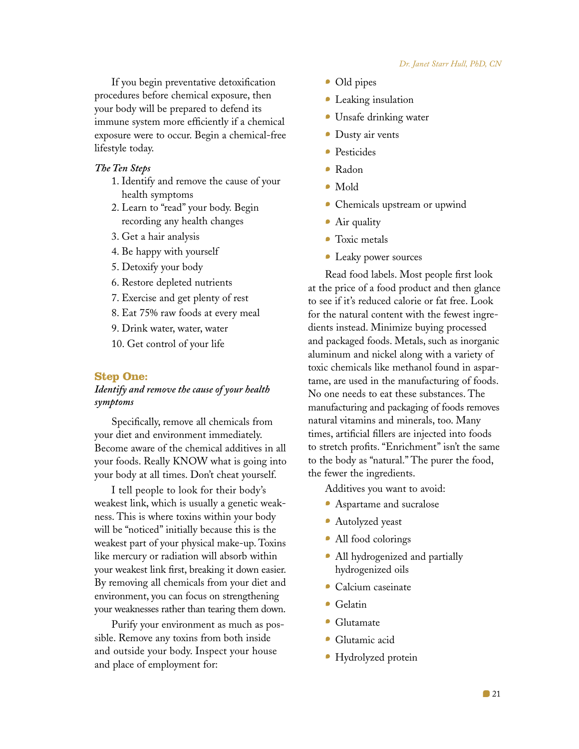*Dr. Janet Starr Hull, PhD, CN*

If you begin preventative detoxification procedures before chemical exposure, then your body will be prepared to defend its immune system more efficiently if a chemical exposure were to occur. Begin a chemical-free lifestyle today.

# *The Ten Steps*

- 1. Identify and remove the cause of your health symptoms
- 2. Learn to "read" your body. Begin recording any health changes
- 3. Get a hair analysis
- 4. Be happy with yourself
- 5. Detoxify your body
- 6. Restore depleted nutrients
- 7. Exercise and get plenty of rest
- 8. Eat 75% raw foods at every meal
- 9. Drink water, water, water
- 10. Get control of your life

#### **Step One:**

# *Identify and remove the cause of your health symptoms*

Specifically, remove all chemicals from your diet and environment immediately. Become aware of the chemical additives in all your foods. Really KNOW what is going into your body at all times. Don't cheat yourself.

I tell people to look for their body's weakest link, which is usually a genetic weakness. This is where toxins within your body will be "noticed" initially because this is the weakest part of your physical make-up. Toxins like mercury or radiation will absorb within your weakest link first, breaking it down easier. By removing all chemicals from your diet and environment, you can focus on strengthening your weaknesses rather than tearing them down.

Purify your environment as much as possible. Remove any toxins from both inside and outside your body. Inspect your house and place of employment for:

- Old pipes
- Leaking insulation
- Unsafe drinking water
- Dusty air vents
- **Pesticides**
- Radon
- Mold
- Chemicals upstream or upwind
- Air quality
- Toxic metals
- Leaky power sources

Read food labels. Most people first look at the price of a food product and then glance to see if it's reduced calorie or fat free. Look for the natural content with the fewest ingredients instead. Minimize buying processed and packaged foods. Metals, such as inorganic aluminum and nickel along with a variety of toxic chemicals like methanol found in aspartame, are used in the manufacturing of foods. No one needs to eat these substances. The manufacturing and packaging of foods removes natural vitamins and minerals, too. Many times, artificial fillers are injected into foods to stretch profits. "Enrichment" isn't the same to the body as "natural." The purer the food, the fewer the ingredients.

Additives you want to avoid:

- Aspartame and sucralose
- Autolyzed yeast
- All food colorings
- All hydrogenized and partially hydrogenized oils
- Calcium caseinate
- Gelatin
- Glutamate
- Glutamic acid
- Hydrolyzed protein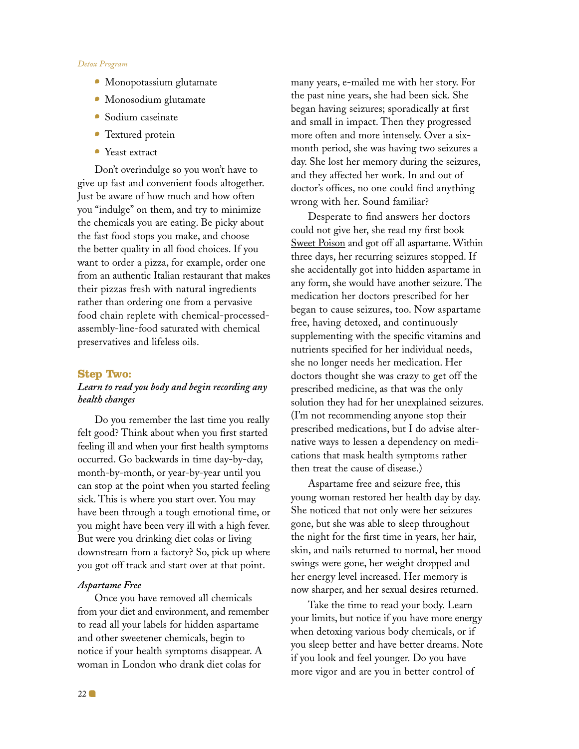- Monopotassium glutamate
- Monosodium glutamate
- Sodium caseinate
- Textured protein
- Yeast extract

Don't overindulge so you won't have to give up fast and convenient foods altogether. Just be aware of how much and how often you "indulge" on them, and try to minimize the chemicals you are eating. Be picky about the fast food stops you make, and choose the better quality in all food choices. If you want to order a pizza, for example, order one from an authentic Italian restaurant that makes their pizzas fresh with natural ingredients rather than ordering one from a pervasive food chain replete with chemical-processedassembly-line-food saturated with chemical preservatives and lifeless oils.

## **Step Two:**

# *Learn to read you body and begin recording any health changes*

Do you remember the last time you really felt good? Think about when you first started feeling ill and when your first health symptoms occurred. Go backwards in time day-by-day, month-by-month, or year-by-year until you can stop at the point when you started feeling sick. This is where you start over. You may have been through a tough emotional time, or you might have been very ill with a high fever. But were you drinking diet colas or living downstream from a factory? So, pick up where you got off track and start over at that point.

# *Aspartame Free*

Once you have removed all chemicals from your diet and environment, and remember to read all your labels for hidden aspartame and other sweetener chemicals, begin to notice if your health symptoms disappear. A woman in London who drank diet colas for

many years, e-mailed me with her story. For the past nine years, she had been sick. She began having seizures; sporadically at first and small in impact. Then they progressed more often and more intensely. Over a sixmonth period, she was having two seizures a day. She lost her memory during the seizures, and they affected her work. In and out of doctor's offices, no one could find anything wrong with her. Sound familiar?

Desperate to find answers her doctors could not give her, she read my first book Sweet Poison and got off all aspartame. Within three days, her recurring seizures stopped. If she accidentally got into hidden aspartame in any form, she would have another seizure. The medication her doctors prescribed for her began to cause seizures, too. Now aspartame free, having detoxed, and continuously supplementing with the specific vitamins and nutrients specified for her individual needs, she no longer needs her medication. Her doctors thought she was crazy to get off the prescribed medicine, as that was the only solution they had for her unexplained seizures. (I'm not recommending anyone stop their prescribed medications, but I do advise alternative ways to lessen a dependency on medications that mask health symptoms rather then treat the cause of disease.)

Aspartame free and seizure free, this young woman restored her health day by day. She noticed that not only were her seizures gone, but she was able to sleep throughout the night for the first time in years, her hair, skin, and nails returned to normal, her mood swings were gone, her weight dropped and her energy level increased. Her memory is now sharper, and her sexual desires returned.

Take the time to read your body. Learn your limits, but notice if you have more energy when detoxing various body chemicals, or if you sleep better and have better dreams. Note if you look and feel younger. Do you have more vigor and are you in better control of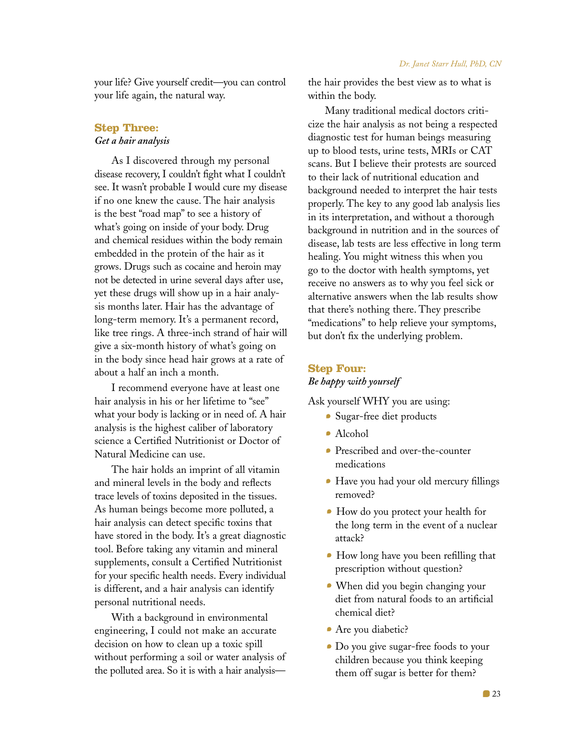your life? Give yourself credit—you can control your life again, the natural way.

# **Step Three:** *Get a hair analysis*

As I discovered through my personal disease recovery, I couldn't fight what I couldn't see. It wasn't probable I would cure my disease if no one knew the cause. The hair analysis is the best "road map" to see a history of what's going on inside of your body. Drug and chemical residues within the body remain embedded in the protein of the hair as it grows. Drugs such as cocaine and heroin may not be detected in urine several days after use, yet these drugs will show up in a hair analysis months later. Hair has the advantage of long-term memory. It's a permanent record, like tree rings. A three-inch strand of hair will give a six-month history of what's going on in the body since head hair grows at a rate of about a half an inch a month.

I recommend everyone have at least one hair analysis in his or her lifetime to "see" what your body is lacking or in need of. A hair analysis is the highest caliber of laboratory science a Certified Nutritionist or Doctor of Natural Medicine can use.

The hair holds an imprint of all vitamin and mineral levels in the body and reflects trace levels of toxins deposited in the tissues. As human beings become more polluted, a hair analysis can detect specific toxins that have stored in the body. It's a great diagnostic tool. Before taking any vitamin and mineral supplements, consult a Certified Nutritionist for your specific health needs. Every individual is different, and a hair analysis can identify personal nutritional needs.

With a background in environmental engineering, I could not make an accurate decision on how to clean up a toxic spill without performing a soil or water analysis of the polluted area. So it is with a hair analysisthe hair provides the best view as to what is within the body.

Many traditional medical doctors criticize the hair analysis as not being a respected diagnostic test for human beings measuring up to blood tests, urine tests, MRIs or CAT scans. But I believe their protests are sourced to their lack of nutritional education and background needed to interpret the hair tests properly. The key to any good lab analysis lies in its interpretation, and without a thorough background in nutrition and in the sources of disease, lab tests are less effective in long term healing. You might witness this when you go to the doctor with health symptoms, yet receive no answers as to why you feel sick or alternative answers when the lab results show that there's nothing there. They prescribe "medications" to help relieve your symptoms, but don't fix the underlying problem.

# **Step Four:** *Be happy with yourself*

Ask yourself WHY you are using:

- Sugar-free diet products
- Alcohol
- Prescribed and over-the-counter medications
- Have you had your old mercury fillings removed?
- How do you protect your health for the long term in the event of a nuclear attack?
- How long have you been refilling that prescription without question?
- When did you begin changing your diet from natural foods to an artificial chemical diet?
- Are you diabetic?
- Do you give sugar-free foods to your children because you think keeping them off sugar is better for them?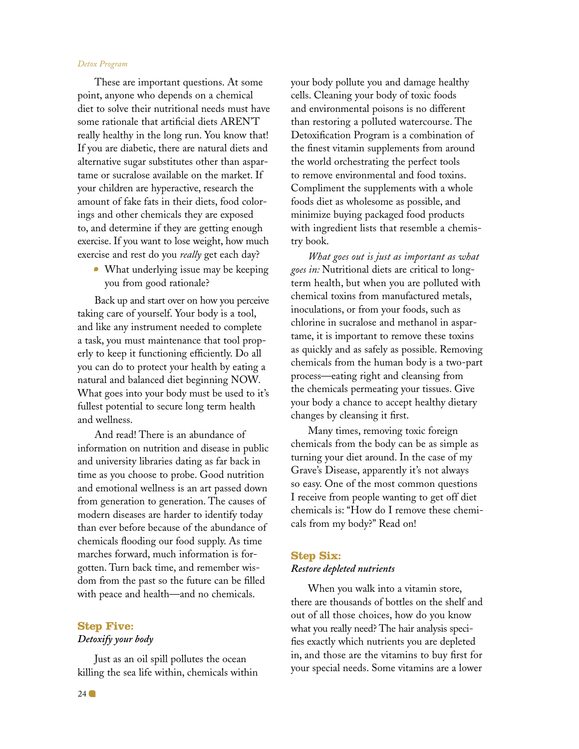These are important questions. At some point, anyone who depends on a chemical diet to solve their nutritional needs must have some rationale that artificial diets AREN'T really healthy in the long run. You know that! If you are diabetic, there are natural diets and alternative sugar substitutes other than aspartame or sucralose available on the market. If your children are hyperactive, research the amount of fake fats in their diets, food colorings and other chemicals they are exposed to, and determine if they are getting enough exercise. If you want to lose weight, how much exercise and rest do you *really* get each day?

 What underlying issue may be keeping you from good rationale?

Back up and start over on how you perceive taking care of yourself. Your body is a tool, and like any instrument needed to complete a task, you must maintenance that tool properly to keep it functioning efficiently. Do all you can do to protect your health by eating a natural and balanced diet beginning NOW. What goes into your body must be used to it's fullest potential to secure long term health and wellness.

And read! There is an abundance of information on nutrition and disease in public and university libraries dating as far back in time as you choose to probe. Good nutrition and emotional wellness is an art passed down from generation to generation. The causes of modern diseases are harder to identify today than ever before because of the abundance of chemicals flooding our food supply. As time marches forward, much information is forgotten. Turn back time, and remember wisdom from the past so the future can be filled with peace and health—and no chemicals.

# **Step Five:**

# *Detoxify your body*

Just as an oil spill pollutes the ocean killing the sea life within, chemicals within your body pollute you and damage healthy cells. Cleaning your body of toxic foods and environmental poisons is no different than restoring a polluted watercourse. The Detoxification Program is a combination of the finest vitamin supplements from around the world orchestrating the perfect tools to remove environmental and food toxins. Compliment the supplements with a whole foods diet as wholesome as possible, and minimize buying packaged food products with ingredient lists that resemble a chemistry book.

*What goes out is just as important as what goes in:* Nutritional diets are critical to longterm health, but when you are polluted with chemical toxins from manufactured metals, inoculations, or from your foods, such as chlorine in sucralose and methanol in aspartame, it is important to remove these toxins as quickly and as safely as possible. Removing chemicals from the human body is a two-part process—eating right and cleansing from the chemicals permeating your tissues. Give your body a chance to accept healthy dietary changes by cleansing it first.

Many times, removing toxic foreign chemicals from the body can be as simple as turning your diet around. In the case of my Grave's Disease, apparently it's not always so easy. One of the most common questions I receive from people wanting to get off diet chemicals is: "How do I remove these chemicals from my body?" Read on!

# **Step Six:**

# *Restore depleted nutrients*

When you walk into a vitamin store, there are thousands of bottles on the shelf and out of all those choices, how do you know what you really need? The hair analysis specifies exactly which nutrients you are depleted in, and those are the vitamins to buy first for your special needs. Some vitamins are a lower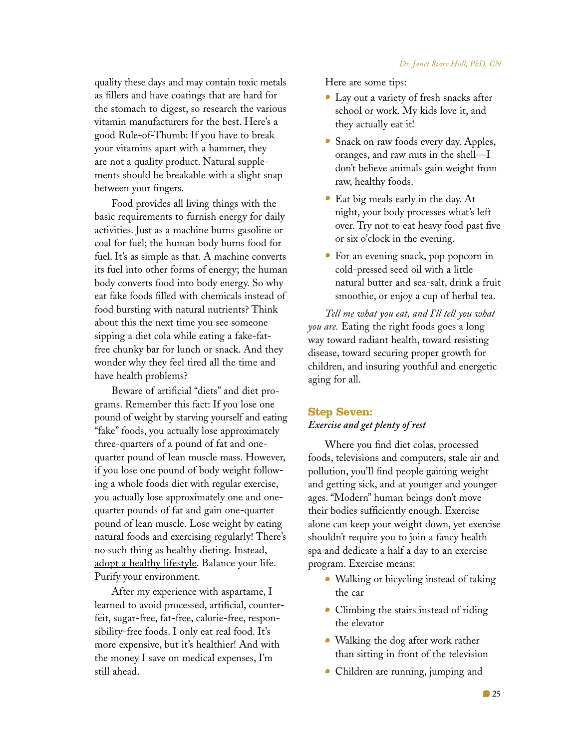quality these days and may contain toxic metals as fillers and have coatings that are hard for the stomach to digest, so research the various vitamin manufacturers for the best. Here's a good Rule-of-Thumb: If you have to break your vitamins apart with a hammer, they are not a quality product. Natural supplements should be breakable with a slight snap between your fingers.

Food provides all living things with the basic requirements to furnish energy for daily activities. Just as a machine burns gasoline or coal for fuel; the human body burns food for fuel. It's as simple as that. A machine converts its fuel into other forms of energy; the human body converts food into body energy. So why eat fake foods filled with chemicals instead of food bursting with natural nutrients? Think about this the next time you see someone sipping a diet cola while eating a fake-fatfree chunky bar for lunch or snack. And they wonder why they feel tired all the time and have health problems?

Beware of artificial "diets" and diet programs. Remember this fact: If you lose one pound of weight by starving yourself and eating "fake" foods, you actually lose approximately three-quarters of a pound of fat and onequarter pound of lean muscle mass. However, if you lose one pound of body weight following a whole foods diet with regular exercise, you actually lose approximately one and onequarter pounds of fat and gain one-quarter pound of lean muscle. Lose weight by eating natural foods and exercising regularly! There's no such thing as healthy dieting. Instead, adopt a healthy lifestyle. Balance your life. Purify your environment.

After my experience with aspartame, I learned to avoid processed, artificial, counterfeit, sugar-free, fat-free, calorie-free, responsibility-free foods. I only eat real food. It's more expensive, but it's healthier! And with the money I save on medical expenses, I'm still ahead.

Here are some tips:

- Lay out a variety of fresh snacks after school or work. My kids love it, and they actually eat it!
- Snack on raw foods every day. Apples, oranges, and raw nuts in the shell—I don't believe animals gain weight from raw, healthy foods.
- Eat big meals early in the day. At night, your body processes what's left over. Try not to eat heavy food past five or six o'clock in the evening.
- For an evening snack, pop popcorn in cold-pressed seed oil with a little natural butter and sea-salt, drink a fruit smoothie, or enjoy a cup of herbal tea.

*Tell me what you eat, and I'll tell you what you are.* Eating the right foods goes a long way toward radiant health, toward resisting disease, toward securing proper growth for children, and insuring youthful and energetic aging for all.

# **Step Seven:** *Exercise and get plenty of rest*

Where you find diet colas, processed foods, televisions and computers, stale air and pollution, you'll find people gaining weight and getting sick, and at younger and younger ages. "Modern" human beings don't move their bodies sufficiently enough. Exercise alone can keep your weight down, yet exercise shouldn't require you to join a fancy health spa and dedicate a half a day to an exercise program. Exercise means:

- Walking or bicycling instead of taking the car
- Climbing the stairs instead of riding the elevator
- Walking the dog after work rather than sitting in front of the television
- Children are running, jumping and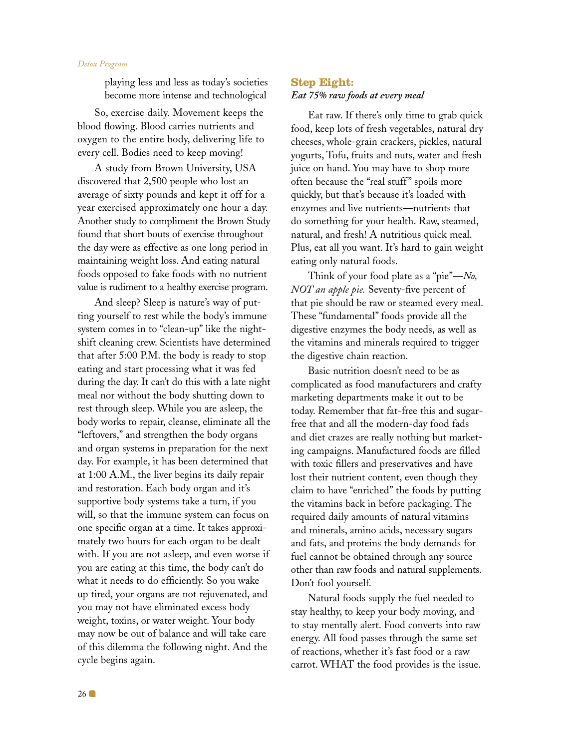playing less and less as today's societies become more intense and technological

So, exercise daily. Movement keeps the blood flowing. Blood carries nutrients and oxygen to the entire body, delivering life to every cell. Bodies need to keep moving!

A study from Brown University, USA discovered that 2,500 people who lost an average of sixty pounds and kept it off for a year exercised approximately one hour a day. Another study to compliment the Brown Study found that short bouts of exercise throughout the day were as effective as one long period in maintaining weight loss. And eating natural foods opposed to fake foods with no nutrient value is rudiment to a healthy exercise program.

And sleep? Sleep is nature's way of putting yourself to rest while the body's immune system comes in to "clean-up" like the nightshift cleaning crew. Scientists have determined that after 5:00 P.M. the body is ready to stop eating and start processing what it was fed during the day. It can't do this with a late night meal nor without the body shutting down to rest through sleep. While you are asleep, the body works to repair, cleanse, eliminate all the "leftovers," and strengthen the body organs and organ systems in preparation for the next day. For example, it has been determined that at 1:00 A.M., the liver begins its daily repair and restoration. Each body organ and it's supportive body systems take a turn, if you will, so that the immune system can focus on one specific organ at a time. It takes approximately two hours for each organ to be dealt with. If you are not asleep, and even worse if you are eating at this time, the body can't do what it needs to do efficiently. So you wake up tired, your organs are not rejuvenated, and you may not have eliminated excess body weight, toxins, or water weight. Your body may now be out of balance and will take care of this dilemma the following night. And the cycle begins again.

# **Step Eight:** *Eat 75% raw foods at every meal*

Eat raw. If there's only time to grab quick food, keep lots of fresh vegetables, natural dry cheeses, whole-grain crackers, pickles, natural yogurts, Tofu, fruits and nuts, water and fresh juice on hand. You may have to shop more often because the "real stuff" spoils more quickly, but that's because it's loaded with enzymes and live nutrients—nutrients that do something for your health. Raw, steamed, natural, and fresh! A nutritious quick meal. Plus, eat all you want. It's hard to gain weight eating only natural foods.

Think of your food plate as a "pie"—*No, NOT an apple pie.* Seventy-five percent of that pie should be raw or steamed every meal. These "fundamental" foods provide all the digestive enzymes the body needs, as well as the vitamins and minerals required to trigger the digestive chain reaction.

Basic nutrition doesn't need to be as complicated as food manufacturers and crafty marketing departments make it out to be today. Remember that fat-free this and sugarfree that and all the modern-day food fads and diet crazes are really nothing but marketing campaigns. Manufactured foods are filled with toxic fillers and preservatives and have lost their nutrient content, even though they claim to have "enriched" the foods by putting the vitamins back in before packaging. The required daily amounts of natural vitamins and minerals, amino acids, necessary sugars and fats, and proteins the body demands for fuel cannot be obtained through any source other than raw foods and natural supplements. Don't fool yourself.

Natural foods supply the fuel needed to stay healthy, to keep your body moving, and to stay mentally alert. Food converts into raw energy. All food passes through the same set of reactions, whether it's fast food or a raw carrot. WHAT the food provides is the issue.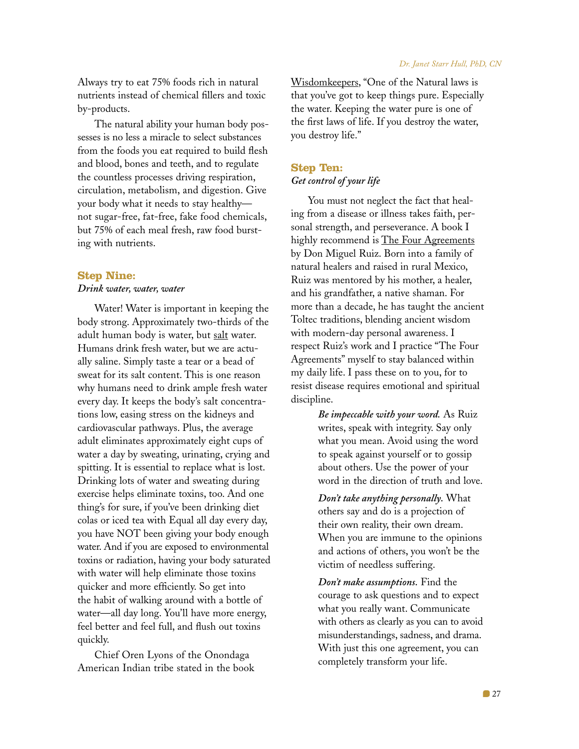Always try to eat 75% foods rich in natural nutrients instead of chemical fillers and toxic by-products.

The natural ability your human body possesses is no less a miracle to select substances from the foods you eat required to build flesh and blood, bones and teeth, and to regulate the countless processes driving respiration, circulation, metabolism, and digestion. Give your body what it needs to stay healthy not sugar-free, fat-free, fake food chemicals, but 75% of each meal fresh, raw food bursting with nutrients.

# **Step Nine:**

### *Drink water, water, water*

Water! Water is important in keeping the body strong. Approximately two-thirds of the adult human body is water, but salt water. Humans drink fresh water, but we are actually saline. Simply taste a tear or a bead of sweat for its salt content. This is one reason why humans need to drink ample fresh water every day. It keeps the body's salt concentrations low, easing stress on the kidneys and cardiovascular pathways. Plus, the average adult eliminates approximately eight cups of water a day by sweating, urinating, crying and spitting. It is essential to replace what is lost. Drinking lots of water and sweating during exercise helps eliminate toxins, too. And one thing's for sure, if you've been drinking diet colas or iced tea with Equal all day every day, you have NOT been giving your body enough water. And if you are exposed to environmental toxins or radiation, having your body saturated with water will help eliminate those toxins quicker and more efficiently. So get into the habit of walking around with a bottle of water—all day long. You'll have more energy, feel better and feel full, and flush out toxins quickly.

Chief Oren Lyons of the Onondaga American Indian tribe stated in the book Wisdomkeepers, "One of the Natural laws is that you've got to keep things pure. Especially the water. Keeping the water pure is one of the first laws of life. If you destroy the water, you destroy life."

# **Step Ten:** *Get control of your life*

You must not neglect the fact that healing from a disease or illness takes faith, personal strength, and perseverance. A book I highly recommend is **The Four Agreements** by Don Miguel Ruiz. Born into a family of natural healers and raised in rural Mexico, Ruiz was mentored by his mother, a healer, and his grandfather, a native shaman. For more than a decade, he has taught the ancient Toltec traditions, blending ancient wisdom with modern-day personal awareness. I respect Ruiz's work and I practice "The Four Agreements" myself to stay balanced within my daily life. I pass these on to you, for to resist disease requires emotional and spiritual discipline.

> *Be impeccable with your word.* As Ruiz writes, speak with integrity. Say only what you mean. Avoid using the word to speak against yourself or to gossip about others. Use the power of your word in the direction of truth and love.

> *Don't take anything personally.* What others say and do is a projection of their own reality, their own dream. When you are immune to the opinions and actions of others, you won't be the victim of needless suffering.

> *Don't make assumptions.* Find the courage to ask questions and to expect what you really want. Communicate with others as clearly as you can to avoid misunderstandings, sadness, and drama. With just this one agreement, you can completely transform your life.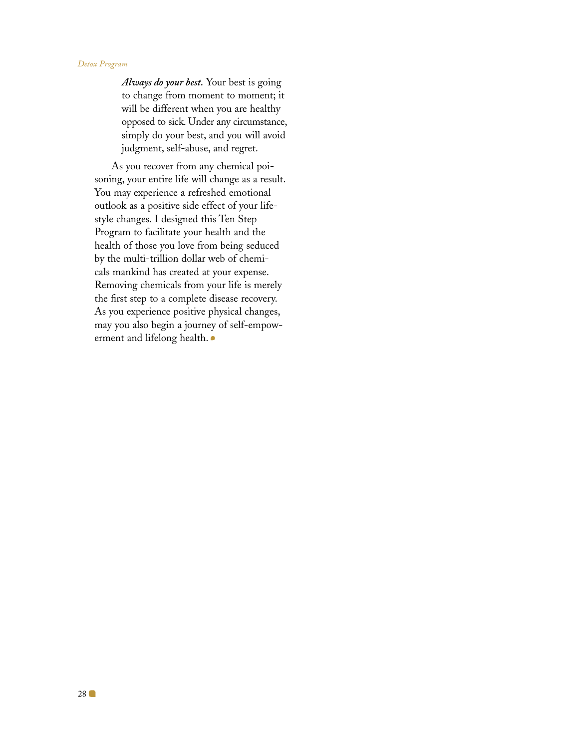*Always do your best.* Your best is going to change from moment to moment; it will be different when you are healthy opposed to sick. Under any circumstance, simply do your best, and you will avoid judgment, self-abuse, and regret.

As you recover from any chemical poisoning, your entire life will change as a result. You may experience a refreshed emotional outlook as a positive side effect of your lifestyle changes. I designed this Ten Step Program to facilitate your health and the health of those you love from being seduced by the multi-trillion dollar web of chemicals mankind has created at your expense. Removing chemicals from your life is merely the first step to a complete disease recovery. As you experience positive physical changes, may you also begin a journey of self-empowerment and lifelong health.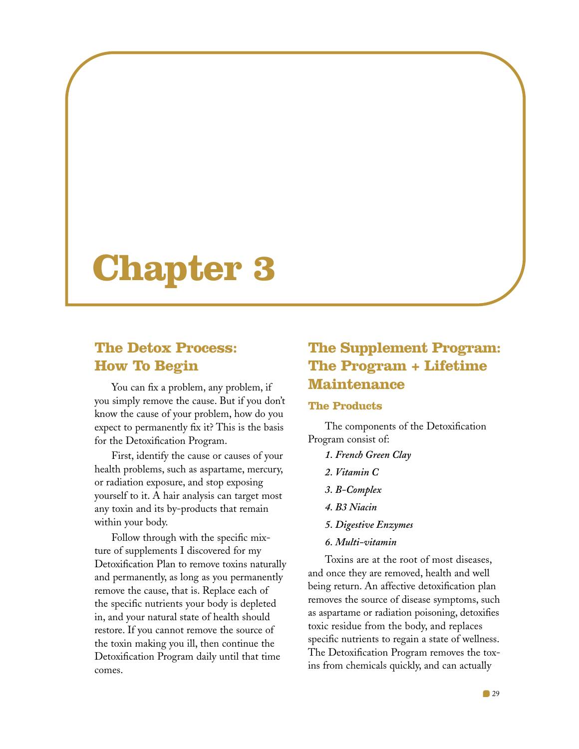# **Chapter 3**

# **The Detox Process: How To Begin**

You can fix a problem, any problem, if you simply remove the cause. But if you don't know the cause of your problem, how do you expect to permanently fix it? This is the basis for the Detoxification Program.

First, identify the cause or causes of your health problems, such as aspartame, mercury, or radiation exposure, and stop exposing yourself to it. A hair analysis can target most any toxin and its by-products that remain within your body.

Follow through with the specific mixture of supplements I discovered for my Detoxification Plan to remove toxins naturally and permanently, as long as you permanently remove the cause, that is. Replace each of the specific nutrients your body is depleted in, and your natural state of health should restore. If you cannot remove the source of the toxin making you ill, then continue the Detoxification Program daily until that time comes.

# **The Supplement Program: The Program + Lifetime Maintenance**

# **The Products**

The components of the Detoxification Program consist of:

- *1. French Green Clay*
- *2. Vitamin C*
- *3. B-Complex*
- *4. B3 Niacin*
- *5. Digestive Enzymes*
- *6. Multi-vitamin*

Toxins are at the root of most diseases, and once they are removed, health and well being return. An affective detoxification plan removes the source of disease symptoms, such as aspartame or radiation poisoning, detoxifies toxic residue from the body, and replaces specific nutrients to regain a state of wellness. The Detoxification Program removes the toxins from chemicals quickly, and can actually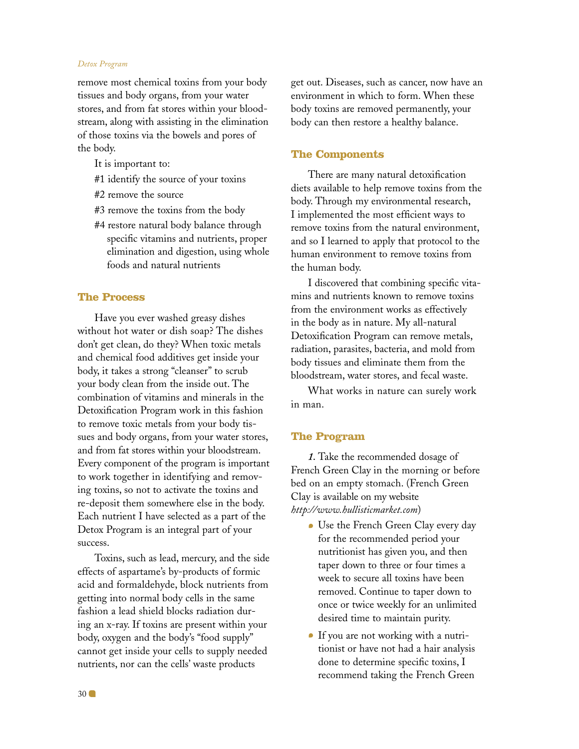remove most chemical toxins from your body tissues and body organs, from your water stores, and from fat stores within your bloodstream, along with assisting in the elimination of those toxins via the bowels and pores of the body.

- It is important to:
- #1 identify the source of your toxins
- #2 remove the source
- #3 remove the toxins from the body
- #4 restore natural body balance through specific vitamins and nutrients, proper elimination and digestion, using whole foods and natural nutrients

# **The Process**

Have you ever washed greasy dishes without hot water or dish soap? The dishes don't get clean, do they? When toxic metals and chemical food additives get inside your body, it takes a strong "cleanser" to scrub your body clean from the inside out. The combination of vitamins and minerals in the Detoxification Program work in this fashion to remove toxic metals from your body tissues and body organs, from your water stores, and from fat stores within your bloodstream. Every component of the program is important to work together in identifying and removing toxins, so not to activate the toxins and re-deposit them somewhere else in the body. Each nutrient I have selected as a part of the Detox Program is an integral part of your success.

Toxins, such as lead, mercury, and the side effects of aspartame's by-products of formic acid and formaldehyde, block nutrients from getting into normal body cells in the same fashion a lead shield blocks radiation during an x-ray. If toxins are present within your body, oxygen and the body's "food supply" cannot get inside your cells to supply needed nutrients, nor can the cells' waste products

get out. Diseases, such as cancer, now have an environment in which to form. When these body toxins are removed permanently, your body can then restore a healthy balance.

## **The Components**

There are many natural detoxification diets available to help remove toxins from the body. Through my environmental research, I implemented the most efficient ways to remove toxins from the natural environment, and so I learned to apply that protocol to the human environment to remove toxins from the human body.

I discovered that combining specific vitamins and nutrients known to remove toxins from the environment works as effectively in the body as in nature. My all-natural Detoxification Program can remove metals, radiation, parasites, bacteria, and mold from body tissues and eliminate them from the bloodstream, water stores, and fecal waste.

What works in nature can surely work in man.

# **The Program**

*1.* Take the recommended dosage of French Green Clay in the morning or before bed on an empty stomach. (French Green Clay is available on my website *http://www.hullisticmarket.com*)

- Use the French Green Clay every day for the recommended period your nutritionist has given you, and then taper down to three or four times a week to secure all toxins have been removed. Continue to taper down to once or twice weekly for an unlimited desired time to maintain purity.
- If you are not working with a nutri tionist or have not had a hair analysis done to determine specific toxins, I recommend taking the French Green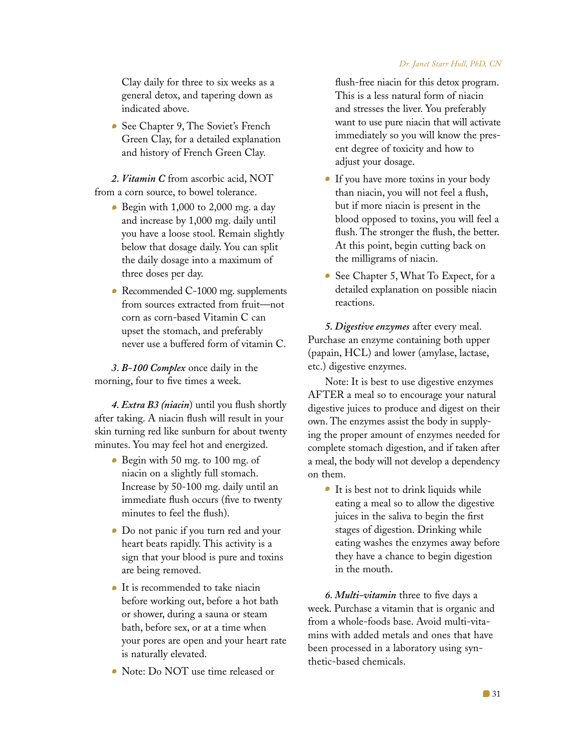Clay daily for three to six weeks as a general detox, and tapering down as indicated above.

 See Chapter 9, The Soviet's French Green Clay, for a detailed explanation and history of French Green Clay.

*2. Vitamin C* from ascorbic acid, NOT from a corn source, to bowel tolerance.

- Begin with 1,000 to 2,000 mg. a day and increase by 1,000 mg. daily until you have a loose stool. Remain slightly below that dosage daily. You can split the daily dosage into a maximum of three doses per day.
- Recommended C-1000 mg. supplements from sources extracted from fruit—not corn as corn-based Vitamin C can upset the stomach, and preferably never use a buffered form of vitamin C.

*3. B-100 Complex* once daily in the morning, four to five times a week.

*4. Extra B3 (niacin*) until you flush shortly after taking. A niacin flush will result in your skin turning red like sunburn for about twenty minutes. You may feel hot and energized.

- Begin with 50 mg. to 100 mg. of niacin on a slightly full stomach. Increase by 50-100 mg. daily until an immediate flush occurs (five to twenty minutes to feel the flush).
- Do not panic if you turn red and your heart beats rapidly. This activity is a sign that your blood is pure and toxins are being removed.
- It is recommended to take niacin before working out, before a hot bath or shower, during a sauna or steam bath, before sex, or at a time when your pores are open and your heart rate is naturally elevated.
- Note: Do NOT use time released or

 flush-free niacin for this detox program. This is a less natural form of niacin and stresses the liver. You preferably want to use pure niacin that will activate immediately so you will know the pres ent degree of toxicity and how to adjust your dosage.

- If you have more toxins in your body than niacin, you will not feel a flush, but if more niacin is present in the blood opposed to toxins, you will feel a flush. The stronger the flush, the better. At this point, begin cutting back on the milligrams of niacin.
- See Chapter 5, What To Expect, for a detailed explanation on possible niacin reactions.

*5. Digestive enzymes* after every meal. Purchase an enzyme containing both upper (papain, HCL) and lower (amylase, lactase, etc.) digestive enzymes.

Note: It is best to use digestive enzymes AFTER a meal so to encourage your natural digestive juices to produce and digest on their own. The enzymes assist the body in supplying the proper amount of enzymes needed for complete stomach digestion, and if taken after a meal, the body will not develop a dependency on them.

 It is best not to drink liquids while eating a meal so to allow the digestive juices in the saliva to begin the first stages of digestion. Drinking while eating washes the enzymes away before they have a chance to begin digestion in the mouth.

*6. Multi-vitamin* three to five days a week. Purchase a vitamin that is organic and from a whole-foods base. Avoid multi-vitamins with added metals and ones that have been processed in a laboratory using synthetic-based chemicals.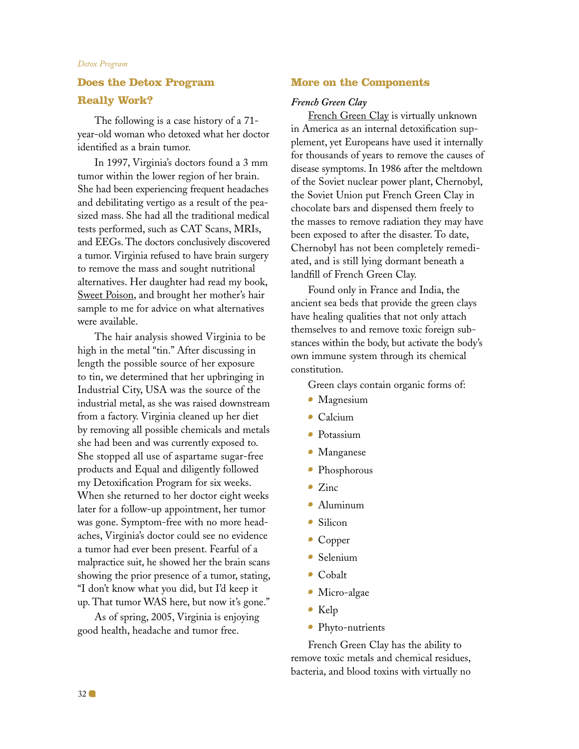## **Does the Detox Program**

## **Really Work?**

The following is a case history of a 71 year-old woman who detoxed what her doctor identified as a brain tumor.

In 1997, Virginia's doctors found a 3 mm tumor within the lower region of her brain. She had been experiencing frequent headaches and debilitating vertigo as a result of the peasized mass. She had all the traditional medical tests performed, such as CAT Scans, MRIs, and EEGs. The doctors conclusively discovered a tumor. Virginia refused to have brain surgery to remove the mass and sought nutritional alternatives. Her daughter had read my book, Sweet Poison, and brought her mother's hair sample to me for advice on what alternatives were available.

The hair analysis showed Virginia to be high in the metal "tin." After discussing in length the possible source of her exposure to tin, we determined that her upbringing in Industrial City, USA was the source of the industrial metal, as she was raised downstream from a factory. Virginia cleaned up her diet by removing all possible chemicals and metals she had been and was currently exposed to. She stopped all use of aspartame sugar-free products and Equal and diligently followed my Detoxification Program for six weeks. When she returned to her doctor eight weeks later for a follow-up appointment, her tumor was gone. Symptom-free with no more headaches, Virginia's doctor could see no evidence a tumor had ever been present. Fearful of a malpractice suit, he showed her the brain scans showing the prior presence of a tumor, stating, "I don't know what you did, but I'd keep it up. That tumor WAS here, but now it's gone."

As of spring, 2005, Virginia is enjoying good health, headache and tumor free.

# **More on the Components**

#### *French Green Clay*

French Green Clay is virtually unknown in America as an internal detoxification supplement, yet Europeans have used it internally for thousands of years to remove the causes of disease symptoms. In 1986 after the meltdown of the Soviet nuclear power plant, Chernobyl, the Soviet Union put French Green Clay in chocolate bars and dispensed them freely to the masses to remove radiation they may have been exposed to after the disaster. To date, Chernobyl has not been completely remediated, and is still lying dormant beneath a landfill of French Green Clay.

Found only in France and India, the ancient sea beds that provide the green clays have healing qualities that not only attach themselves to and remove toxic foreign substances within the body, but activate the body's own immune system through its chemical constitution.

Green clays contain organic forms of:

- Magnesium
- Calcium
- Potassium
- Manganese
- Phosphorous
- $\bullet$  Zinc
- Aluminum
- Silicon
- Copper
- Selenium
- Cobalt
- Micro-algae
- $\bullet$  Kelp
- Phyto-nutrients

French Green Clay has the ability to remove toxic metals and chemical residues, bacteria, and blood toxins with virtually no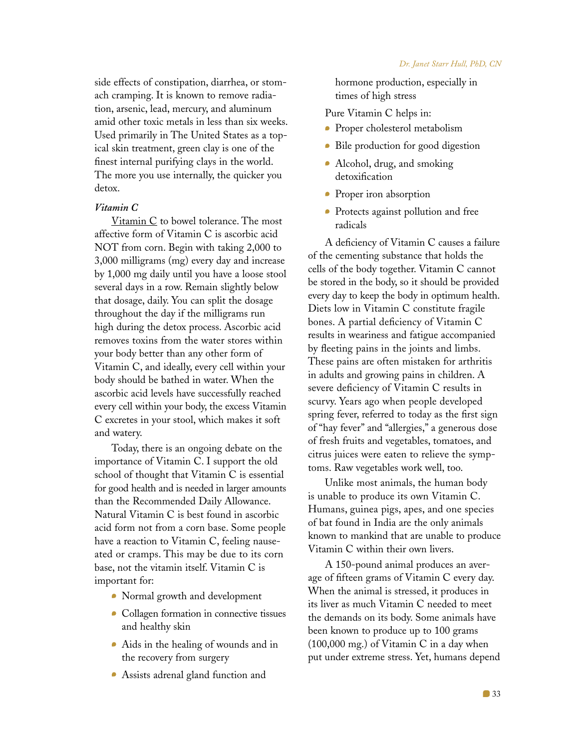side effects of constipation, diarrhea, or stomach cramping. It is known to remove radiation, arsenic, lead, mercury, and aluminum amid other toxic metals in less than six weeks. Used primarily in The United States as a topical skin treatment, green clay is one of the finest internal purifying clays in the world. The more you use internally, the quicker you detox.

# *Vitamin C*

Vitamin C to bowel tolerance. The most affective form of Vitamin C is ascorbic acid NOT from corn. Begin with taking 2,000 to 3,000 milligrams (mg) every day and increase by 1,000 mg daily until you have a loose stool several days in a row. Remain slightly below that dosage, daily. You can split the dosage throughout the day if the milligrams run high during the detox process. Ascorbic acid removes toxins from the water stores within your body better than any other form of Vitamin C, and ideally, every cell within your body should be bathed in water. When the ascorbic acid levels have successfully reached every cell within your body, the excess Vitamin C excretes in your stool, which makes it soft and watery.

Today, there is an ongoing debate on the importance of Vitamin C. I support the old school of thought that Vitamin C is essential for good health and is needed in larger amounts than the Recommended Daily Allowance. Natural Vitamin C is best found in ascorbic acid form not from a corn base. Some people have a reaction to Vitamin C, feeling nauseated or cramps. This may be due to its corn base, not the vitamin itself. Vitamin C is important for:

- Normal growth and development
- Collagen formation in connective tissues and healthy skin
- Aids in the healing of wounds and in the recovery from surgery
- Assists adrenal gland function and

 hormone production, especially in times of high stress

Pure Vitamin C helps in:

- Proper cholesterol metabolism
- Bile production for good digestion
- Alcohol, drug, and smoking detoxification
- Proper iron absorption
- Protects against pollution and free radicals

A deficiency of Vitamin C causes a failure of the cementing substance that holds the cells of the body together. Vitamin C cannot be stored in the body, so it should be provided every day to keep the body in optimum health. Diets low in Vitamin C constitute fragile bones. A partial deficiency of Vitamin C results in weariness and fatigue accompanied by fleeting pains in the joints and limbs. These pains are often mistaken for arthritis in adults and growing pains in children. A severe deficiency of Vitamin C results in scurvy. Years ago when people developed spring fever, referred to today as the first sign of "hay fever" and "allergies," a generous dose of fresh fruits and vegetables, tomatoes, and citrus juices were eaten to relieve the symptoms. Raw vegetables work well, too.

Unlike most animals, the human body is unable to produce its own Vitamin C. Humans, guinea pigs, apes, and one species of bat found in India are the only animals known to mankind that are unable to produce Vitamin C within their own livers.

A 150-pound animal produces an average of fifteen grams of Vitamin C every day. When the animal is stressed, it produces in its liver as much Vitamin C needed to meet the demands on its body. Some animals have been known to produce up to 100 grams (100,000 mg.) of Vitamin C in a day when put under extreme stress. Yet, humans depend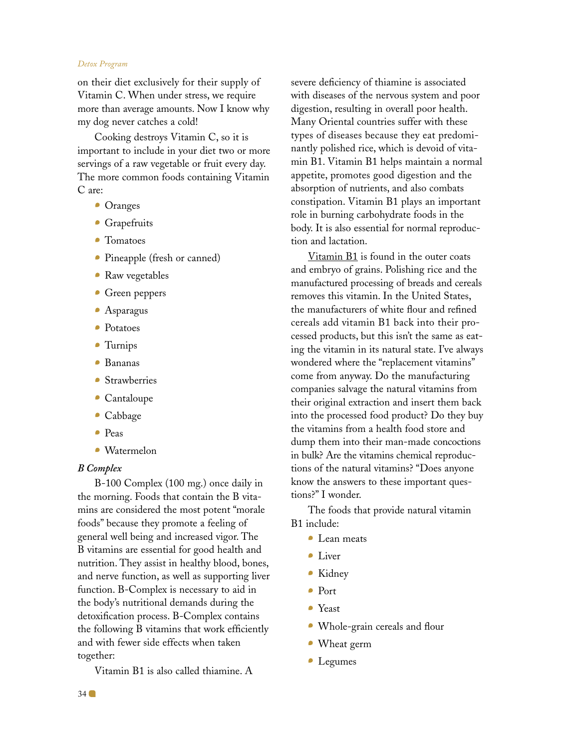on their diet exclusively for their supply of Vitamin C. When under stress, we require more than average amounts. Now I know why my dog never catches a cold!

Cooking destroys Vitamin C, so it is important to include in your diet two or more servings of a raw vegetable or fruit every day. The more common foods containing Vitamin C are:

- Oranges
- **•** Grapefruits
- Tomatoes
- Pineapple (fresh or canned)
- Raw vegetables
- Green peppers
- Asparagus
- Potatoes
- Turnips
- Bananas
- Strawberries
- Cantaloupe
- Cabbage
- Peas
- Watermelon

# *B Complex*

B-100 Complex (100 mg.) once daily in the morning. Foods that contain the B vitamins are considered the most potent "morale foods" because they promote a feeling of general well being and increased vigor. The B vitamins are essential for good health and nutrition. They assist in healthy blood, bones, and nerve function, as well as supporting liver function. B-Complex is necessary to aid in the body's nutritional demands during the detoxification process. B-Complex contains the following B vitamins that work efficiently and with fewer side effects when taken together:

Vitamin B1 is also called thiamine. A

severe deficiency of thiamine is associated with diseases of the nervous system and poor digestion, resulting in overall poor health. Many Oriental countries suffer with these types of diseases because they eat predominantly polished rice, which is devoid of vitamin B1. Vitamin B1 helps maintain a normal appetite, promotes good digestion and the absorption of nutrients, and also combats constipation. Vitamin B1 plays an important role in burning carbohydrate foods in the body. It is also essential for normal reproduction and lactation.

Vitamin B1 is found in the outer coats and embryo of grains. Polishing rice and the manufactured processing of breads and cereals removes this vitamin. In the United States, the manufacturers of white flour and refined cereals add vitamin B1 back into their processed products, but this isn't the same as eating the vitamin in its natural state. I've always wondered where the "replacement vitamins" come from anyway. Do the manufacturing companies salvage the natural vitamins from their original extraction and insert them back into the processed food product? Do they buy the vitamins from a health food store and dump them into their man-made concoctions in bulk? Are the vitamins chemical reproductions of the natural vitamins? "Does anyone know the answers to these important questions?" I wonder.

The foods that provide natural vitamin B1 include:

- Lean meats
- Liver
- Kidney
- Port
- Yeast
- Whole-grain cereals and flour
- Wheat germ
- Legumes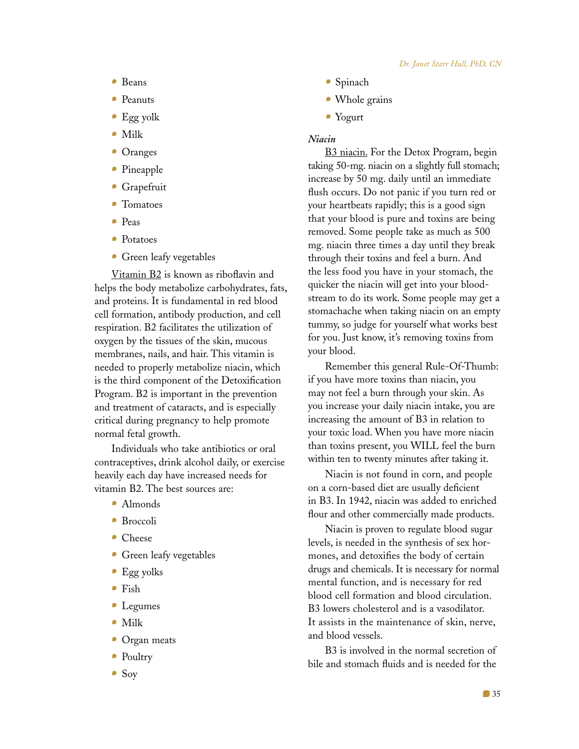- **Beans**
- Peanuts
- Egg yolk
- Milk
- Oranges
- Pineapple
- Grapefruit
- Tomatoes
- Peas
- Potatoes
- Green leafy vegetables

Vitamin B2 is known as riboflavin and helps the body metabolize carbohydrates, fats, and proteins. It is fundamental in red blood cell formation, antibody production, and cell respiration. B2 facilitates the utilization of oxygen by the tissues of the skin, mucous membranes, nails, and hair. This vitamin is needed to properly metabolize niacin, which is the third component of the Detoxification Program. B2 is important in the prevention and treatment of cataracts, and is especially critical during pregnancy to help promote normal fetal growth.

Individuals who take antibiotics or oral contraceptives, drink alcohol daily, or exercise heavily each day have increased needs for vitamin B2. The best sources are:

- Almonds
- **Broccoli**
- Cheese
- Green leafy vegetables
- Egg yolks
- Fish
- Legumes
- Milk
- Organ meats
- Poultry
- $\bullet$  Soy
- Spinach
- Whole grains
- Yogurt

# *Niacin*

B3 niacin. For the Detox Program, begin taking 50-mg. niacin on a slightly full stomach; increase by 50 mg. daily until an immediate flush occurs. Do not panic if you turn red or your heartbeats rapidly; this is a good sign that your blood is pure and toxins are being removed. Some people take as much as 500 mg. niacin three times a day until they break through their toxins and feel a burn. And the less food you have in your stomach, the quicker the niacin will get into your bloodstream to do its work. Some people may get a stomachache when taking niacin on an empty tummy, so judge for yourself what works best for you. Just know, it's removing toxins from your blood.

Remember this general Rule-Of-Thumb: if you have more toxins than niacin, you may not feel a burn through your skin. As you increase your daily niacin intake, you are increasing the amount of B3 in relation to your toxic load. When you have more niacin than toxins present, you WILL feel the burn within ten to twenty minutes after taking it.

Niacin is not found in corn, and people on a corn-based diet are usually deficient in B3. In 1942, niacin was added to enriched flour and other commercially made products.

Niacin is proven to regulate blood sugar levels, is needed in the synthesis of sex hormones, and detoxifies the body of certain drugs and chemicals. It is necessary for normal mental function, and is necessary for red blood cell formation and blood circulation. B3 lowers cholesterol and is a vasodilator. It assists in the maintenance of skin, nerve, and blood vessels.

B3 is involved in the normal secretion of bile and stomach fluids and is needed for the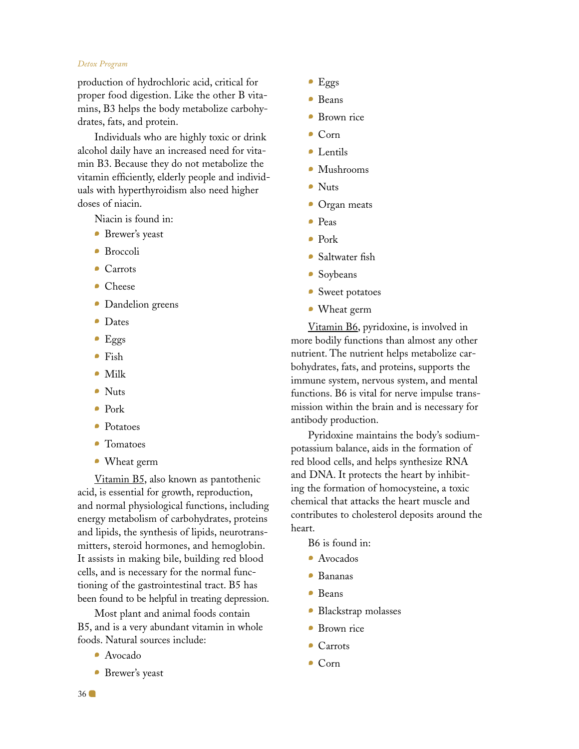production of hydrochloric acid, critical for proper food digestion. Like the other B vitamins, B3 helps the body metabolize carbohydrates, fats, and protein.

Individuals who are highly toxic or drink alcohol daily have an increased need for vitamin B3. Because they do not metabolize the vitamin efficiently, elderly people and individuals with hyperthyroidism also need higher doses of niacin.

Niacin is found in:

- Brewer's yeast
- Broccoli
- Carrots
- Cheese
- Dandelion greens
- Dates
- Eggs
- Fish
- Milk
- Nuts
- Pork
- Potatoes
- Tomatoes
- Wheat germ

Vitamin B5, also known as pantothenic acid, is essential for growth, reproduction, and normal physiological functions, including energy metabolism of carbohydrates, proteins and lipids, the synthesis of lipids, neurotransmitters, steroid hormones, and hemoglobin. It assists in making bile, building red blood cells, and is necessary for the normal functioning of the gastrointestinal tract. B5 has been found to be helpful in treating depression.

Most plant and animal foods contain B5, and is a very abundant vitamin in whole foods. Natural sources include:

- Avocado
- Brewer's yeast
- Eggs
- Beans
- **Brown rice**
- Corn
- Lentils
- Mushrooms
- Nuts
- Organ meats
- Peas
- Pork
- Saltwater fish
- Soybeans
- Sweet potatoes
- Wheat germ

Vitamin B6, pyridoxine, is involved in more bodily functions than almost any other nutrient. The nutrient helps metabolize carbohydrates, fats, and proteins, supports the immune system, nervous system, and mental functions. B6 is vital for nerve impulse transmission within the brain and is necessary for antibody production.

Pyridoxine maintains the body's sodiumpotassium balance, aids in the formation of red blood cells, and helps synthesize RNA and DNA. It protects the heart by inhibiting the formation of homocysteine, a toxic chemical that attacks the heart muscle and contributes to cholesterol deposits around the heart.

B6 is found in:

- Avocados
- Bananas
- Beans
- Blackstrap molasses
- **Brown rice**
- Carrots
- Corn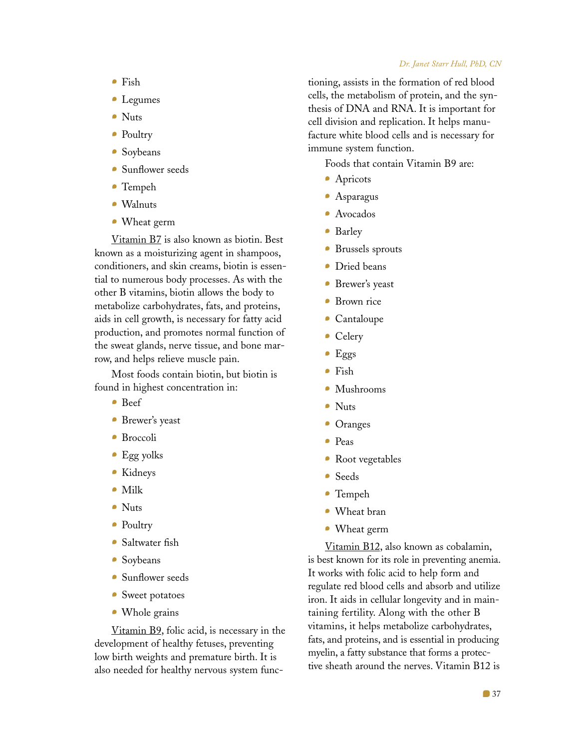# *Dr. Janet Starr Hull, PhD, CN*

- Fish
- Legumes
- Nuts
- Poultry
- Soybeans
- Sunflower seeds
- Tempeh
- Walnuts
- Wheat germ

Vitamin B7 is also known as biotin. Best known as a moisturizing agent in shampoos, conditioners, and skin creams, biotin is essential to numerous body processes. As with the other B vitamins, biotin allows the body to metabolize carbohydrates, fats, and proteins, aids in cell growth, is necessary for fatty acid production, and promotes normal function of the sweat glands, nerve tissue, and bone marrow, and helps relieve muscle pain.

Most foods contain biotin, but biotin is found in highest concentration in:

- Beef
- Brewer's yeast
- Broccoli
- Egg yolks
- Kidneys
- Milk
- Nuts
- Poultry
- Saltwater fish
- Soybeans
- Sunflower seeds
- Sweet potatoes
- Whole grains

Vitamin B9, folic acid, is necessary in the development of healthy fetuses, preventing low birth weights and premature birth. It is also needed for healthy nervous system functioning, assists in the formation of red blood cells, the metabolism of protein, and the synthesis of DNA and RNA. It is important for cell division and replication. It helps manufacture white blood cells and is necessary for immune system function.

Foods that contain Vitamin B9 are:

- Apricots
- Asparagus
- Avocados
- Barley
- Brussels sprouts
- **•** Dried beans
- Brewer's yeast
- **Brown rice**
- Cantaloupe
- Celery
- $\bullet$  Eggs
- Fish
- Mushrooms
- Nuts
- Oranges
- Peas
- Root vegetables
- Seeds
- Tempeh
- Wheat bran
- Wheat germ

Vitamin B12, also known as cobalamin, is best known for its role in preventing anemia. It works with folic acid to help form and regulate red blood cells and absorb and utilize iron. It aids in cellular longevity and in maintaining fertility. Along with the other B vitamins, it helps metabolize carbohydrates, fats, and proteins, and is essential in producing myelin, a fatty substance that forms a protective sheath around the nerves. Vitamin B12 is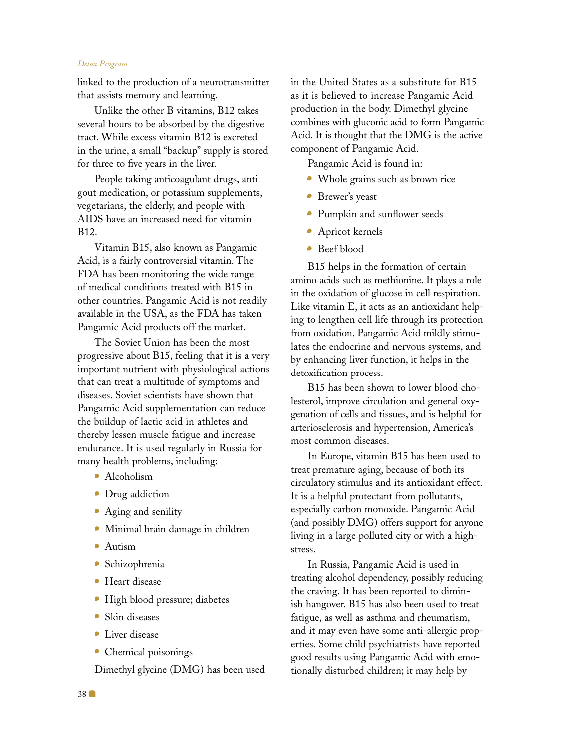linked to the production of a neurotransmitter that assists memory and learning.

Unlike the other B vitamins, B12 takes several hours to be absorbed by the digestive tract. While excess vitamin B12 is excreted in the urine, a small "backup" supply is stored for three to five years in the liver.

People taking anticoagulant drugs, anti gout medication, or potassium supplements, vegetarians, the elderly, and people with AIDS have an increased need for vitamin B12.

Vitamin B15, also known as Pangamic Acid, is a fairly controversial vitamin. The FDA has been monitoring the wide range of medical conditions treated with B15 in other countries. Pangamic Acid is not readily available in the USA, as the FDA has taken Pangamic Acid products off the market.

The Soviet Union has been the most progressive about B15, feeling that it is a very important nutrient with physiological actions that can treat a multitude of symptoms and diseases. Soviet scientists have shown that Pangamic Acid supplementation can reduce the buildup of lactic acid in athletes and thereby lessen muscle fatigue and increase endurance. It is used regularly in Russia for many health problems, including:

- Alcoholism
- Drug addiction
- Aging and senility
- Minimal brain damage in children
- Autism
- Schizophrenia
- Heart disease
- High blood pressure; diabetes
- Skin diseases
- Liver disease
- Chemical poisonings

Dimethyl glycine (DMG) has been used

in the United States as a substitute for B15 as it is believed to increase Pangamic Acid production in the body. Dimethyl glycine combines with gluconic acid to form Pangamic Acid. It is thought that the DMG is the active component of Pangamic Acid.

Pangamic Acid is found in:

- Whole grains such as brown rice
- Brewer's yeast
- Pumpkin and sunflower seeds
- Apricot kernels
- Beef blood

B15 helps in the formation of certain amino acids such as methionine. It plays a role in the oxidation of glucose in cell respiration. Like vitamin E, it acts as an antioxidant helping to lengthen cell life through its protection from oxidation. Pangamic Acid mildly stimulates the endocrine and nervous systems, and by enhancing liver function, it helps in the detoxification process.

B15 has been shown to lower blood cholesterol, improve circulation and general oxygenation of cells and tissues, and is helpful for arteriosclerosis and hypertension, America's most common diseases.

In Europe, vitamin B15 has been used to treat premature aging, because of both its circulatory stimulus and its antioxidant effect. It is a helpful protectant from pollutants, especially carbon monoxide. Pangamic Acid (and possibly DMG) offers support for anyone living in a large polluted city or with a highstress.

In Russia, Pangamic Acid is used in treating alcohol dependency, possibly reducing the craving. It has been reported to diminish hangover. B15 has also been used to treat fatigue, as well as asthma and rheumatism, and it may even have some anti-allergic properties. Some child psychiatrists have reported good results using Pangamic Acid with emotionally disturbed children; it may help by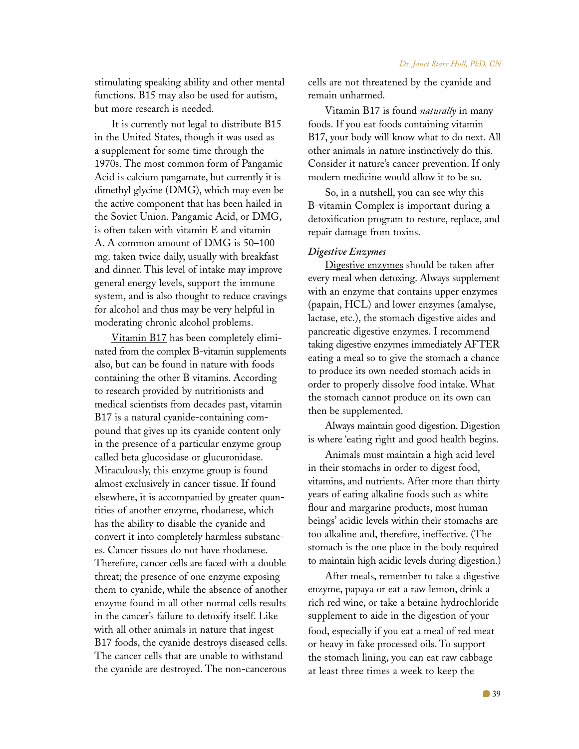stimulating speaking ability and other mental functions. B15 may also be used for autism, but more research is needed.

It is currently not legal to distribute B15 in the United States, though it was used as a supplement for some time through the 1970s. The most common form of Pangamic Acid is calcium pangamate, but currently it is dimethyl glycine (DMG), which may even be the active component that has been hailed in the Soviet Union. Pangamic Acid, or DMG, is often taken with vitamin E and vitamin A. A common amount of DMG is 50–100 mg. taken twice daily, usually with breakfast and dinner. This level of intake may improve general energy levels, support the immune system, and is also thought to reduce cravings for alcohol and thus may be very helpful in moderating chronic alcohol problems.

Vitamin B17 has been completely eliminated from the complex B-vitamin supplements also, but can be found in nature with foods containing the other B vitamins. According to research provided by nutritionists and medical scientists from decades past, vitamin B17 is a natural cyanide-containing compound that gives up its cyanide content only in the presence of a particular enzyme group called beta glucosidase or glucuronidase. Miraculously, this enzyme group is found almost exclusively in cancer tissue. If found elsewhere, it is accompanied by greater quantities of another enzyme, rhodanese, which has the ability to disable the cyanide and convert it into completely harmless substances. Cancer tissues do not have rhodanese. Therefore, cancer cells are faced with a double threat; the presence of one enzyme exposing them to cyanide, while the absence of another enzyme found in all other normal cells results in the cancer's failure to detoxify itself. Like with all other animals in nature that ingest B17 foods, the cyanide destroys diseased cells. The cancer cells that are unable to withstand the cyanide are destroyed. The non-cancerous

cells are not threatened by the cyanide and remain unharmed.

Vitamin B17 is found *naturally* in many foods. If you eat foods containing vitamin B17, your body will know what to do next. All other animals in nature instinctively do this. Consider it nature's cancer prevention. If only modern medicine would allow it to be so.

So, in a nutshell, you can see why this B-vitamin Complex is important during a detoxification program to restore, replace, and repair damage from toxins.

### *Digestive Enzymes*

Digestive enzymes should be taken after every meal when detoxing. Always supplement with an enzyme that contains upper enzymes (papain, HCL) and lower enzymes (amalyse, lactase, etc.), the stomach digestive aides and pancreatic digestive enzymes. I recommend taking digestive enzymes immediately AFTER eating a meal so to give the stomach a chance to produce its own needed stomach acids in order to properly dissolve food intake. What the stomach cannot produce on its own can then be supplemented.

Always maintain good digestion. Digestion is where 'eating right and good health begins.

Animals must maintain a high acid level in their stomachs in order to digest food, vitamins, and nutrients. After more than thirty years of eating alkaline foods such as white flour and margarine products, most human beings' acidic levels within their stomachs are too alkaline and, therefore, ineffective. (The stomach is the one place in the body required to maintain high acidic levels during digestion.)

After meals, remember to take a digestive enzyme, papaya or eat a raw lemon, drink a rich red wine, or take a betaine hydrochloride supplement to aide in the digestion of your food, especially if you eat a meal of red meat or heavy in fake processed oils. To support the stomach lining, you can eat raw cabbage at least three times a week to keep the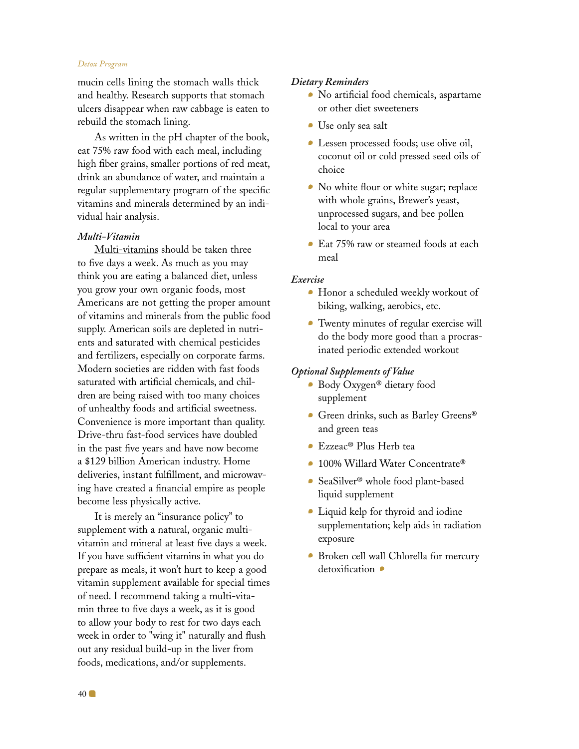mucin cells lining the stomach walls thick and healthy. Research supports that stomach ulcers disappear when raw cabbage is eaten to rebuild the stomach lining.

As written in the pH chapter of the book, eat 75% raw food with each meal, including high fiber grains, smaller portions of red meat, drink an abundance of water, and maintain a regular supplementary program of the specific vitamins and minerals determined by an individual hair analysis.

### *Multi-Vitamin*

Multi-vitamins should be taken three to five days a week. As much as you may think you are eating a balanced diet, unless you grow your own organic foods, most Americans are not getting the proper amount of vitamins and minerals from the public food supply. American soils are depleted in nutrients and saturated with chemical pesticides and fertilizers, especially on corporate farms. Modern societies are ridden with fast foods saturated with artificial chemicals, and children are being raised with too many choices of unhealthy foods and artificial sweetness. Convenience is more important than quality. Drive-thru fast-food services have doubled in the past five years and have now become a \$129 billion American industry. Home deliveries, instant fulfillment, and microwaving have created a financial empire as people become less physically active.

It is merely an "insurance policy" to supplement with a natural, organic multivitamin and mineral at least five days a week. If you have sufficient vitamins in what you do prepare as meals, it won't hurt to keep a good vitamin supplement available for special times of need. I recommend taking a multi-vitamin three to five days a week, as it is good to allow your body to rest for two days each week in order to "wing it" naturally and flush out any residual build-up in the liver from foods, medications, and/or supplements.

### *Dietary Reminders*

- No artificial food chemicals, aspartame or other diet sweeteners
- Use only sea salt
- Lessen processed foods; use olive oil, coconut oil or cold pressed seed oils of choice
- No white flour or white sugar; replace with whole grains, Brewer's yeast, unprocessed sugars, and bee pollen local to your area
- **Eat 75% raw or steamed foods at each** meal

#### *Exercise*

- Honor a scheduled weekly workout of biking, walking, aerobics, etc.
- Twenty minutes of regular exercise will do the body more good than a procras inated periodic extended workout

### *Optional Supplements of Value*

- Body Oxygen® dietary food supplement
- Green drinks, such as Barley Greens® and green teas
- Ezzeac<sup>®</sup> Plus Herb tea
- 100% Willard Water Concentrate®
- SeaSilver® whole food plant-based liquid supplement
- Liquid kelp for thyroid and iodine supplementation; kelp aids in radiation exposure
- Broken cell wall Chlorella for mercury detoxification  $\bullet$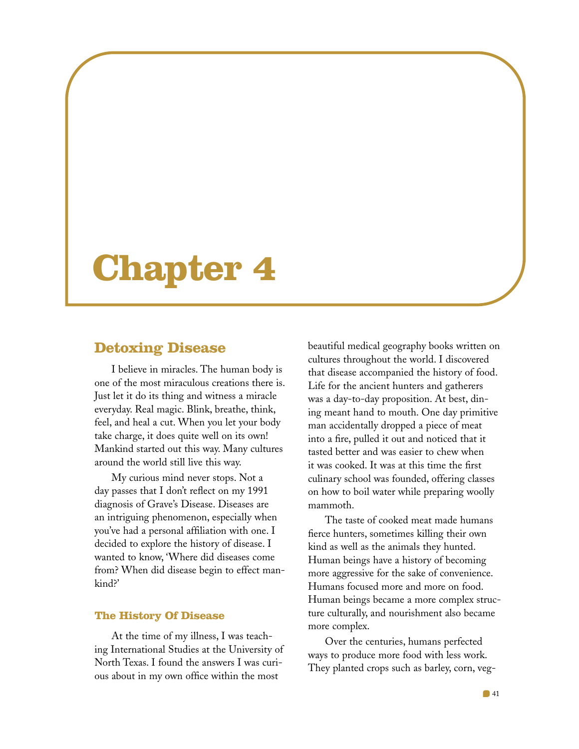# **Chapter 4**

### **Detoxing Disease**

I believe in miracles. The human body is one of the most miraculous creations there is. Just let it do its thing and witness a miracle everyday. Real magic. Blink, breathe, think, feel, and heal a cut. When you let your body take charge, it does quite well on its own! Mankind started out this way. Many cultures around the world still live this way.

My curious mind never stops. Not a day passes that I don't reflect on my 1991 diagnosis of Grave's Disease. Diseases are an intriguing phenomenon, especially when you've had a personal affiliation with one. I decided to explore the history of disease. I wanted to know, 'Where did diseases come from? When did disease begin to effect mankind?'

### **The History Of Disease**

At the time of my illness, I was teaching International Studies at the University of North Texas. I found the answers I was curious about in my own office within the most

beautiful medical geography books written on cultures throughout the world. I discovered that disease accompanied the history of food. Life for the ancient hunters and gatherers was a day-to-day proposition. At best, dining meant hand to mouth. One day primitive man accidentally dropped a piece of meat into a fire, pulled it out and noticed that it tasted better and was easier to chew when it was cooked. It was at this time the first culinary school was founded, offering classes on how to boil water while preparing woolly mammoth.

The taste of cooked meat made humans fierce hunters, sometimes killing their own kind as well as the animals they hunted. Human beings have a history of becoming more aggressive for the sake of convenience. Humans focused more and more on food. Human beings became a more complex structure culturally, and nourishment also became more complex.

Over the centuries, humans perfected ways to produce more food with less work. They planted crops such as barley, corn, veg-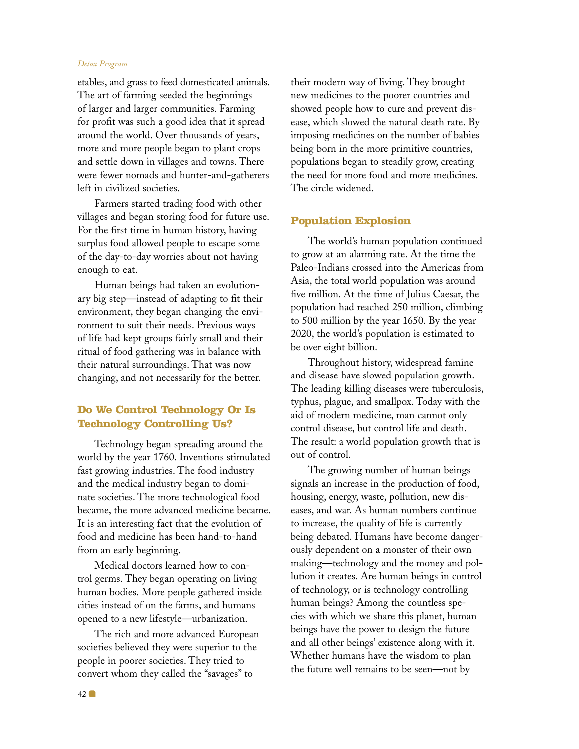etables, and grass to feed domesticated animals. The art of farming seeded the beginnings of larger and larger communities. Farming for profit was such a good idea that it spread around the world. Over thousands of years, more and more people began to plant crops and settle down in villages and towns. There were fewer nomads and hunter-and-gatherers left in civilized societies.

Farmers started trading food with other villages and began storing food for future use. For the first time in human history, having surplus food allowed people to escape some of the day-to-day worries about not having enough to eat.

Human beings had taken an evolutionary big step—instead of adapting to fit their environment, they began changing the environment to suit their needs. Previous ways of life had kept groups fairly small and their ritual of food gathering was in balance with their natural surroundings. That was now changing, and not necessarily for the better.

### **Do We Control Technology Or Is Technology Controlling Us?**

Technology began spreading around the world by the year 1760. Inventions stimulated fast growing industries. The food industry and the medical industry began to dominate societies. The more technological food became, the more advanced medicine became. It is an interesting fact that the evolution of food and medicine has been hand-to-hand from an early beginning.

Medical doctors learned how to control germs. They began operating on living human bodies. More people gathered inside cities instead of on the farms, and humans opened to a new lifestyle—urbanization.

The rich and more advanced European societies believed they were superior to the people in poorer societies. They tried to convert whom they called the "savages" to

their modern way of living. They brought new medicines to the poorer countries and showed people how to cure and prevent disease, which slowed the natural death rate. By imposing medicines on the number of babies being born in the more primitive countries, populations began to steadily grow, creating the need for more food and more medicines. The circle widened.

### **Population Explosion**

The world's human population continued to grow at an alarming rate. At the time the Paleo-Indians crossed into the Americas from Asia, the total world population was around five million. At the time of Julius Caesar, the population had reached 250 million, climbing to 500 million by the year 1650. By the year 2020, the world's population is estimated to be over eight billion.

Throughout history, widespread famine and disease have slowed population growth. The leading killing diseases were tuberculosis, typhus, plague, and smallpox. Today with the aid of modern medicine, man cannot only control disease, but control life and death. The result: a world population growth that is out of control.

The growing number of human beings signals an increase in the production of food, housing, energy, waste, pollution, new diseases, and war. As human numbers continue to increase, the quality of life is currently being debated. Humans have become dangerously dependent on a monster of their own making—technology and the money and pollution it creates. Are human beings in control of technology, or is technology controlling human beings? Among the countless species with which we share this planet, human beings have the power to design the future and all other beings' existence along with it. Whether humans have the wisdom to plan the future well remains to be seen—not by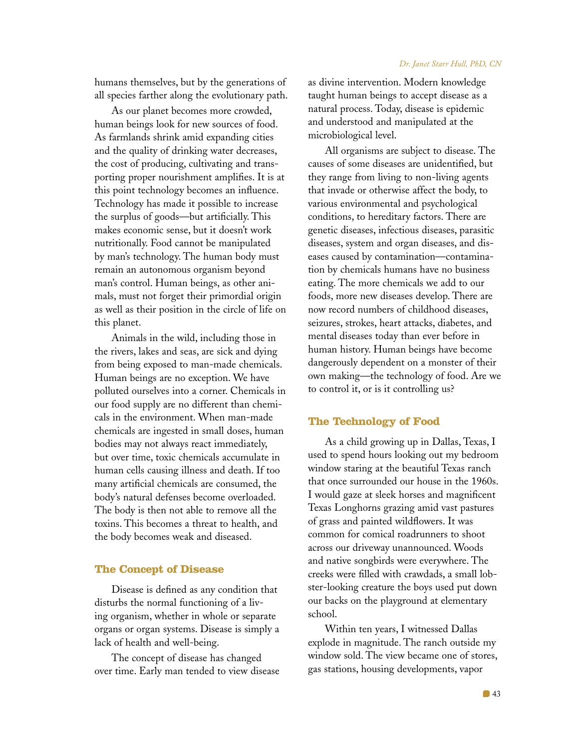humans themselves, but by the generations of all species farther along the evolutionary path.

As our planet becomes more crowded, human beings look for new sources of food. As farmlands shrink amid expanding cities and the quality of drinking water decreases, the cost of producing, cultivating and transporting proper nourishment amplifies. It is at this point technology becomes an influence. Technology has made it possible to increase the surplus of goods—but artificially. This makes economic sense, but it doesn't work nutritionally. Food cannot be manipulated by man's technology. The human body must remain an autonomous organism beyond man's control. Human beings, as other animals, must not forget their primordial origin as well as their position in the circle of life on this planet.

Animals in the wild, including those in the rivers, lakes and seas, are sick and dying from being exposed to man-made chemicals. Human beings are no exception. We have polluted ourselves into a corner. Chemicals in our food supply are no different than chemicals in the environment. When man-made chemicals are ingested in small doses, human bodies may not always react immediately, but over time, toxic chemicals accumulate in human cells causing illness and death. If too many artificial chemicals are consumed, the body's natural defenses become overloaded. The body is then not able to remove all the toxins. This becomes a threat to health, and the body becomes weak and diseased.

### **The Concept of Disease**

Disease is defined as any condition that disturbs the normal functioning of a living organism, whether in whole or separate organs or organ systems. Disease is simply a lack of health and well-being.

The concept of disease has changed over time. Early man tended to view disease as divine intervention. Modern knowledge taught human beings to accept disease as a natural process. Today, disease is epidemic and understood and manipulated at the microbiological level.

All organisms are subject to disease. The causes of some diseases are unidentified, but they range from living to non-living agents that invade or otherwise affect the body, to various environmental and psychological conditions, to hereditary factors. There are genetic diseases, infectious diseases, parasitic diseases, system and organ diseases, and diseases caused by contamination—contamination by chemicals humans have no business eating. The more chemicals we add to our foods, more new diseases develop. There are now record numbers of childhood diseases, seizures, strokes, heart attacks, diabetes, and mental diseases today than ever before in human history. Human beings have become dangerously dependent on a monster of their own making—the technology of food. Are we to control it, or is it controlling us?

### **The Technology of Food**

As a child growing up in Dallas, Texas, I used to spend hours looking out my bedroom window staring at the beautiful Texas ranch that once surrounded our house in the 1960s. I would gaze at sleek horses and magnificent Texas Longhorns grazing amid vast pastures of grass and painted wildflowers. It was common for comical roadrunners to shoot across our driveway unannounced. Woods and native songbirds were everywhere. The creeks were filled with crawdads, a small lobster-looking creature the boys used put down our backs on the playground at elementary school.

Within ten years, I witnessed Dallas explode in magnitude. The ranch outside my window sold. The view became one of stores, gas stations, housing developments, vapor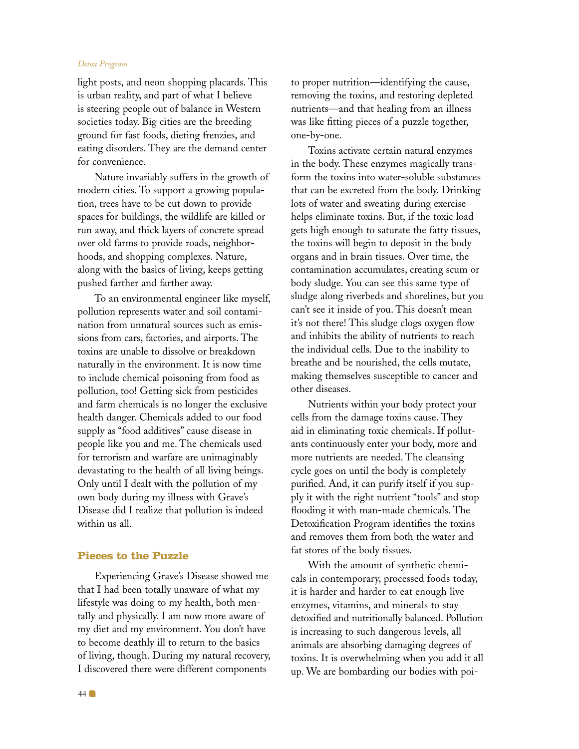light posts, and neon shopping placards. This is urban reality, and part of what I believe is steering people out of balance in Western societies today. Big cities are the breeding ground for fast foods, dieting frenzies, and eating disorders. They are the demand center for convenience.

Nature invariably suffers in the growth of modern cities. To support a growing population, trees have to be cut down to provide spaces for buildings, the wildlife are killed or run away, and thick layers of concrete spread over old farms to provide roads, neighborhoods, and shopping complexes. Nature, along with the basics of living, keeps getting pushed farther and farther away.

To an environmental engineer like myself, pollution represents water and soil contamination from unnatural sources such as emissions from cars, factories, and airports. The toxins are unable to dissolve or breakdown naturally in the environment. It is now time to include chemical poisoning from food as pollution, too! Getting sick from pesticides and farm chemicals is no longer the exclusive health danger. Chemicals added to our food supply as "food additives" cause disease in people like you and me. The chemicals used for terrorism and warfare are unimaginably devastating to the health of all living beings. Only until I dealt with the pollution of my own body during my illness with Grave's Disease did I realize that pollution is indeed within us all.

### **Pieces to the Puzzle**

Experiencing Grave's Disease showed me that I had been totally unaware of what my lifestyle was doing to my health, both mentally and physically. I am now more aware of my diet and my environment. You don't have to become deathly ill to return to the basics of living, though. During my natural recovery, I discovered there were different components

to proper nutrition—identifying the cause, removing the toxins, and restoring depleted nutrients—and that healing from an illness was like fitting pieces of a puzzle together, one-by-one.

Toxins activate certain natural enzymes in the body. These enzymes magically transform the toxins into water-soluble substances that can be excreted from the body. Drinking lots of water and sweating during exercise helps eliminate toxins. But, if the toxic load gets high enough to saturate the fatty tissues, the toxins will begin to deposit in the body organs and in brain tissues. Over time, the contamination accumulates, creating scum or body sludge. You can see this same type of sludge along riverbeds and shorelines, but you can't see it inside of you. This doesn't mean it's not there! This sludge clogs oxygen flow and inhibits the ability of nutrients to reach the individual cells. Due to the inability to breathe and be nourished, the cells mutate, making themselves susceptible to cancer and other diseases.

Nutrients within your body protect your cells from the damage toxins cause. They aid in eliminating toxic chemicals. If pollutants continuously enter your body, more and more nutrients are needed. The cleansing cycle goes on until the body is completely purified. And, it can purify itself if you supply it with the right nutrient "tools" and stop flooding it with man-made chemicals. The Detoxification Program identifies the toxins and removes them from both the water and fat stores of the body tissues.

With the amount of synthetic chemicals in contemporary, processed foods today, it is harder and harder to eat enough live enzymes, vitamins, and minerals to stay detoxified and nutritionally balanced. Pollution is increasing to such dangerous levels, all animals are absorbing damaging degrees of toxins. It is overwhelming when you add it all up. We are bombarding our bodies with poi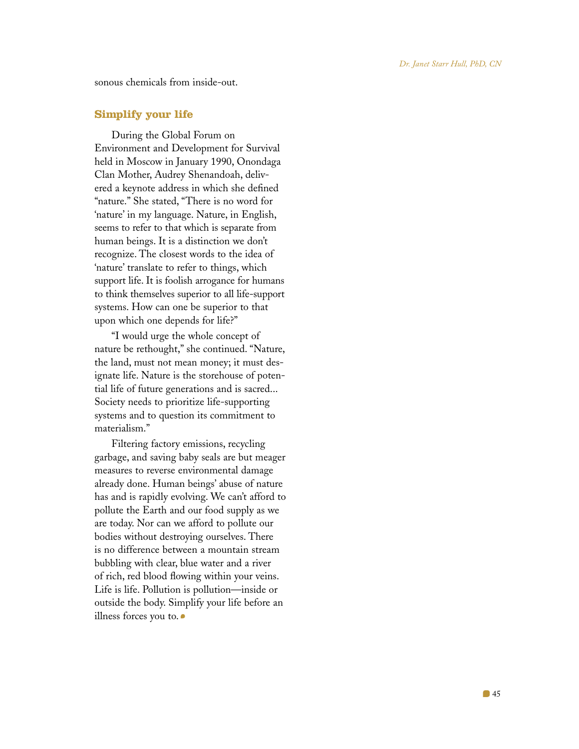sonous chemicals from inside-out.

### **Simplify your life**

During the Global Forum on Environment and Development for Survival held in Moscow in January 1990, Onondaga Clan Mother, Audrey Shenandoah, delivered a keynote address in which she defined "nature." She stated, "There is no word for 'nature' in my language. Nature, in English, seems to refer to that which is separate from human beings. It is a distinction we don't recognize. The closest words to the idea of 'nature' translate to refer to things, which support life. It is foolish arrogance for humans to think themselves superior to all life-support systems. How can one be superior to that upon which one depends for life?"

"I would urge the whole concept of nature be rethought," she continued. "Nature, the land, must not mean money; it must designate life. Nature is the storehouse of potential life of future generations and is sacred... Society needs to prioritize life-supporting systems and to question its commitment to materialism."

Filtering factory emissions, recycling garbage, and saving baby seals are but meager measures to reverse environmental damage already done. Human beings' abuse of nature has and is rapidly evolving. We can't afford to pollute the Earth and our food supply as we are today. Nor can we afford to pollute our bodies without destroying ourselves. There is no difference between a mountain stream bubbling with clear, blue water and a river of rich, red blood flowing within your veins. Life is life. Pollution is pollution—inside or outside the body. Simplify your life before an illness forces you to.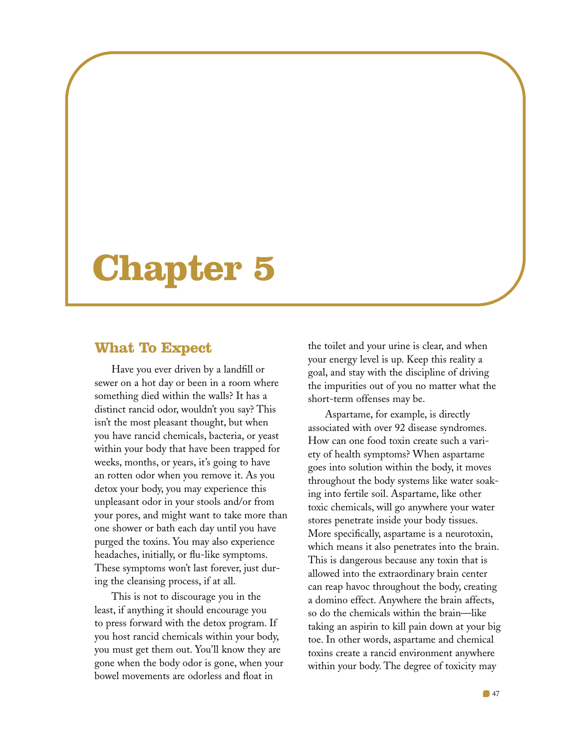# **Chapter 5**

### **What To Expect**

Have you ever driven by a landfill or sewer on a hot day or been in a room where something died within the walls? It has a distinct rancid odor, wouldn't you say? This isn't the most pleasant thought, but when you have rancid chemicals, bacteria, or yeast within your body that have been trapped for weeks, months, or years, it's going to have an rotten odor when you remove it. As you detox your body, you may experience this unpleasant odor in your stools and/or from your pores, and might want to take more than one shower or bath each day until you have purged the toxins. You may also experience headaches, initially, or flu-like symptoms. These symptoms won't last forever, just during the cleansing process, if at all.

This is not to discourage you in the least, if anything it should encourage you to press forward with the detox program. If you host rancid chemicals within your body, you must get them out. You'll know they are gone when the body odor is gone, when your bowel movements are odorless and float in

the toilet and your urine is clear, and when your energy level is up. Keep this reality a goal, and stay with the discipline of driving the impurities out of you no matter what the short-term offenses may be.

Aspartame, for example, is directly associated with over 92 disease syndromes. How can one food toxin create such a variety of health symptoms? When aspartame goes into solution within the body, it moves throughout the body systems like water soaking into fertile soil. Aspartame, like other toxic chemicals, will go anywhere your water stores penetrate inside your body tissues. More specifically, aspartame is a neurotoxin, which means it also penetrates into the brain. This is dangerous because any toxin that is allowed into the extraordinary brain center can reap havoc throughout the body, creating a domino effect. Anywhere the brain affects, so do the chemicals within the brain—like taking an aspirin to kill pain down at your big toe. In other words, aspartame and chemical toxins create a rancid environment anywhere within your body. The degree of toxicity may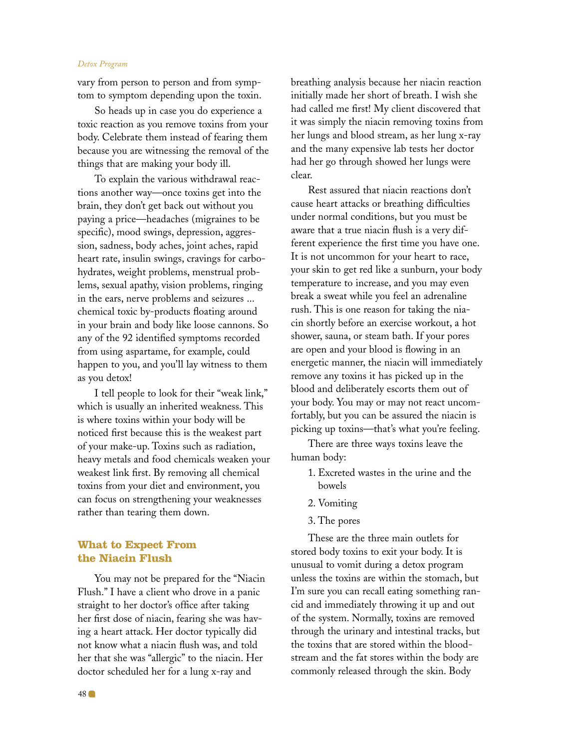vary from person to person and from symptom to symptom depending upon the toxin.

So heads up in case you do experience a toxic reaction as you remove toxins from your body. Celebrate them instead of fearing them because you are witnessing the removal of the things that are making your body ill.

To explain the various withdrawal reactions another way—once toxins get into the brain, they don't get back out without you paying a price—headaches (migraines to be specific), mood swings, depression, aggression, sadness, body aches, joint aches, rapid heart rate, insulin swings, cravings for carbohydrates, weight problems, menstrual problems, sexual apathy, vision problems, ringing in the ears, nerve problems and seizures ... chemical toxic by-products floating around in your brain and body like loose cannons. So any of the 92 identified symptoms recorded from using aspartame, for example, could happen to you, and you'll lay witness to them as you detox!

I tell people to look for their "weak link," which is usually an inherited weakness. This is where toxins within your body will be noticed first because this is the weakest part of your make-up. Toxins such as radiation, heavy metals and food chemicals weaken your weakest link first. By removing all chemical toxins from your diet and environment, you can focus on strengthening your weaknesses rather than tearing them down.

### **What to Expect From the Niacin Flush**

You may not be prepared for the "Niacin Flush." I have a client who drove in a panic straight to her doctor's office after taking her first dose of niacin, fearing she was having a heart attack. Her doctor typically did not know what a niacin flush was, and told her that she was "allergic" to the niacin. Her doctor scheduled her for a lung x-ray and

breathing analysis because her niacin reaction initially made her short of breath. I wish she had called me first! My client discovered that it was simply the niacin removing toxins from her lungs and blood stream, as her lung x-ray and the many expensive lab tests her doctor had her go through showed her lungs were clear.

Rest assured that niacin reactions don't cause heart attacks or breathing difficulties under normal conditions, but you must be aware that a true niacin flush is a very different experience the first time you have one. It is not uncommon for your heart to race, your skin to get red like a sunburn, your body temperature to increase, and you may even break a sweat while you feel an adrenaline rush. This is one reason for taking the niacin shortly before an exercise workout, a hot shower, sauna, or steam bath. If your pores are open and your blood is flowing in an energetic manner, the niacin will immediately remove any toxins it has picked up in the blood and deliberately escorts them out of your body. You may or may not react uncomfortably, but you can be assured the niacin is picking up toxins—that's what you're feeling.

There are three ways toxins leave the human body:

- 1. Excreted wastes in the urine and the bowels
- 2. Vomiting
- 3. The pores

These are the three main outlets for stored body toxins to exit your body. It is unusual to vomit during a detox program unless the toxins are within the stomach, but I'm sure you can recall eating something rancid and immediately throwing it up and out of the system. Normally, toxins are removed through the urinary and intestinal tracks, but the toxins that are stored within the bloodstream and the fat stores within the body are commonly released through the skin. Body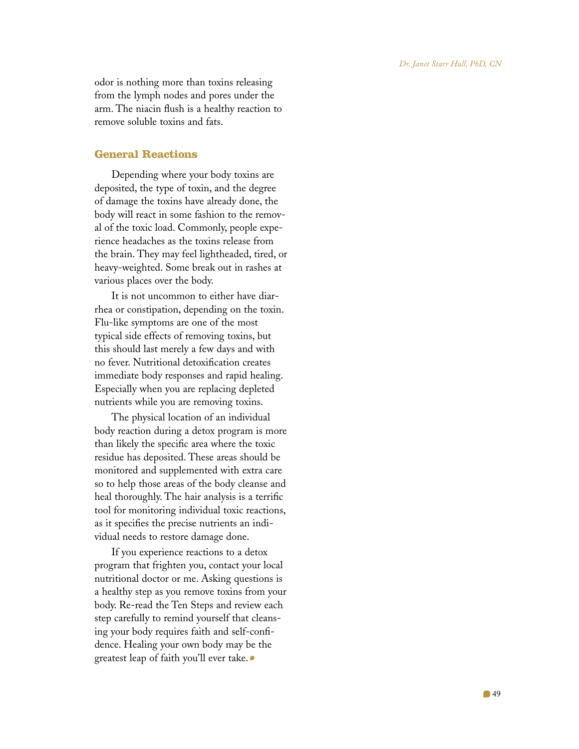odor is nothing more than toxins releasing from the lymph nodes and pores under the arm. The niacin flush is a healthy reaction to remove soluble toxins and fats.

### **General Reactions**

Depending where your body toxins are deposited, the type of toxin, and the degree of damage the toxins have already done, the body will react in some fashion to the removal of the toxic load. Commonly, people experience headaches as the toxins release from the brain. They may feel lightheaded, tired, or heavy-weighted. Some break out in rashes at various places over the body.

It is not uncommon to either have diarrhea or constipation, depending on the toxin. Flu-like symptoms are one of the most typical side effects of removing toxins, but this should last merely a few days and with no fever. Nutritional detoxification creates immediate body responses and rapid healing. Especially when you are replacing depleted nutrients while you are removing toxins.

The physical location of an individual body reaction during a detox program is more than likely the specific area where the toxic residue has deposited. These areas should be monitored and supplemented with extra care so to help those areas of the body cleanse and heal thoroughly. The hair analysis is a terrific tool for monitoring individual toxic reactions, as it specifies the precise nutrients an individual needs to restore damage done.

If you experience reactions to a detox program that frighten you, contact your local nutritional doctor or me. Asking questions is a healthy step as you remove toxins from your body. Re-read the Ten Steps and review each step carefully to remind yourself that cleansing your body requires faith and self-confidence. Healing your own body may be the greatest leap of faith you'll ever take.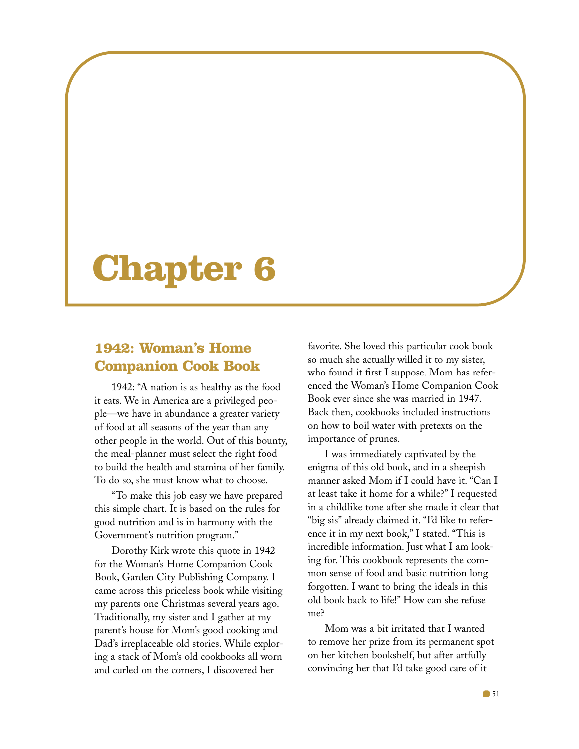# **Chapter 6**

### **1942: Woman's Home Companion Cook Book**

1942: "A nation is as healthy as the food it eats. We in America are a privileged people—we have in abundance a greater variety of food at all seasons of the year than any other people in the world. Out of this bounty, the meal-planner must select the right food to build the health and stamina of her family. To do so, she must know what to choose.

"To make this job easy we have prepared this simple chart. It is based on the rules for good nutrition and is in harmony with the Government's nutrition program."

Dorothy Kirk wrote this quote in 1942 for the Woman's Home Companion Cook Book, Garden City Publishing Company. I came across this priceless book while visiting my parents one Christmas several years ago. Traditionally, my sister and I gather at my parent's house for Mom's good cooking and Dad's irreplaceable old stories. While exploring a stack of Mom's old cookbooks all worn and curled on the corners, I discovered her

favorite. She loved this particular cook book so much she actually willed it to my sister, who found it first I suppose. Mom has referenced the Woman's Home Companion Cook Book ever since she was married in 1947. Back then, cookbooks included instructions on how to boil water with pretexts on the importance of prunes.

I was immediately captivated by the enigma of this old book, and in a sheepish manner asked Mom if I could have it. "Can I at least take it home for a while?" I requested in a childlike tone after she made it clear that "big sis" already claimed it. "I'd like to reference it in my next book," I stated. "This is incredible information. Just what I am looking for. This cookbook represents the common sense of food and basic nutrition long forgotten. I want to bring the ideals in this old book back to life!" How can she refuse me?

Mom was a bit irritated that I wanted to remove her prize from its permanent spot on her kitchen bookshelf, but after artfully convincing her that I'd take good care of it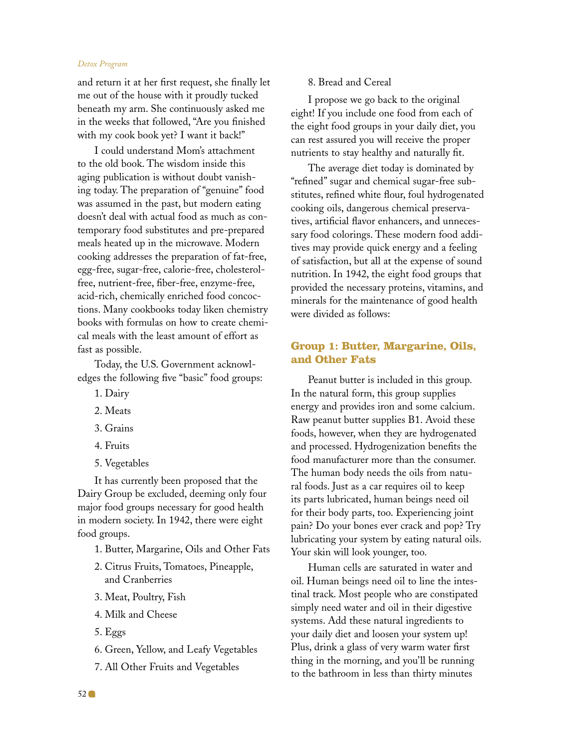and return it at her first request, she finally let me out of the house with it proudly tucked beneath my arm. She continuously asked me in the weeks that followed, "Are you finished with my cook book yet? I want it back!"

I could understand Mom's attachment to the old book. The wisdom inside this aging publication is without doubt vanishing today. The preparation of "genuine" food was assumed in the past, but modern eating doesn't deal with actual food as much as contemporary food substitutes and pre-prepared meals heated up in the microwave. Modern cooking addresses the preparation of fat-free, egg-free, sugar-free, calorie-free, cholesterolfree, nutrient-free, fiber-free, enzyme-free, acid-rich, chemically enriched food concoctions. Many cookbooks today liken chemistry books with formulas on how to create chemical meals with the least amount of effort as fast as possible.

Today, the U.S. Government acknowledges the following five "basic" food groups:

- 1. Dairy
- 2. Meats
- 3. Grains
- 4. Fruits
- 5. Vegetables

It has currently been proposed that the Dairy Group be excluded, deeming only four major food groups necessary for good health in modern society. In 1942, there were eight food groups.

- 1. Butter, Margarine, Oils and Other Fats
- 2. Citrus Fruits, Tomatoes, Pineapple, and Cranberries
- 3. Meat, Poultry, Fish
- 4. Milk and Cheese
- 5. Eggs
- 6. Green, Yellow, and Leafy Vegetables
- 7. All Other Fruits and Vegetables

### 8. Bread and Cereal

I propose we go back to the original eight! If you include one food from each of the eight food groups in your daily diet, you can rest assured you will receive the proper nutrients to stay healthy and naturally fit.

The average diet today is dominated by "refined" sugar and chemical sugar-free substitutes, refined white flour, foul hydrogenated cooking oils, dangerous chemical preservatives, artificial flavor enhancers, and unnecessary food colorings. These modern food additives may provide quick energy and a feeling of satisfaction, but all at the expense of sound nutrition. In 1942, the eight food groups that provided the necessary proteins, vitamins, and minerals for the maintenance of good health were divided as follows:

### **Group 1: Butter, Margarine, Oils, and Other Fats**

Peanut butter is included in this group. In the natural form, this group supplies energy and provides iron and some calcium. Raw peanut butter supplies B1. Avoid these foods, however, when they are hydrogenated and processed. Hydrogenization benefits the food manufacturer more than the consumer. The human body needs the oils from natural foods. Just as a car requires oil to keep its parts lubricated, human beings need oil for their body parts, too. Experiencing joint pain? Do your bones ever crack and pop? Try lubricating your system by eating natural oils. Your skin will look younger, too.

Human cells are saturated in water and oil. Human beings need oil to line the intestinal track. Most people who are constipated simply need water and oil in their digestive systems. Add these natural ingredients to your daily diet and loosen your system up! Plus, drink a glass of very warm water first thing in the morning, and you'll be running to the bathroom in less than thirty minutes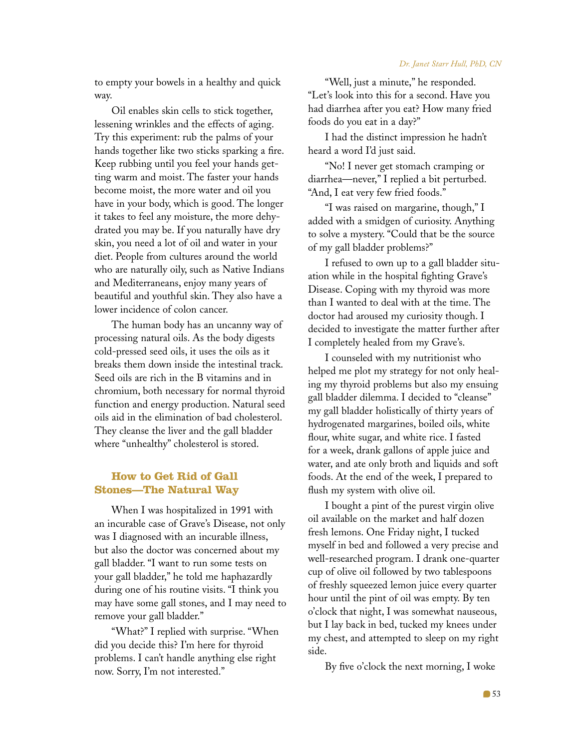to empty your bowels in a healthy and quick way.

Oil enables skin cells to stick together, lessening wrinkles and the effects of aging. Try this experiment: rub the palms of your hands together like two sticks sparking a fire. Keep rubbing until you feel your hands getting warm and moist. The faster your hands become moist, the more water and oil you have in your body, which is good. The longer it takes to feel any moisture, the more dehydrated you may be. If you naturally have dry skin, you need a lot of oil and water in your diet. People from cultures around the world who are naturally oily, such as Native Indians and Mediterraneans, enjoy many years of beautiful and youthful skin. They also have a lower incidence of colon cancer.

The human body has an uncanny way of processing natural oils. As the body digests cold-pressed seed oils, it uses the oils as it breaks them down inside the intestinal track. Seed oils are rich in the B vitamins and in chromium, both necessary for normal thyroid function and energy production. Natural seed oils aid in the elimination of bad cholesterol. They cleanse the liver and the gall bladder where "unhealthy" cholesterol is stored.

### **How to Get Rid of Gall Stones—The Natural Way**

When I was hospitalized in 1991 with an incurable case of Grave's Disease, not only was I diagnosed with an incurable illness, but also the doctor was concerned about my gall bladder. "I want to run some tests on your gall bladder," he told me haphazardly during one of his routine visits. "I think you may have some gall stones, and I may need to remove your gall bladder."

"What?" I replied with surprise. "When did you decide this? I'm here for thyroid problems. I can't handle anything else right now. Sorry, I'm not interested."

"Well, just a minute," he responded. "Let's look into this for a second. Have you had diarrhea after you eat? How many fried foods do you eat in a day?"

I had the distinct impression he hadn't heard a word I'd just said.

"No! I never get stomach cramping or diarrhea—never," I replied a bit perturbed. "And, I eat very few fried foods."

"I was raised on margarine, though," I added with a smidgen of curiosity. Anything to solve a mystery. "Could that be the source of my gall bladder problems?"

I refused to own up to a gall bladder situation while in the hospital fighting Grave's Disease. Coping with my thyroid was more than I wanted to deal with at the time. The doctor had aroused my curiosity though. I decided to investigate the matter further after I completely healed from my Grave's.

I counseled with my nutritionist who helped me plot my strategy for not only healing my thyroid problems but also my ensuing gall bladder dilemma. I decided to "cleanse" my gall bladder holistically of thirty years of hydrogenated margarines, boiled oils, white flour, white sugar, and white rice. I fasted for a week, drank gallons of apple juice and water, and ate only broth and liquids and soft foods. At the end of the week, I prepared to flush my system with olive oil.

I bought a pint of the purest virgin olive oil available on the market and half dozen fresh lemons. One Friday night, I tucked myself in bed and followed a very precise and well-researched program. I drank one-quarter cup of olive oil followed by two tablespoons of freshly squeezed lemon juice every quarter hour until the pint of oil was empty. By ten o'clock that night, I was somewhat nauseous, but I lay back in bed, tucked my knees under my chest, and attempted to sleep on my right side.

By five o'clock the next morning, I woke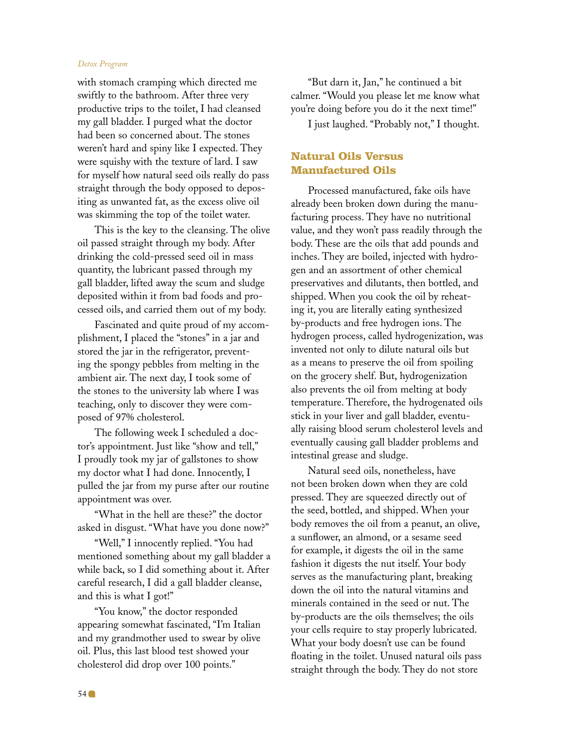with stomach cramping which directed me swiftly to the bathroom. After three very productive trips to the toilet, I had cleansed my gall bladder. I purged what the doctor had been so concerned about. The stones weren't hard and spiny like I expected. They were squishy with the texture of lard. I saw for myself how natural seed oils really do pass straight through the body opposed to depositing as unwanted fat, as the excess olive oil was skimming the top of the toilet water.

This is the key to the cleansing. The olive oil passed straight through my body. After drinking the cold-pressed seed oil in mass quantity, the lubricant passed through my gall bladder, lifted away the scum and sludge deposited within it from bad foods and processed oils, and carried them out of my body.

Fascinated and quite proud of my accomplishment, I placed the "stones" in a jar and stored the jar in the refrigerator, preventing the spongy pebbles from melting in the ambient air. The next day, I took some of the stones to the university lab where I was teaching, only to discover they were composed of 97% cholesterol.

The following week I scheduled a doctor's appointment. Just like "show and tell," I proudly took my jar of gallstones to show my doctor what I had done. Innocently, I pulled the jar from my purse after our routine appointment was over.

"What in the hell are these?" the doctor asked in disgust. "What have you done now?"

"Well," I innocently replied. "You had mentioned something about my gall bladder a while back, so I did something about it. After careful research, I did a gall bladder cleanse, and this is what I got!"

"You know," the doctor responded appearing somewhat fascinated, "I'm Italian and my grandmother used to swear by olive oil. Plus, this last blood test showed your cholesterol did drop over 100 points."

"But darn it, Jan," he continued a bit calmer. "Would you please let me know what you're doing before you do it the next time!"

I just laughed. "Probably not," I thought.

### **Natural Oils Versus Manufactured Oils**

Processed manufactured, fake oils have already been broken down during the manufacturing process. They have no nutritional value, and they won't pass readily through the body. These are the oils that add pounds and inches. They are boiled, injected with hydrogen and an assortment of other chemical preservatives and dilutants, then bottled, and shipped. When you cook the oil by reheating it, you are literally eating synthesized by-products and free hydrogen ions. The hydrogen process, called hydrogenization, was invented not only to dilute natural oils but as a means to preserve the oil from spoiling on the grocery shelf. But, hydrogenization also prevents the oil from melting at body temperature. Therefore, the hydrogenated oils stick in your liver and gall bladder, eventually raising blood serum cholesterol levels and eventually causing gall bladder problems and intestinal grease and sludge.

Natural seed oils, nonetheless, have not been broken down when they are cold pressed. They are squeezed directly out of the seed, bottled, and shipped. When your body removes the oil from a peanut, an olive, a sunflower, an almond, or a sesame seed for example, it digests the oil in the same fashion it digests the nut itself. Your body serves as the manufacturing plant, breaking down the oil into the natural vitamins and minerals contained in the seed or nut. The by-products are the oils themselves; the oils your cells require to stay properly lubricated. What your body doesn't use can be found floating in the toilet. Unused natural oils pass straight through the body. They do not store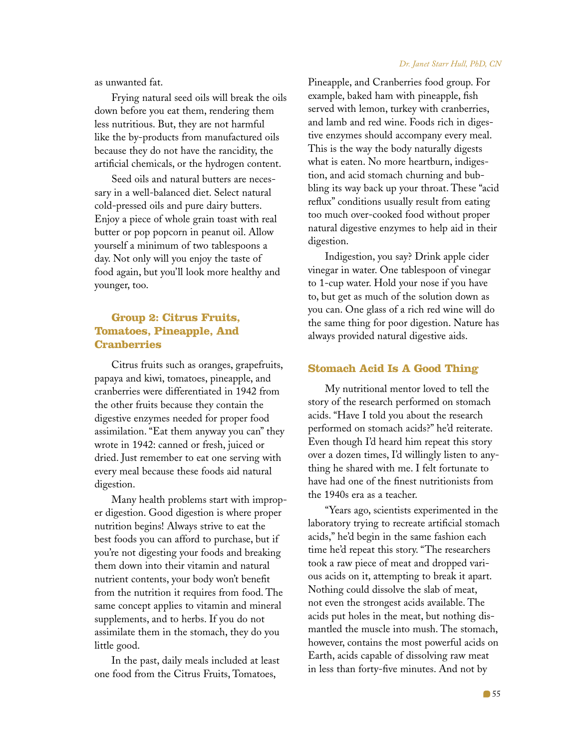as unwanted fat.

Frying natural seed oils will break the oils down before you eat them, rendering them less nutritious. But, they are not harmful like the by-products from manufactured oils because they do not have the rancidity, the artificial chemicals, or the hydrogen content.

Seed oils and natural butters are necessary in a well-balanced diet. Select natural cold-pressed oils and pure dairy butters. Enjoy a piece of whole grain toast with real butter or pop popcorn in peanut oil. Allow yourself a minimum of two tablespoons a day. Not only will you enjoy the taste of food again, but you'll look more healthy and younger, too.

### **Group 2: Citrus Fruits, Tomatoes, Pineapple, And Cranberries**

Citrus fruits such as oranges, grapefruits, papaya and kiwi, tomatoes, pineapple, and cranberries were differentiated in 1942 from the other fruits because they contain the digestive enzymes needed for proper food assimilation. "Eat them anyway you can" they wrote in 1942: canned or fresh, juiced or dried. Just remember to eat one serving with every meal because these foods aid natural digestion.

Many health problems start with improper digestion. Good digestion is where proper nutrition begins! Always strive to eat the best foods you can afford to purchase, but if you're not digesting your foods and breaking them down into their vitamin and natural nutrient contents, your body won't benefit from the nutrition it requires from food. The same concept applies to vitamin and mineral supplements, and to herbs. If you do not assimilate them in the stomach, they do you little good.

In the past, daily meals included at least one food from the Citrus Fruits, Tomatoes,

Pineapple, and Cranberries food group. For example, baked ham with pineapple, fish served with lemon, turkey with cranberries, and lamb and red wine. Foods rich in digestive enzymes should accompany every meal. This is the way the body naturally digests what is eaten. No more heartburn, indigestion, and acid stomach churning and bubbling its way back up your throat. These "acid reflux" conditions usually result from eating too much over-cooked food without proper natural digestive enzymes to help aid in their digestion.

Indigestion, you say? Drink apple cider vinegar in water. One tablespoon of vinegar to 1-cup water. Hold your nose if you have to, but get as much of the solution down as you can. One glass of a rich red wine will do the same thing for poor digestion. Nature has always provided natural digestive aids.

### **Stomach Acid Is A Good Thing**

My nutritional mentor loved to tell the story of the research performed on stomach acids. "Have I told you about the research performed on stomach acids?" he'd reiterate. Even though I'd heard him repeat this story over a dozen times, I'd willingly listen to anything he shared with me. I felt fortunate to have had one of the finest nutritionists from the 1940s era as a teacher.

"Years ago, scientists experimented in the laboratory trying to recreate artificial stomach acids," he'd begin in the same fashion each time he'd repeat this story. "The researchers took a raw piece of meat and dropped various acids on it, attempting to break it apart. Nothing could dissolve the slab of meat, not even the strongest acids available. The acids put holes in the meat, but nothing dismantled the muscle into mush. The stomach, however, contains the most powerful acids on Earth, acids capable of dissolving raw meat in less than forty-five minutes. And not by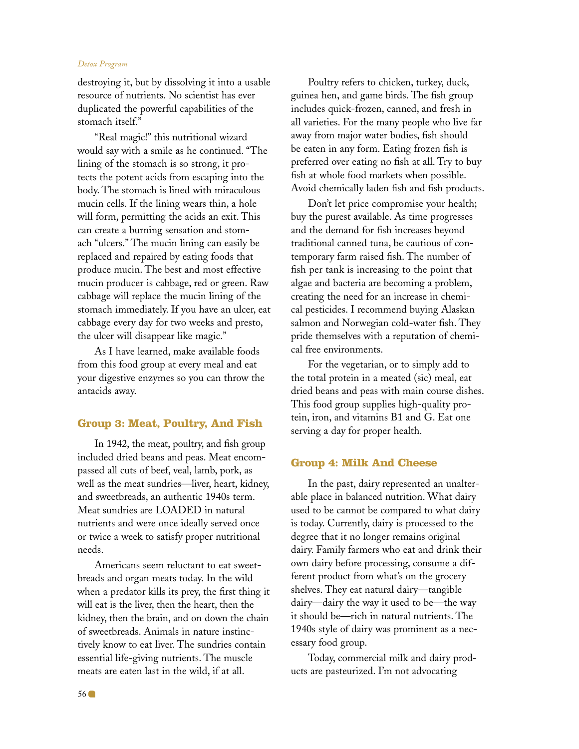destroying it, but by dissolving it into a usable resource of nutrients. No scientist has ever duplicated the powerful capabilities of the stomach itself."

"Real magic!" this nutritional wizard would say with a smile as he continued. "The lining of the stomach is so strong, it protects the potent acids from escaping into the body. The stomach is lined with miraculous mucin cells. If the lining wears thin, a hole will form, permitting the acids an exit. This can create a burning sensation and stomach "ulcers." The mucin lining can easily be replaced and repaired by eating foods that produce mucin. The best and most effective mucin producer is cabbage, red or green. Raw cabbage will replace the mucin lining of the stomach immediately. If you have an ulcer, eat cabbage every day for two weeks and presto, the ulcer will disappear like magic."

As I have learned, make available foods from this food group at every meal and eat your digestive enzymes so you can throw the antacids away.

### **Group 3: Meat, Poultry, And Fish**

In 1942, the meat, poultry, and fish group included dried beans and peas. Meat encompassed all cuts of beef, veal, lamb, pork, as well as the meat sundries—liver, heart, kidney, and sweetbreads, an authentic 1940s term. Meat sundries are LOADED in natural nutrients and were once ideally served once or twice a week to satisfy proper nutritional needs.

Americans seem reluctant to eat sweetbreads and organ meats today. In the wild when a predator kills its prey, the first thing it will eat is the liver, then the heart, then the kidney, then the brain, and on down the chain of sweetbreads. Animals in nature instinctively know to eat liver. The sundries contain essential life-giving nutrients. The muscle meats are eaten last in the wild, if at all.

Poultry refers to chicken, turkey, duck, guinea hen, and game birds. The fish group includes quick-frozen, canned, and fresh in all varieties. For the many people who live far away from major water bodies, fish should be eaten in any form. Eating frozen fish is preferred over eating no fish at all. Try to buy fish at whole food markets when possible. Avoid chemically laden fish and fish products.

Don't let price compromise your health; buy the purest available. As time progresses and the demand for fish increases beyond traditional canned tuna, be cautious of contemporary farm raised fish. The number of fish per tank is increasing to the point that algae and bacteria are becoming a problem, creating the need for an increase in chemical pesticides. I recommend buying Alaskan salmon and Norwegian cold-water fish. They pride themselves with a reputation of chemical free environments.

For the vegetarian, or to simply add to the total protein in a meated (sic) meal, eat dried beans and peas with main course dishes. This food group supplies high-quality protein, iron, and vitamins B1 and G. Eat one serving a day for proper health.

### **Group 4: Milk And Cheese**

In the past, dairy represented an unalterable place in balanced nutrition. What dairy used to be cannot be compared to what dairy is today. Currently, dairy is processed to the degree that it no longer remains original dairy. Family farmers who eat and drink their own dairy before processing, consume a different product from what's on the grocery shelves. They eat natural dairy—tangible dairy—dairy the way it used to be—the way it should be—rich in natural nutrients. The 1940s style of dairy was prominent as a necessary food group.

Today, commercial milk and dairy products are pasteurized. I'm not advocating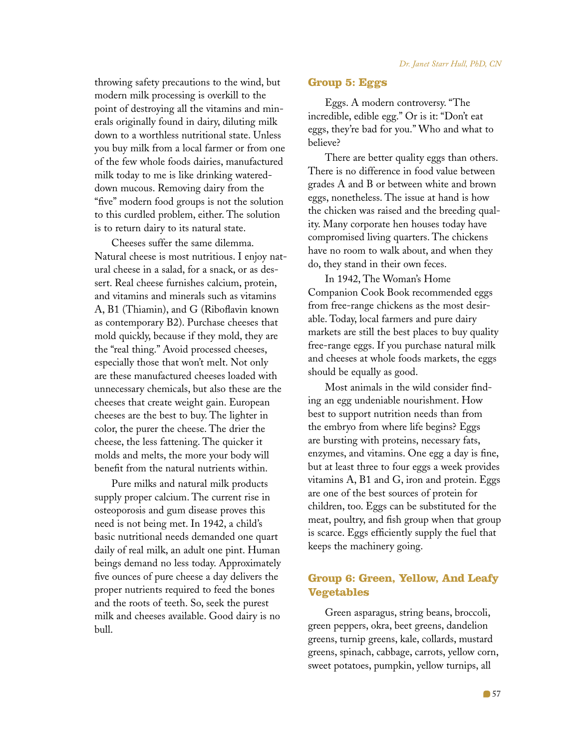throwing safety precautions to the wind, but modern milk processing is overkill to the point of destroying all the vitamins and minerals originally found in dairy, diluting milk down to a worthless nutritional state. Unless you buy milk from a local farmer or from one of the few whole foods dairies, manufactured milk today to me is like drinking watereddown mucous. Removing dairy from the "five" modern food groups is not the solution to this curdled problem, either. The solution is to return dairy to its natural state.

Cheeses suffer the same dilemma. Natural cheese is most nutritious. I enjoy natural cheese in a salad, for a snack, or as dessert. Real cheese furnishes calcium, protein, and vitamins and minerals such as vitamins A, B1 (Thiamin), and G (Riboflavin known as contemporary B2). Purchase cheeses that mold quickly, because if they mold, they are the "real thing." Avoid processed cheeses, especially those that won't melt. Not only are these manufactured cheeses loaded with unnecessary chemicals, but also these are the cheeses that create weight gain. European cheeses are the best to buy. The lighter in color, the purer the cheese. The drier the cheese, the less fattening. The quicker it molds and melts, the more your body will benefit from the natural nutrients within.

Pure milks and natural milk products supply proper calcium. The current rise in osteoporosis and gum disease proves this need is not being met. In 1942, a child's basic nutritional needs demanded one quart daily of real milk, an adult one pint. Human beings demand no less today. Approximately five ounces of pure cheese a day delivers the proper nutrients required to feed the bones and the roots of teeth. So, seek the purest milk and cheeses available. Good dairy is no bull.

### **Group 5: Eggs**

Eggs. A modern controversy. "The incredible, edible egg." Or is it: "Don't eat eggs, they're bad for you." Who and what to believe?

There are better quality eggs than others. There is no difference in food value between grades A and B or between white and brown eggs, nonetheless. The issue at hand is how the chicken was raised and the breeding quality. Many corporate hen houses today have compromised living quarters. The chickens have no room to walk about, and when they do, they stand in their own feces.

In 1942, The Woman's Home Companion Cook Book recommended eggs from free-range chickens as the most desirable. Today, local farmers and pure dairy markets are still the best places to buy quality free-range eggs. If you purchase natural milk and cheeses at whole foods markets, the eggs should be equally as good.

Most animals in the wild consider finding an egg undeniable nourishment. How best to support nutrition needs than from the embryo from where life begins? Eggs are bursting with proteins, necessary fats, enzymes, and vitamins. One egg a day is fine, but at least three to four eggs a week provides vitamins A, B1 and G, iron and protein. Eggs are one of the best sources of protein for children, too. Eggs can be substituted for the meat, poultry, and fish group when that group is scarce. Eggs efficiently supply the fuel that keeps the machinery going.

### **Group 6: Green, Yellow, And Leafy Vegetables**

Green asparagus, string beans, broccoli, green peppers, okra, beet greens, dandelion greens, turnip greens, kale, collards, mustard greens, spinach, cabbage, carrots, yellow corn, sweet potatoes, pumpkin, yellow turnips, all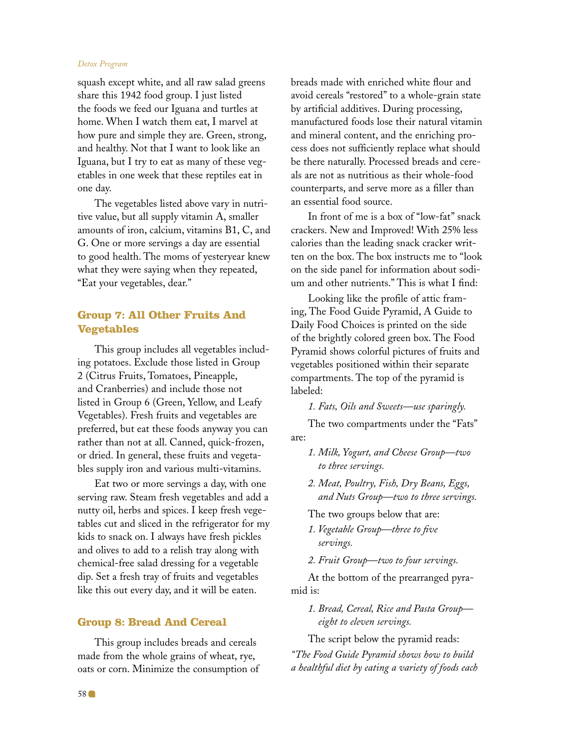squash except white, and all raw salad greens share this 1942 food group. I just listed the foods we feed our Iguana and turtles at home. When I watch them eat, I marvel at how pure and simple they are. Green, strong, and healthy. Not that I want to look like an Iguana, but I try to eat as many of these vegetables in one week that these reptiles eat in one day.

The vegetables listed above vary in nutritive value, but all supply vitamin A, smaller amounts of iron, calcium, vitamins B1, C, and G. One or more servings a day are essential to good health. The moms of yesteryear knew what they were saying when they repeated, "Eat your vegetables, dear."

### **Group 7: All Other Fruits And Vegetables**

This group includes all vegetables including potatoes. Exclude those listed in Group 2 (Citrus Fruits, Tomatoes, Pineapple, and Cranberries) and include those not listed in Group 6 (Green, Yellow, and Leafy Vegetables). Fresh fruits and vegetables are preferred, but eat these foods anyway you can rather than not at all. Canned, quick-frozen, or dried. In general, these fruits and vegetables supply iron and various multi-vitamins.

Eat two or more servings a day, with one serving raw. Steam fresh vegetables and add a nutty oil, herbs and spices. I keep fresh vegetables cut and sliced in the refrigerator for my kids to snack on. I always have fresh pickles and olives to add to a relish tray along with chemical-free salad dressing for a vegetable dip. Set a fresh tray of fruits and vegetables like this out every day, and it will be eaten.

### **Group 8: Bread And Cereal**

This group includes breads and cereals made from the whole grains of wheat, rye, oats or corn. Minimize the consumption of breads made with enriched white flour and avoid cereals "restored" to a whole-grain state by artificial additives. During processing, manufactured foods lose their natural vitamin and mineral content, and the enriching process does not sufficiently replace what should be there naturally. Processed breads and cereals are not as nutritious as their whole-food counterparts, and serve more as a filler than an essential food source.

In front of me is a box of "low-fat" snack crackers. New and Improved! With 25% less calories than the leading snack cracker written on the box. The box instructs me to "look on the side panel for information about sodium and other nutrients." This is what I find:

Looking like the profile of attic framing, The Food Guide Pyramid, A Guide to Daily Food Choices is printed on the side of the brightly colored green box. The Food Pyramid shows colorful pictures of fruits and vegetables positioned within their separate compartments. The top of the pyramid is labeled:

*1. Fats, Oils and Sweets—use sparingly.* 

The two compartments under the "Fats" are:

*1. Milk, Yogurt, and Cheese Group—two to three servings.*

- *2. Meat, Poultry, Fish, Dry Beans, Eggs, and Nuts Group—two to three servings.*
- The two groups below that are:

*1. Vegetable Group—three to five servings.*

*2. Fruit Group—two to four servings.* 

At the bottom of the prearranged pyramid is:

*1. Bread, Cereal, Rice and Pasta Group eight to eleven servings.* 

The script below the pyramid reads: *"The Food Guide Pyramid shows how to build a healthful diet by eating a variety of foods each*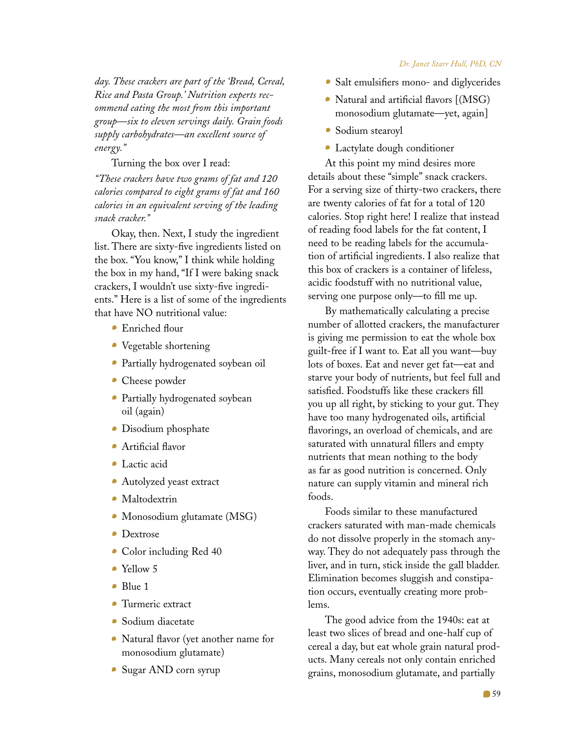*day. These crackers are part of the 'Bread, Cereal, Rice and Pasta Group.' Nutrition experts recommend eating the most from this important group—six to eleven servings daily. Grain foods supply carbohydrates—an excellent source of energy."*

Turning the box over I read:

*"These crackers have two grams of fat and 120 calories compared to eight grams of fat and 160 calories in an equivalent serving of the leading snack cracker."*

Okay, then. Next, I study the ingredient list. There are sixty-five ingredients listed on the box. "You know," I think while holding the box in my hand, "If I were baking snack crackers, I wouldn't use sixty-five ingredients." Here is a list of some of the ingredients that have NO nutritional value:

- Enriched flour
- Vegetable shortening
- Partially hydrogenated soybean oil
- Cheese powder
- Partially hydrogenated soybean oil (again)
- Disodium phosphate
- Artificial flavor
- Lactic acid
- Autolyzed yeast extract
- Maltodextrin
- Monosodium glutamate (MSG)
- Dextrose
- Color including Red 40
- Yellow 5
- Blue 1
- **Turmeric extract**
- Sodium diacetate
- Natural flavor (yet another name for monosodium glutamate)
- Sugar AND corn syrup
- Salt emulsifiers mono- and diglycerides
- Natural and artificial flavors [(MSG) monosodium glutamate—yet, again]
- Sodium stearoyl
- Lactylate dough conditioner

At this point my mind desires more details about these "simple" snack crackers. For a serving size of thirty-two crackers, there are twenty calories of fat for a total of 120 calories. Stop right here! I realize that instead of reading food labels for the fat content, I need to be reading labels for the accumulation of artificial ingredients. I also realize that this box of crackers is a container of lifeless, acidic foodstuff with no nutritional value, serving one purpose only—to fill me up.

By mathematically calculating a precise number of allotted crackers, the manufacturer is giving me permission to eat the whole box guilt-free if I want to. Eat all you want—buy lots of boxes. Eat and never get fat—eat and starve your body of nutrients, but feel full and satisfied. Foodstuffs like these crackers fill you up all right, by sticking to your gut. They have too many hydrogenated oils, artificial flavorings, an overload of chemicals, and are saturated with unnatural fillers and empty nutrients that mean nothing to the body as far as good nutrition is concerned. Only nature can supply vitamin and mineral rich foods.

Foods similar to these manufactured crackers saturated with man-made chemicals do not dissolve properly in the stomach anyway. They do not adequately pass through the liver, and in turn, stick inside the gall bladder. Elimination becomes sluggish and constipation occurs, eventually creating more problems.

The good advice from the 1940s: eat at least two slices of bread and one-half cup of cereal a day, but eat whole grain natural products. Many cereals not only contain enriched grains, monosodium glutamate, and partially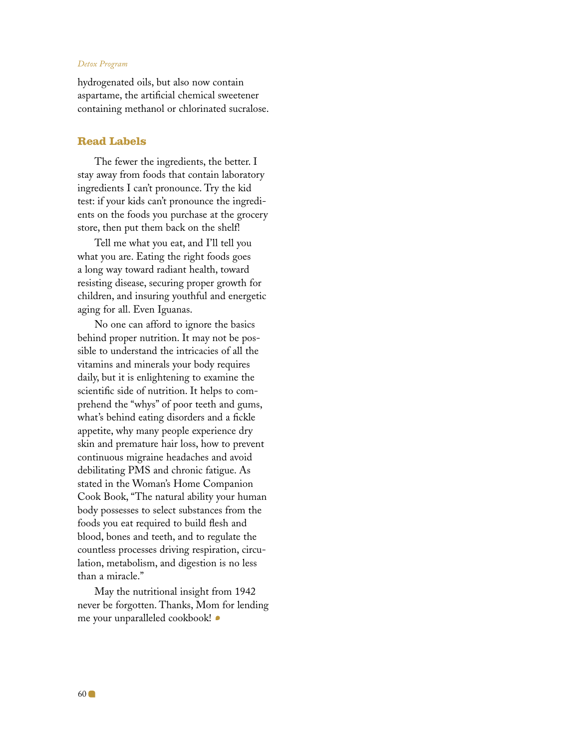hydrogenated oils, but also now contain aspartame, the artificial chemical sweetener containing methanol or chlorinated sucralose.

### **Read Labels**

The fewer the ingredients, the better. I stay away from foods that contain laboratory ingredients I can't pronounce. Try the kid test: if your kids can't pronounce the ingredients on the foods you purchase at the grocery store, then put them back on the shelf!

Tell me what you eat, and I'll tell you what you are. Eating the right foods goes a long way toward radiant health, toward resisting disease, securing proper growth for children, and insuring youthful and energetic aging for all. Even Iguanas.

No one can afford to ignore the basics behind proper nutrition. It may not be possible to understand the intricacies of all the vitamins and minerals your body requires daily, but it is enlightening to examine the scientific side of nutrition. It helps to comprehend the "whys" of poor teeth and gums, what's behind eating disorders and a fickle appetite, why many people experience dry skin and premature hair loss, how to prevent continuous migraine headaches and avoid debilitating PMS and chronic fatigue. As stated in the Woman's Home Companion Cook Book, "The natural ability your human body possesses to select substances from the foods you eat required to build flesh and blood, bones and teeth, and to regulate the countless processes driving respiration, circulation, metabolism, and digestion is no less than a miracle."

May the nutritional insight from 1942 never be forgotten. Thanks, Mom for lending me your unparalleled cookbook!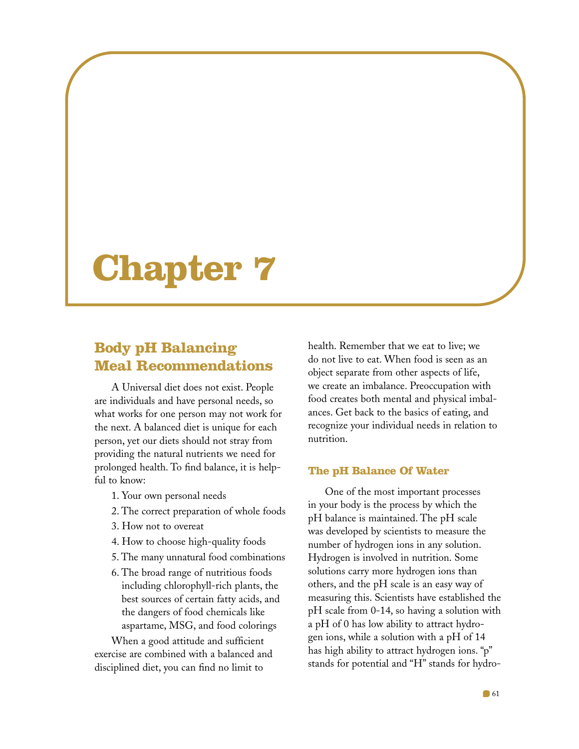# **Chapter 7**

### **Body pH Balancing Meal Recommendations**

A Universal diet does not exist. People are individuals and have personal needs, so what works for one person may not work for the next. A balanced diet is unique for each person, yet our diets should not stray from providing the natural nutrients we need for prolonged health. To find balance, it is helpful to know:

- 1. Your own personal needs
- 2. The correct preparation of whole foods
- 3. How not to overeat
- 4. How to choose high-quality foods
- 5. The many unnatural food combinations
- 6. The broad range of nutritious foods including chlorophyll-rich plants, the best sources of certain fatty acids, and the dangers of food chemicals like aspartame, MSG, and food colorings

When a good attitude and sufficient exercise are combined with a balanced and disciplined diet, you can find no limit to

health. Remember that we eat to live; we do not live to eat. When food is seen as an object separate from other aspects of life, we create an imbalance. Preoccupation with food creates both mental and physical imbalances. Get back to the basics of eating, and recognize your individual needs in relation to nutrition.

### **The pH Balance Of Water**

One of the most important processes in your body is the process by which the pH balance is maintained. The pH scale was developed by scientists to measure the number of hydrogen ions in any solution. Hydrogen is involved in nutrition. Some solutions carry more hydrogen ions than others, and the pH scale is an easy way of measuring this. Scientists have established the pH scale from 0-14, so having a solution with a pH of 0 has low ability to attract hydrogen ions, while a solution with a pH of 14 has high ability to attract hydrogen ions. "p" stands for potential and "H" stands for hydro-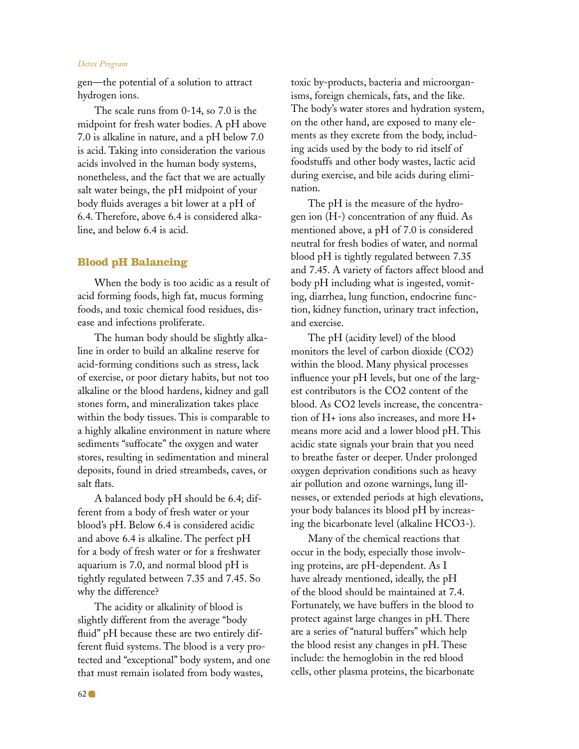gen—the potential of a solution to attract hydrogen ions.

The scale runs from 0-14, so 7.0 is the midpoint for fresh water bodies. A pH above 7.0 is alkaline in nature, and a pH below 7.0 is acid. Taking into consideration the various acids involved in the human body systems, nonetheless, and the fact that we are actually salt water beings, the pH midpoint of your body fluids averages a bit lower at a pH of 6.4. Therefore, above 6.4 is considered alkaline, and below 6.4 is acid.

### **Blood pH Balancing**

When the body is too acidic as a result of acid forming foods, high fat, mucus forming foods, and toxic chemical food residues, disease and infections proliferate.

The human body should be slightly alkaline in order to build an alkaline reserve for acid-forming conditions such as stress, lack of exercise, or poor dietary habits, but not too alkaline or the blood hardens, kidney and gall stones form, and mineralization takes place within the body tissues. This is comparable to a highly alkaline environment in nature where sediments "suffocate" the oxygen and water stores, resulting in sedimentation and mineral deposits, found in dried streambeds, caves, or salt flats.

A balanced body pH should be 6.4; different from a body of fresh water or your blood's pH. Below 6.4 is considered acidic and above 6.4 is alkaline. The perfect pH for a body of fresh water or for a freshwater aquarium is 7.0, and normal blood pH is tightly regulated between 7.35 and 7.45. So why the difference?

The acidity or alkalinity of blood is slightly different from the average "body fluid" pH because these are two entirely different fluid systems. The blood is a very protected and "exceptional" body system, and one that must remain isolated from body wastes,

toxic by-products, bacteria and microorganisms, foreign chemicals, fats, and the like. The body's water stores and hydration system, on the other hand, are exposed to many elements as they excrete from the body, including acids used by the body to rid itself of foodstuffs and other body wastes, lactic acid during exercise, and bile acids during elimination.

The pH is the measure of the hydrogen ion (H-) concentration of any fluid. As mentioned above, a pH of 7.0 is considered neutral for fresh bodies of water, and normal blood pH is tightly regulated between 7.35 and 7.45. A variety of factors affect blood and body pH including what is ingested, vomiting, diarrhea, lung function, endocrine function, kidney function, urinary tract infection, and exercise.

The pH (acidity level) of the blood monitors the level of carbon dioxide (CO2) within the blood. Many physical processes influence your pH levels, but one of the largest contributors is the CO2 content of the blood. As CO2 levels increase, the concentration of H+ ions also increases, and more H+ means more acid and a lower blood pH. This acidic state signals your brain that you need to breathe faster or deeper. Under prolonged oxygen deprivation conditions such as heavy air pollution and ozone warnings, lung illnesses, or extended periods at high elevations, your body balances its blood pH by increasing the bicarbonate level (alkaline HCO3-).

Many of the chemical reactions that occur in the body, especially those involving proteins, are pH-dependent. As I have already mentioned, ideally, the pH of the blood should be maintained at 7.4. Fortunately, we have buffers in the blood to protect against large changes in pH. There are a series of "natural buffers" which help the blood resist any changes in pH. These include: the hemoglobin in the red blood cells, other plasma proteins, the bicarbonate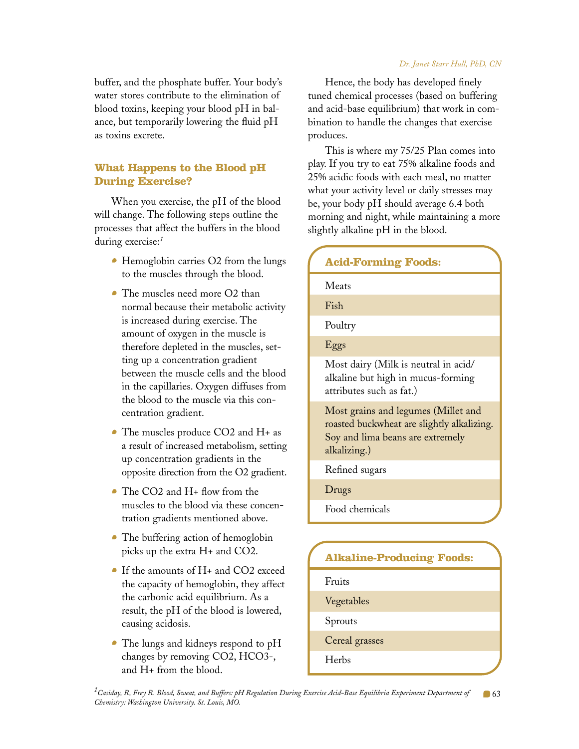### *Dr. Janet Starr Hull, PhD, CN*

buffer, and the phosphate buffer. Your body's water stores contribute to the elimination of blood toxins, keeping your blood pH in balance, but temporarily lowering the fluid pH as toxins excrete.

### **What Happens to the Blood pH During Exercise?**

When you exercise, the pH of the blood will change. The following steps outline the processes that affect the buffers in the blood during exercise:*<sup>1</sup>*

- Hemoglobin carries O2 from the lungs to the muscles through the blood.
- The muscles need more O2 than normal because their metabolic activity is increased during exercise. The amount of oxygen in the muscle is therefore depleted in the muscles, set ting up a concentration gradient between the muscle cells and the blood in the capillaries. Oxygen diffuses from the blood to the muscle via this con centration gradient.
- The muscles produce CO2 and H+ as a result of increased metabolism, setting up concentration gradients in the opposite direction from the O2 gradient.
- The CO2 and H+ flow from the muscles to the blood via these concen tration gradients mentioned above.
- The buffering action of hemoglobin picks up the extra H+ and CO2.
- If the amounts of H+ and CO2 exceed the capacity of hemoglobin, they affect the carbonic acid equilibrium. As a result, the pH of the blood is lowered, causing acidosis.
- The lungs and kidneys respond to pH changes by removing CO2, HCO3-, and H+ from the blood.

Hence, the body has developed finely tuned chemical processes (based on buffering and acid-base equilibrium) that work in combination to handle the changes that exercise produces.

This is where my 75/25 Plan comes into play. If you try to eat 75% alkaline foods and 25% acidic foods with each meal, no matter what your activity level or daily stresses may be, your body pH should average 6.4 both morning and night, while maintaining a more slightly alkaline pH in the blood.

## **Acid-Forming Foods:** Meats Fish Poultry Eggs Most dairy (Milk is neutral in acid/ alkaline but high in mucus-forming attributes such as fat.) Most grains and legumes (Millet and roasted buckwheat are slightly alkalizing. Soy and lima beans are extremely alkalizing.) Refined sugars Drugs Food chemicals **Alkaline-Producing Foods:**

Fruits

Vegetables

Sprouts

Cereal grasses

Herbs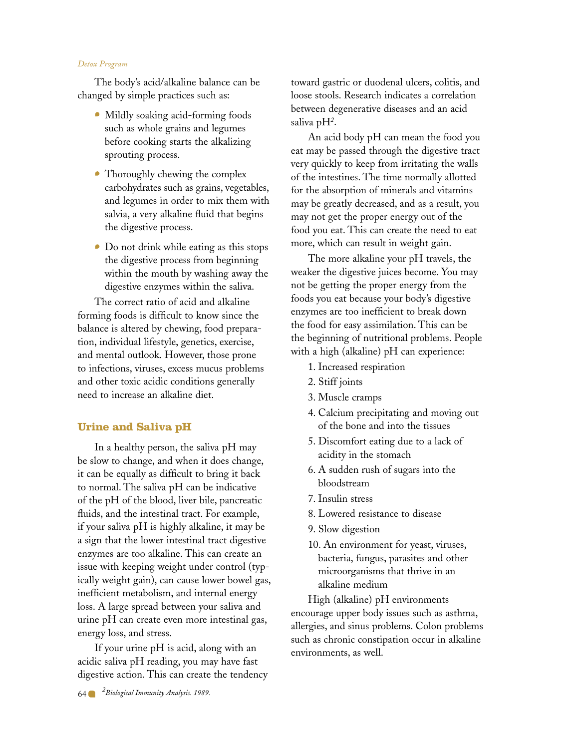The body's acid/alkaline balance can be changed by simple practices such as:

- Mildly soaking acid-forming foods such as whole grains and legumes before cooking starts the alkalizing sprouting process.
- Thoroughly chewing the complex carbohydrates such as grains, vegetables, and legumes in order to mix them with salvia, a very alkaline fluid that begins the digestive process.
- Do not drink while eating as this stops the digestive process from beginning within the mouth by washing away the digestive enzymes within the saliva.

The correct ratio of acid and alkaline forming foods is difficult to know since the balance is altered by chewing, food preparation, individual lifestyle, genetics, exercise, and mental outlook. However, those prone to infections, viruses, excess mucus problems and other toxic acidic conditions generally need to increase an alkaline diet.

### **Urine and Saliva pH**

In a healthy person, the saliva pH may be slow to change, and when it does change, it can be equally as difficult to bring it back to normal. The saliva pH can be indicative of the pH of the blood, liver bile, pancreatic fluids, and the intestinal tract. For example, if your saliva pH is highly alkaline, it may be a sign that the lower intestinal tract digestive enzymes are too alkaline. This can create an issue with keeping weight under control (typically weight gain), can cause lower bowel gas, inefficient metabolism, and internal energy loss. A large spread between your saliva and urine pH can create even more intestinal gas, energy loss, and stress.

If your urine pH is acid, along with an acidic saliva pH reading, you may have fast digestive action. This can create the tendency

toward gastric or duodenal ulcers, colitis, and loose stools. Research indicates a correlation between degenerative diseases and an acid saliva pH*<sup>2</sup>*.

An acid body pH can mean the food you eat may be passed through the digestive tract very quickly to keep from irritating the walls of the intestines. The time normally allotted for the absorption of minerals and vitamins may be greatly decreased, and as a result, you may not get the proper energy out of the food you eat. This can create the need to eat more, which can result in weight gain.

The more alkaline your pH travels, the weaker the digestive juices become. You may not be getting the proper energy from the foods you eat because your body's digestive enzymes are too inefficient to break down the food for easy assimilation. This can be the beginning of nutritional problems. People with a high (alkaline) pH can experience:

- 1. Increased respiration
- 2. Stiff joints
- 3. Muscle cramps
- 4. Calcium precipitating and moving out of the bone and into the tissues
- 5. Discomfort eating due to a lack of acidity in the stomach
- 6. A sudden rush of sugars into the bloodstream
- 7. Insulin stress
- 8. Lowered resistance to disease
- 9. Slow digestion
- 10. An environment for yeast, viruses, bacteria, fungus, parasites and other microorganisms that thrive in an alkaline medium

High (alkaline) pH environments encourage upper body issues such as asthma, allergies, and sinus problems. Colon problems such as chronic constipation occur in alkaline environments, as well.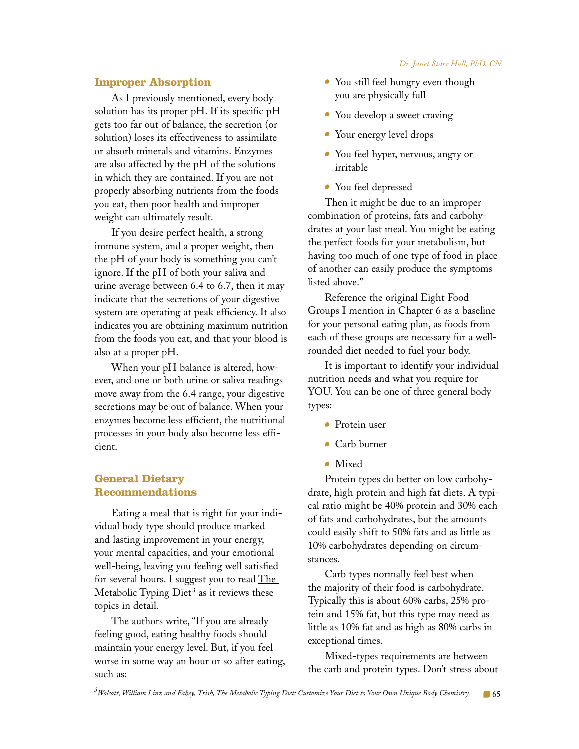### **Improper Absorption**

As I previously mentioned, every body solution has its proper pH. If its specific pH gets too far out of balance, the secretion (or solution) loses its effectiveness to assimilate or absorb minerals and vitamins. Enzymes are also affected by the pH of the solutions in which they are contained. If you are not properly absorbing nutrients from the foods you eat, then poor health and improper weight can ultimately result.

If you desire perfect health, a strong immune system, and a proper weight, then the pH of your body is something you can't ignore. If the pH of both your saliva and urine average between 6.4 to 6.7, then it may indicate that the secretions of your digestive system are operating at peak efficiency. It also indicates you are obtaining maximum nutrition from the foods you eat, and that your blood is also at a proper pH.

When your pH balance is altered, however, and one or both urine or saliva readings move away from the 6.4 range, your digestive secretions may be out of balance. When your enzymes become less efficient, the nutritional processes in your body also become less efficient.

### **General Dietary Recommendations**

Eating a meal that is right for your individual body type should produce marked and lasting improvement in your energy, your mental capacities, and your emotional well-being, leaving you feeling well satisfied for several hours. I suggest you to read  $The$ Metabolic Typing Diet<sup>3</sup> as it reviews these topics in detail.

The authors write, "If you are already feeling good, eating healthy foods should maintain your energy level. But, if you feel worse in some way an hour or so after eating, such as:

- You still feel hungry even though you are physically full
- You develop a sweet craving
- Your energy level drops
- You feel hyper, nervous, angry or irritable
- You feel depressed

Then it might be due to an improper combination of proteins, fats and carbohydrates at your last meal. You might be eating the perfect foods for your metabolism, but having too much of one type of food in place of another can easily produce the symptoms listed above."

Reference the original Eight Food Groups I mention in Chapter 6 as a baseline for your personal eating plan, as foods from each of these groups are necessary for a wellrounded diet needed to fuel your body.

It is important to identify your individual nutrition needs and what you require for YOU. You can be one of three general body types:

- Protein user
- Carb burner
- Mixed

Protein types do better on low carbohydrate, high protein and high fat diets. A typical ratio might be 40% protein and 30% each of fats and carbohydrates, but the amounts could easily shift to 50% fats and as little as 10% carbohydrates depending on circumstances.

Carb types normally feel best when the majority of their food is carbohydrate. Typically this is about 60% carbs, 25% protein and 15% fat, but this type may need as little as 10% fat and as high as 80% carbs in exceptional times.

Mixed-types requirements are between the carb and protein types. Don't stress about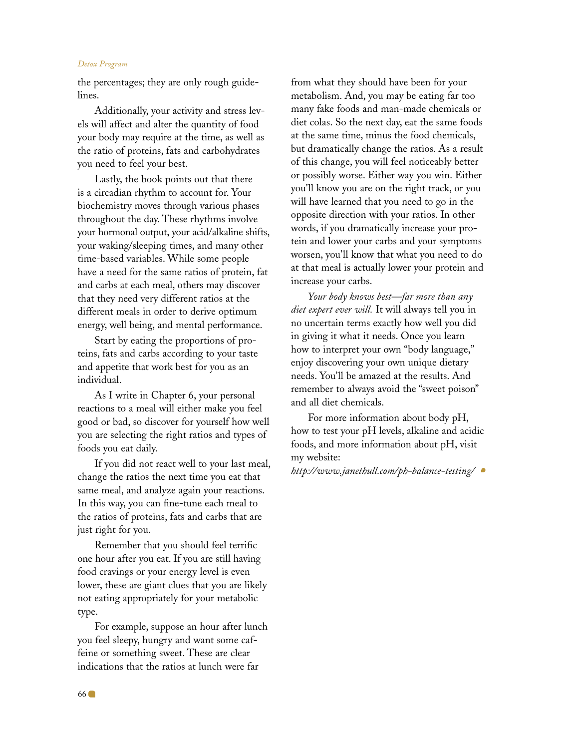the percentages; they are only rough guidelines.

Additionally, your activity and stress levels will affect and alter the quantity of food your body may require at the time, as well as the ratio of proteins, fats and carbohydrates you need to feel your best.

Lastly, the book points out that there is a circadian rhythm to account for. Your biochemistry moves through various phases throughout the day. These rhythms involve your hormonal output, your acid/alkaline shifts, your waking/sleeping times, and many other time-based variables. While some people have a need for the same ratios of protein, fat and carbs at each meal, others may discover that they need very different ratios at the different meals in order to derive optimum energy, well being, and mental performance.

Start by eating the proportions of proteins, fats and carbs according to your taste and appetite that work best for you as an individual.

As I write in Chapter 6, your personal reactions to a meal will either make you feel good or bad, so discover for yourself how well you are selecting the right ratios and types of foods you eat daily.

If you did not react well to your last meal, change the ratios the next time you eat that same meal, and analyze again your reactions. In this way, you can fine-tune each meal to the ratios of proteins, fats and carbs that are just right for you.

Remember that you should feel terrific one hour after you eat. If you are still having food cravings or your energy level is even lower, these are giant clues that you are likely not eating appropriately for your metabolic type.

For example, suppose an hour after lunch you feel sleepy, hungry and want some caffeine or something sweet. These are clear indications that the ratios at lunch were far

from what they should have been for your metabolism. And, you may be eating far too many fake foods and man-made chemicals or diet colas. So the next day, eat the same foods at the same time, minus the food chemicals, but dramatically change the ratios. As a result of this change, you will feel noticeably better or possibly worse. Either way you win. Either you'll know you are on the right track, or you will have learned that you need to go in the opposite direction with your ratios. In other words, if you dramatically increase your protein and lower your carbs and your symptoms worsen, you'll know that what you need to do at that meal is actually lower your protein and increase your carbs.

*Your body knows best—far more than any diet expert ever will.* It will always tell you in no uncertain terms exactly how well you did in giving it what it needs. Once you learn how to interpret your own "body language," enjoy discovering your own unique dietary needs. You'll be amazed at the results. And remember to always avoid the "sweet poison" and all diet chemicals.

For more information about body pH, how to test your pH levels, alkaline and acidic foods, and more information about pH, visit my website:

*http://www.janethull.com/ph-balance-testing/*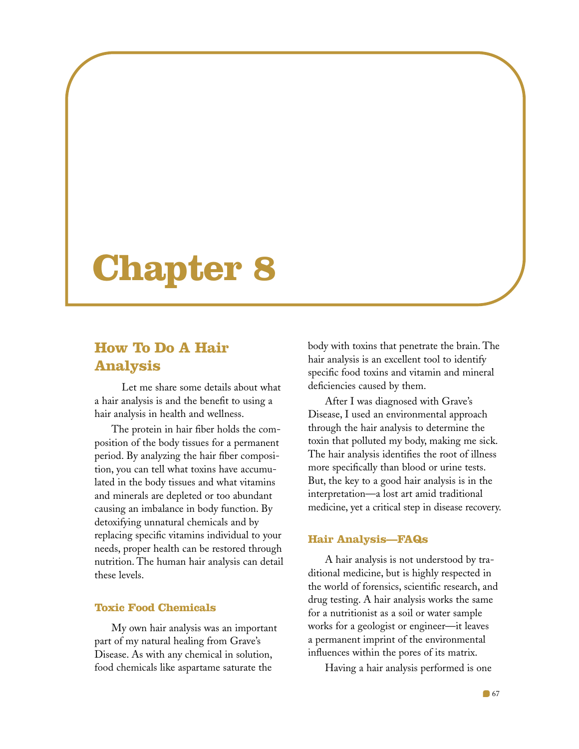# **Chapter 8**

### **How To Do A Hair Analysis**

 Let me share some details about what a hair analysis is and the benefit to using a hair analysis in health and wellness.

The protein in hair fiber holds the composition of the body tissues for a permanent period. By analyzing the hair fiber composition, you can tell what toxins have accumulated in the body tissues and what vitamins and minerals are depleted or too abundant causing an imbalance in body function. By detoxifying unnatural chemicals and by replacing specific vitamins individual to your needs, proper health can be restored through nutrition. The human hair analysis can detail these levels.

### **Toxic Food Chemicals**

My own hair analysis was an important part of my natural healing from Grave's Disease. As with any chemical in solution, food chemicals like aspartame saturate the

body with toxins that penetrate the brain. The hair analysis is an excellent tool to identify specific food toxins and vitamin and mineral deficiencies caused by them.

After I was diagnosed with Grave's Disease, I used an environmental approach through the hair analysis to determine the toxin that polluted my body, making me sick. The hair analysis identifies the root of illness more specifically than blood or urine tests. But, the key to a good hair analysis is in the interpretation—a lost art amid traditional medicine, yet a critical step in disease recovery.

### **Hair Analysis—FAQs**

A hair analysis is not understood by traditional medicine, but is highly respected in the world of forensics, scientific research, and drug testing. A hair analysis works the same for a nutritionist as a soil or water sample works for a geologist or engineer—it leaves a permanent imprint of the environmental influences within the pores of its matrix.

Having a hair analysis performed is one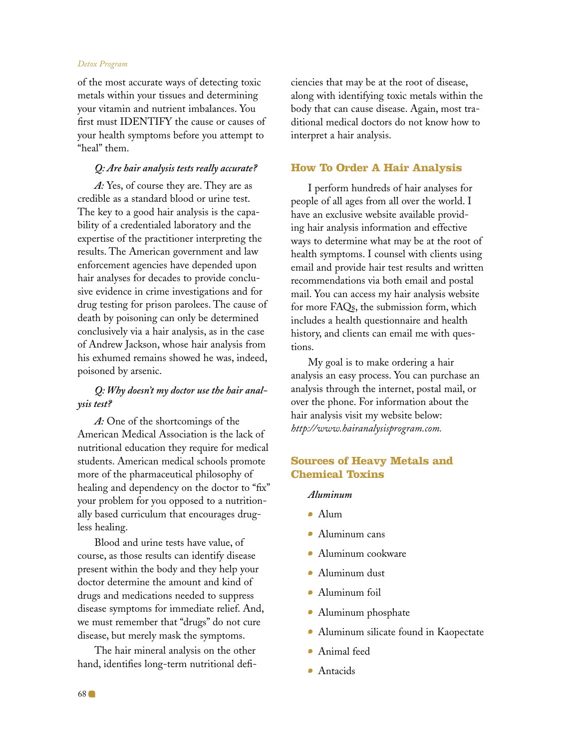of the most accurate ways of detecting toxic metals within your tissues and determining your vitamin and nutrient imbalances. You first must IDENTIFY the cause or causes of your health symptoms before you attempt to "heal" them.

### *Q: Are hair analysis tests really accurate?*

*A:* Yes, of course they are. They are as credible as a standard blood or urine test. The key to a good hair analysis is the capability of a credentialed laboratory and the expertise of the practitioner interpreting the results. The American government and law enforcement agencies have depended upon hair analyses for decades to provide conclusive evidence in crime investigations and for drug testing for prison parolees. The cause of death by poisoning can only be determined conclusively via a hair analysis, as in the case of Andrew Jackson, whose hair analysis from his exhumed remains showed he was, indeed, poisoned by arsenic.

### *Q: Why doesn't my doctor use the hair analysis test?*

*A:* One of the shortcomings of the American Medical Association is the lack of nutritional education they require for medical students. American medical schools promote more of the pharmaceutical philosophy of healing and dependency on the doctor to "fix" your problem for you opposed to a nutritionally based curriculum that encourages drugless healing.

Blood and urine tests have value, of course, as those results can identify disease present within the body and they help your doctor determine the amount and kind of drugs and medications needed to suppress disease symptoms for immediate relief. And, we must remember that "drugs" do not cure disease, but merely mask the symptoms.

The hair mineral analysis on the other hand, identifies long-term nutritional deficiencies that may be at the root of disease, along with identifying toxic metals within the body that can cause disease. Again, most traditional medical doctors do not know how to interpret a hair analysis.

### **How To Order A Hair Analysis**

I perform hundreds of hair analyses for people of all ages from all over the world. I have an exclusive website available providing hair analysis information and effective ways to determine what may be at the root of health symptoms. I counsel with clients using email and provide hair test results and written recommendations via both email and postal mail. You can access my hair analysis website for more FAQs, the submission form, which includes a health questionnaire and health history, and clients can email me with questions.

My goal is to make ordering a hair analysis an easy process. You can purchase an analysis through the internet, postal mail, or over the phone. For information about the hair analysis visit my website below: *http://www.hairanalysisprogram.com.*

### **Sources of Heavy Metals and Chemical Toxins**

### *Aluminum*

- Alum
- Aluminum cans
- Aluminum cookware
- Aluminum dust
- Aluminum foil
- Aluminum phosphate
- Aluminum silicate found in Kaopectate
- Animal feed
- Antacids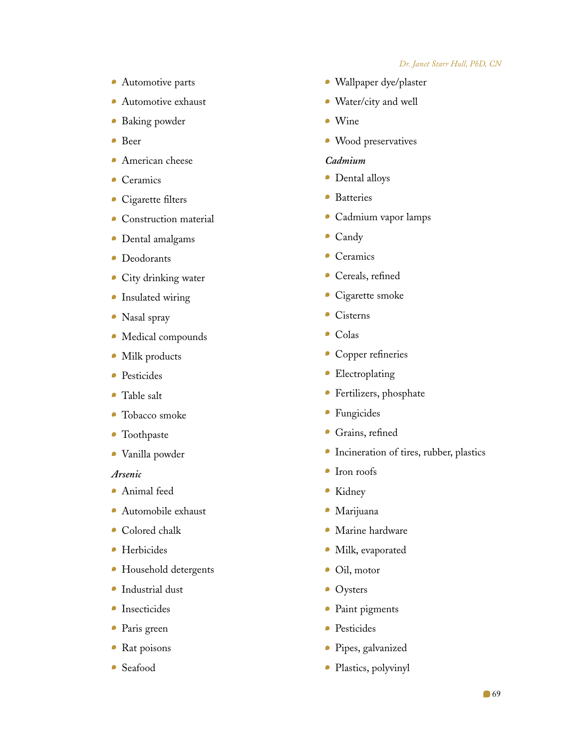### *Dr. Janet Starr Hull, PhD, CN*

- Automotive parts
- Automotive exhaust
- Baking powder
- Beer
- American cheese
- Ceramics
- **Cigarette filters**
- Construction material
- Dental amalgams
- Deodorants
- City drinking water
- **Insulated wiring**
- Nasal spray
- Medical compounds
- Milk products
- Pesticides
- Table salt
- Tobacco smoke
- Toothpaste
- Vanilla powder

### *Arsenic*

- Animal feed
- Automobile exhaust
- Colored chalk
- **•** Herbicides
- Household detergents
- Industrial dust
- **Insecticides**
- Paris green
- Rat poisons
- Seafood
- Wallpaper dye/plaster
- Water/city and well
- Wine
- Wood preservatives

### *Cadmium*

- Dental alloys
- **Batteries**
- Cadmium vapor lamps
- Candy
- Ceramics
- Cereals, refined
- Cigarette smoke
- Cisterns
- Colas
- Copper refineries
- Electroplating
- Fertilizers, phosphate
- Fungicides
- Grains, refined
- Incineration of tires, rubber, plastics
- Iron roofs
- Kidney
- Marijuana
- Marine hardware
- Milk, evaporated
- Oil, motor
- Oysters
- Paint pigments
- **Pesticides**
- Pipes, galvanized
- Plastics, polyvinyl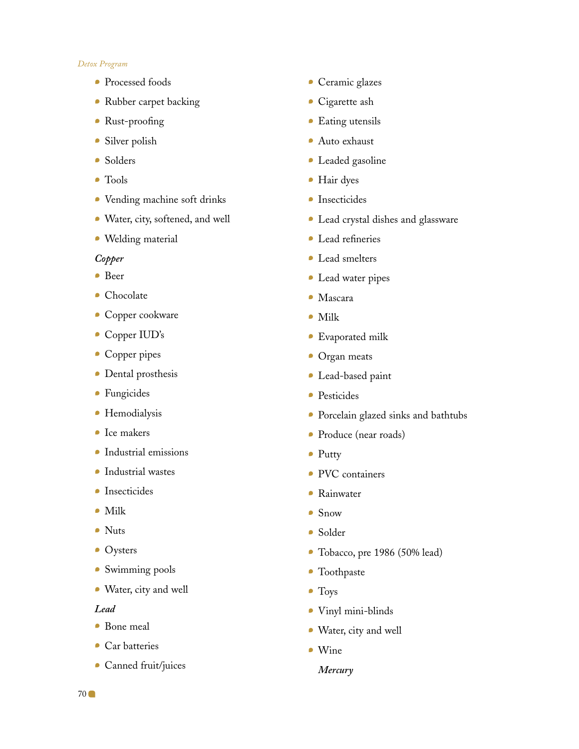- Processed foods
- Rubber carpet backing
- Rust-proofing
- Silver polish
- **Solders**
- Tools
- Vending machine soft drinks
- Water, city, softened, and well
- Welding material

*Copper*

- Beer
- Chocolate
- Copper cookware
- Copper IUD's
- Copper pipes
- Dental prosthesis
- Fungicides
- **•** Hemodialysis
- Ice makers
- Industrial emissions
- **Industrial wastes**
- **Insecticides**
- Milk
- Nuts
- Oysters
- Swimming pools
- Water, city and well

### *Lead*

- Bone meal
- Car batteries
- Canned fruit/juices
- Ceramic glazes
- Cigarette ash
- Eating utensils
- Auto exhaust
- Leaded gasoline
- Hair dyes
- **Insecticides**
- Lead crystal dishes and glassware
- Lead refineries
- Lead smelters
- Lead water pipes
- Mascara
- Milk
- Evaporated milk
- Organ meats
- Lead-based paint
- **Pesticides**
- Porcelain glazed sinks and bathtubs
- Produce (near roads)
- Putty
- PVC containers
- Rainwater
- Snow
- Solder
- Tobacco, pre 1986 (50% lead)
- Toothpaste
- Toys
- Vinyl mini-blinds
- Water, city and well
- Wine
	- *Mercury*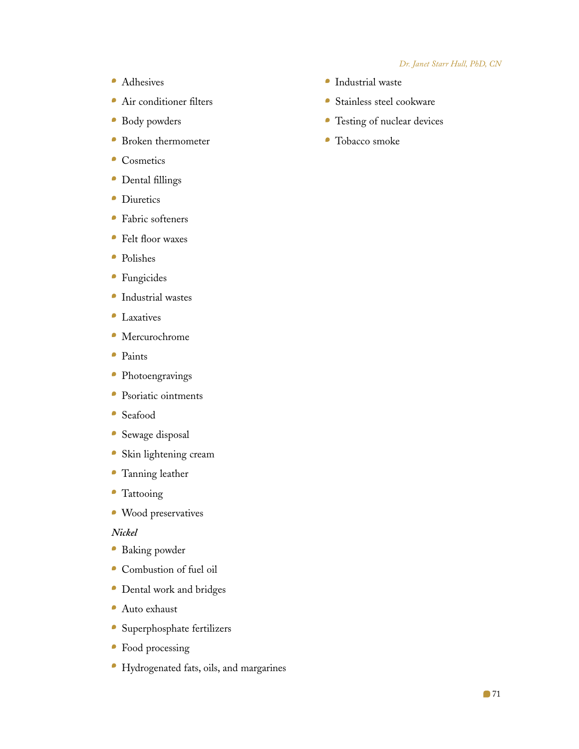### *Dr. Janet Starr Hull, PhD, CN*

- Adhesives
- Air conditioner filters
- Body powders
- Broken thermometer
- Cosmetics
- Dental fillings
- Diuretics
- Fabric softeners
- Felt floor waxes
- Polishes
- Fungicides
- **Industrial wastes**
- Laxatives
- Mercurochrome
- Paints
- Photoengravings
- Psoriatic ointments
- Seafood
- Sewage disposal
- Skin lightening cream
- Tanning leather
- Tattooing
- Wood preservatives

### *Nickel*

- Baking powder
- Combustion of fuel oil
- Dental work and bridges
- Auto exhaust
- Superphosphate fertilizers
- Food processing
- Hydrogenated fats, oils, and margarines
- Industrial waste
- Stainless steel cookware
- Testing of nuclear devices
- Tobacco smoke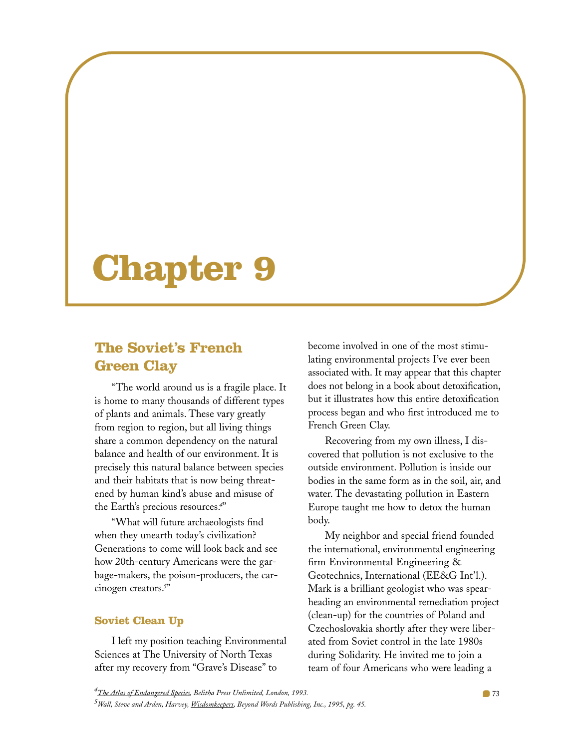# **Chapter 9**

### **The Soviet's French Green Clay**

"The world around us is a fragile place. It is home to many thousands of different types of plants and animals. These vary greatly from region to region, but all living things share a common dependency on the natural balance and health of our environment. It is precisely this natural balance between species and their habitats that is now being threatened by human kind's abuse and misuse of the Earth's precious resources.*<sup>4</sup>*"

"What will future archaeologists find when they unearth today's civilization? Generations to come will look back and see how 20th-century Americans were the garbage-makers, the poison-producers, the carcinogen creators.*<sup>5</sup>*"

### **Soviet Clean Up**

I left my position teaching Environmental Sciences at The University of North Texas after my recovery from "Grave's Disease" to

become involved in one of the most stimulating environmental projects I've ever been associated with. It may appear that this chapter does not belong in a book about detoxification, but it illustrates how this entire detoxification process began and who first introduced me to French Green Clay.

Recovering from my own illness, I discovered that pollution is not exclusive to the outside environment. Pollution is inside our bodies in the same form as in the soil, air, and water. The devastating pollution in Eastern Europe taught me how to detox the human body.

My neighbor and special friend founded the international, environmental engineering firm Environmental Engineering & Geotechnics, International (EE&G Int'l.). Mark is a brilliant geologist who was spearheading an environmental remediation project (clean-up) for the countries of Poland and Czechoslovakia shortly after they were liberated from Soviet control in the late 1980s during Solidarity. He invited me to join a team of four Americans who were leading a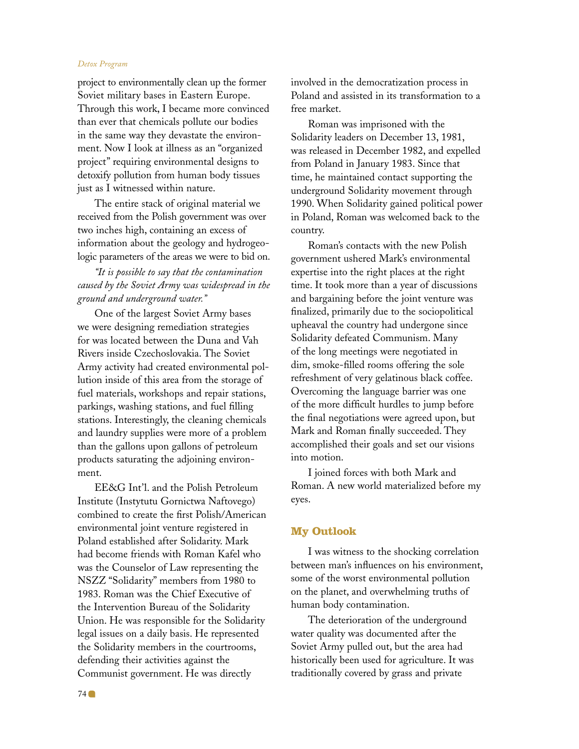project to environmentally clean up the former Soviet military bases in Eastern Europe. Through this work, I became more convinced than ever that chemicals pollute our bodies in the same way they devastate the environment. Now I look at illness as an "organized project" requiring environmental designs to detoxify pollution from human body tissues just as I witnessed within nature.

The entire stack of original material we received from the Polish government was over two inches high, containing an excess of information about the geology and hydrogeologic parameters of the areas we were to bid on.

*"It is possible to say that the contamination caused by the Soviet Army was widespread in the ground and underground water."*

One of the largest Soviet Army bases we were designing remediation strategies for was located between the Duna and Vah Rivers inside Czechoslovakia. The Soviet Army activity had created environmental pollution inside of this area from the storage of fuel materials, workshops and repair stations, parkings, washing stations, and fuel filling stations. Interestingly, the cleaning chemicals and laundry supplies were more of a problem than the gallons upon gallons of petroleum products saturating the adjoining environment.

EE&G Int'l. and the Polish Petroleum Institute (Instytutu Gornictwa Naftovego) combined to create the first Polish/American environmental joint venture registered in Poland established after Solidarity. Mark had become friends with Roman Kafel who was the Counselor of Law representing the NSZZ "Solidarity" members from 1980 to 1983. Roman was the Chief Executive of the Intervention Bureau of the Solidarity Union. He was responsible for the Solidarity legal issues on a daily basis. He represented the Solidarity members in the courtrooms, defending their activities against the Communist government. He was directly

involved in the democratization process in Poland and assisted in its transformation to a free market.

Roman was imprisoned with the Solidarity leaders on December 13, 1981, was released in December 1982, and expelled from Poland in January 1983. Since that time, he maintained contact supporting the underground Solidarity movement through 1990. When Solidarity gained political power in Poland, Roman was welcomed back to the country.

Roman's contacts with the new Polish government ushered Mark's environmental expertise into the right places at the right time. It took more than a year of discussions and bargaining before the joint venture was finalized, primarily due to the sociopolitical upheaval the country had undergone since Solidarity defeated Communism. Many of the long meetings were negotiated in dim, smoke-filled rooms offering the sole refreshment of very gelatinous black coffee. Overcoming the language barrier was one of the more difficult hurdles to jump before the final negotiations were agreed upon, but Mark and Roman finally succeeded. They accomplished their goals and set our visions into motion.

I joined forces with both Mark and Roman. A new world materialized before my eyes.

### **My Outlook**

I was witness to the shocking correlation between man's influences on his environment, some of the worst environmental pollution on the planet, and overwhelming truths of human body contamination.

The deterioration of the underground water quality was documented after the Soviet Army pulled out, but the area had historically been used for agriculture. It was traditionally covered by grass and private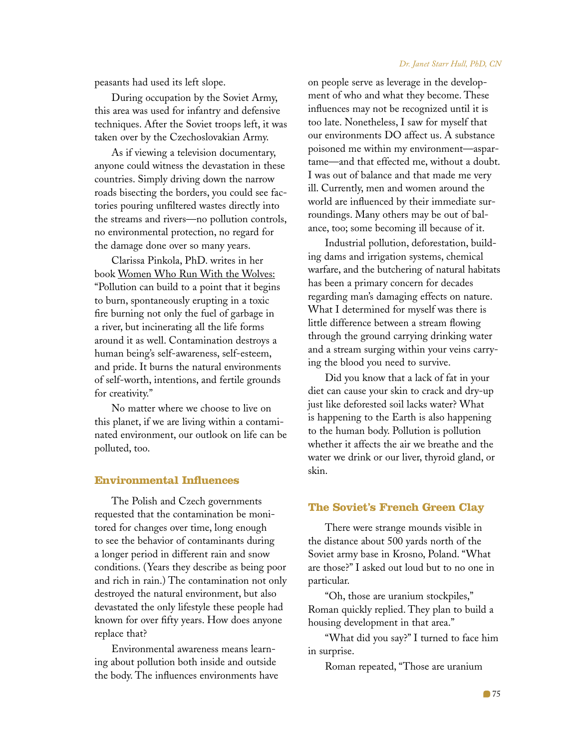#### *Dr. Janet Starr Hull, PhD, CN*

peasants had used its left slope.

During occupation by the Soviet Army, this area was used for infantry and defensive techniques. After the Soviet troops left, it was taken over by the Czechoslovakian Army.

As if viewing a television documentary, anyone could witness the devastation in these countries. Simply driving down the narrow roads bisecting the borders, you could see factories pouring unfiltered wastes directly into the streams and rivers—no pollution controls, no environmental protection, no regard for the damage done over so many years.

Clarissa Pinkola, PhD. writes in her book Women Who Run With the Wolves: "Pollution can build to a point that it begins to burn, spontaneously erupting in a toxic fire burning not only the fuel of garbage in a river, but incinerating all the life forms around it as well. Contamination destroys a human being's self-awareness, self-esteem, and pride. It burns the natural environments of self-worth, intentions, and fertile grounds for creativity."

No matter where we choose to live on this planet, if we are living within a contaminated environment, our outlook on life can be polluted, too.

## **Environmental Influences**

The Polish and Czech governments requested that the contamination be monitored for changes over time, long enough to see the behavior of contaminants during a longer period in different rain and snow conditions. (Years they describe as being poor and rich in rain.) The contamination not only destroyed the natural environment, but also devastated the only lifestyle these people had known for over fifty years. How does anyone replace that?

Environmental awareness means learning about pollution both inside and outside the body. The influences environments have

on people serve as leverage in the development of who and what they become. These influences may not be recognized until it is too late. Nonetheless, I saw for myself that our environments DO affect us. A substance poisoned me within my environment—aspartame—and that effected me, without a doubt. I was out of balance and that made me very ill. Currently, men and women around the world are influenced by their immediate surroundings. Many others may be out of balance, too; some becoming ill because of it.

Industrial pollution, deforestation, building dams and irrigation systems, chemical warfare, and the butchering of natural habitats has been a primary concern for decades regarding man's damaging effects on nature. What I determined for myself was there is little difference between a stream flowing through the ground carrying drinking water and a stream surging within your veins carrying the blood you need to survive.

Did you know that a lack of fat in your diet can cause your skin to crack and dry-up just like deforested soil lacks water? What is happening to the Earth is also happening to the human body. Pollution is pollution whether it affects the air we breathe and the water we drink or our liver, thyroid gland, or skin.

#### **The Soviet's French Green Clay**

There were strange mounds visible in the distance about 500 yards north of the Soviet army base in Krosno, Poland. "What are those?" I asked out loud but to no one in particular.

"Oh, those are uranium stockpiles," Roman quickly replied. They plan to build a housing development in that area."

"What did you say?" I turned to face him in surprise.

Roman repeated, "Those are uranium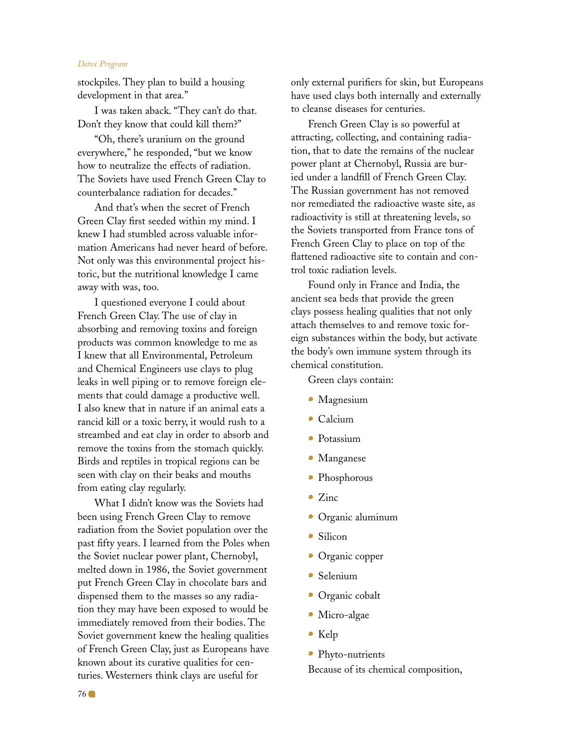stockpiles. They plan to build a housing development in that area."

I was taken aback. "They can't do that. Don't they know that could kill them?"

"Oh, there's uranium on the ground everywhere," he responded, "but we know how to neutralize the effects of radiation. The Soviets have used French Green Clay to counterbalance radiation for decades."

And that's when the secret of French Green Clay first seeded within my mind. I knew I had stumbled across valuable information Americans had never heard of before. Not only was this environmental project historic, but the nutritional knowledge I came away with was, too.

I questioned everyone I could about French Green Clay. The use of clay in absorbing and removing toxins and foreign products was common knowledge to me as I knew that all Environmental, Petroleum and Chemical Engineers use clays to plug leaks in well piping or to remove foreign elements that could damage a productive well. I also knew that in nature if an animal eats a rancid kill or a toxic berry, it would rush to a streambed and eat clay in order to absorb and remove the toxins from the stomach quickly. Birds and reptiles in tropical regions can be seen with clay on their beaks and mouths from eating clay regularly.

What I didn't know was the Soviets had been using French Green Clay to remove radiation from the Soviet population over the past fifty years. I learned from the Poles when the Soviet nuclear power plant, Chernobyl, melted down in 1986, the Soviet government put French Green Clay in chocolate bars and dispensed them to the masses so any radiation they may have been exposed to would be immediately removed from their bodies. The Soviet government knew the healing qualities of French Green Clay, just as Europeans have known about its curative qualities for centuries. Westerners think clays are useful for

only external purifiers for skin, but Europeans have used clays both internally and externally to cleanse diseases for centuries.

French Green Clay is so powerful at attracting, collecting, and containing radiation, that to date the remains of the nuclear power plant at Chernobyl, Russia are buried under a landfill of French Green Clay. The Russian government has not removed nor remediated the radioactive waste site, as radioactivity is still at threatening levels, so the Soviets transported from France tons of French Green Clay to place on top of the flattened radioactive site to contain and control toxic radiation levels.

Found only in France and India, the ancient sea beds that provide the green clays possess healing qualities that not only attach themselves to and remove toxic foreign substances within the body, but activate the body's own immune system through its chemical constitution.

Green clays contain:

- Magnesium
- Calcium
- Potassium
- Manganese
- Phosphorous
- $\bullet$  Zinc
- Organic aluminum
- Silicon
- Organic copper
- Selenium
- Organic cobalt
- Micro-algae
- Kelp
- Phyto-nutrients

Because of its chemical composition,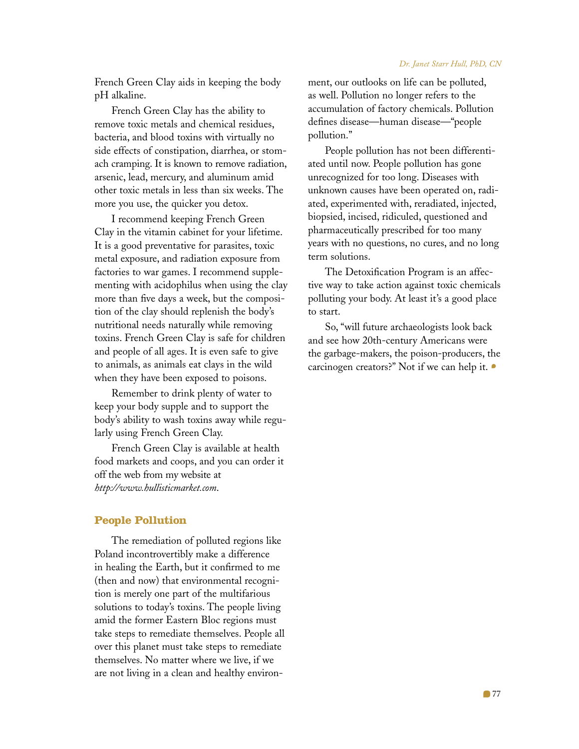French Green Clay aids in keeping the body pH alkaline.

French Green Clay has the ability to remove toxic metals and chemical residues, bacteria, and blood toxins with virtually no side effects of constipation, diarrhea, or stomach cramping. It is known to remove radiation, arsenic, lead, mercury, and aluminum amid other toxic metals in less than six weeks. The more you use, the quicker you detox.

I recommend keeping French Green Clay in the vitamin cabinet for your lifetime. It is a good preventative for parasites, toxic metal exposure, and radiation exposure from factories to war games. I recommend supplementing with acidophilus when using the clay more than five days a week, but the composition of the clay should replenish the body's nutritional needs naturally while removing toxins. French Green Clay is safe for children and people of all ages. It is even safe to give to animals, as animals eat clays in the wild when they have been exposed to poisons.

Remember to drink plenty of water to keep your body supple and to support the body's ability to wash toxins away while regularly using French Green Clay.

French Green Clay is available at health food markets and coops, and you can order it off the web from my website at *http://www.hullisticmarket.com*.

## **People Pollution**

The remediation of polluted regions like Poland incontrovertibly make a difference in healing the Earth, but it confirmed to me (then and now) that environmental recognition is merely one part of the multifarious solutions to today's toxins. The people living amid the former Eastern Bloc regions must take steps to remediate themselves. People all over this planet must take steps to remediate themselves. No matter where we live, if we are not living in a clean and healthy environment, our outlooks on life can be polluted, as well. Pollution no longer refers to the accumulation of factory chemicals. Pollution defines disease—human disease—"people pollution."

People pollution has not been differentiated until now. People pollution has gone unrecognized for too long. Diseases with unknown causes have been operated on, radiated, experimented with, reradiated, injected, biopsied, incised, ridiculed, questioned and pharmaceutically prescribed for too many years with no questions, no cures, and no long term solutions.

The Detoxification Program is an affective way to take action against toxic chemicals polluting your body. At least it's a good place to start.

So, "will future archaeologists look back and see how 20th-century Americans were the garbage-makers, the poison-producers, the carcinogen creators?" Not if we can help it.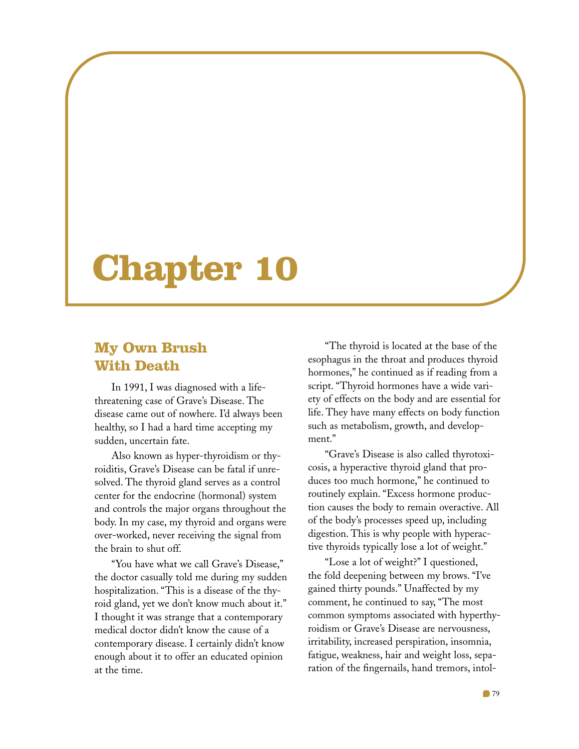# **Chapter 10**

## **My Own Brush With Death**

In 1991, I was diagnosed with a lifethreatening case of Grave's Disease. The disease came out of nowhere. I'd always been healthy, so I had a hard time accepting my sudden, uncertain fate.

Also known as hyper-thyroidism or thyroiditis, Grave's Disease can be fatal if unresolved. The thyroid gland serves as a control center for the endocrine (hormonal) system and controls the major organs throughout the body. In my case, my thyroid and organs were over-worked, never receiving the signal from the brain to shut off.

"You have what we call Grave's Disease," the doctor casually told me during my sudden hospitalization. "This is a disease of the thyroid gland, yet we don't know much about it." I thought it was strange that a contemporary medical doctor didn't know the cause of a contemporary disease. I certainly didn't know enough about it to offer an educated opinion at the time.

"The thyroid is located at the base of the esophagus in the throat and produces thyroid hormones," he continued as if reading from a script. "Thyroid hormones have a wide variety of effects on the body and are essential for life. They have many effects on body function such as metabolism, growth, and development."

"Grave's Disease is also called thyrotoxicosis, a hyperactive thyroid gland that produces too much hormone," he continued to routinely explain. "Excess hormone production causes the body to remain overactive. All of the body's processes speed up, including digestion. This is why people with hyperactive thyroids typically lose a lot of weight."

"Lose a lot of weight?" I questioned, the fold deepening between my brows. "I've gained thirty pounds." Unaffected by my comment, he continued to say, "The most common symptoms associated with hyperthyroidism or Grave's Disease are nervousness, irritability, increased perspiration, insomnia, fatigue, weakness, hair and weight loss, separation of the fingernails, hand tremors, intol-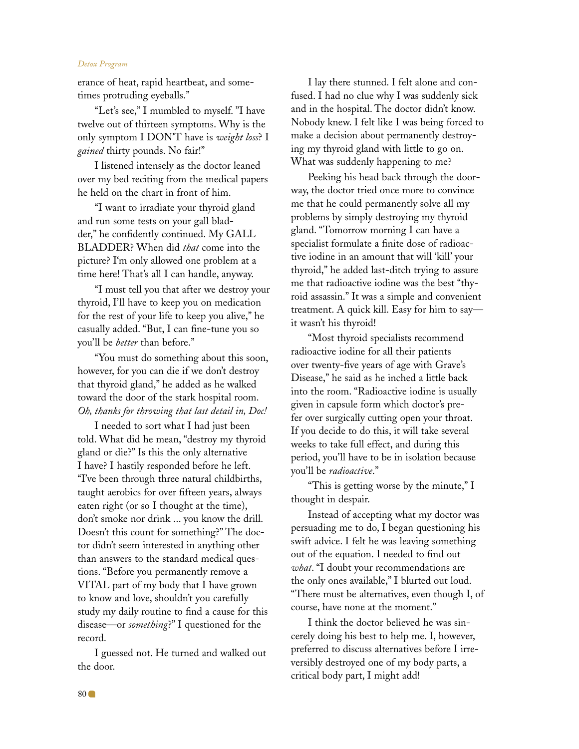erance of heat, rapid heartbeat, and sometimes protruding eyeballs."

"Let's see," I mumbled to myself. "I have twelve out of thirteen symptoms. Why is the only symptom I DON'T have is *weight loss*? I *gained* thirty pounds. No fair!"

I listened intensely as the doctor leaned over my bed reciting from the medical papers he held on the chart in front of him.

"I want to irradiate your thyroid gland and run some tests on your gall bladder," he confidently continued. My GALL BLADDER? When did *that* come into the picture? I'm only allowed one problem at a time here! That's all I can handle, anyway.

"I must tell you that after we destroy your thyroid, I'll have to keep you on medication for the rest of your life to keep you alive," he casually added. "But, I can fine-tune you so you'll be *better* than before."

"You must do something about this soon, however, for you can die if we don't destroy that thyroid gland," he added as he walked toward the door of the stark hospital room. *Oh, thanks for throwing that last detail in, Doc!*

I needed to sort what I had just been told. What did he mean, "destroy my thyroid gland or die?" Is this the only alternative I have? I hastily responded before he left. "I've been through three natural childbirths, taught aerobics for over fifteen years, always eaten right (or so I thought at the time), don't smoke nor drink ... you know the drill. Doesn't this count for something?" The doctor didn't seem interested in anything other than answers to the standard medical questions. "Before you permanently remove a VITAL part of my body that I have grown to know and love, shouldn't you carefully study my daily routine to find a cause for this disease—or *something*?" I questioned for the record.

I guessed not. He turned and walked out the door.

I lay there stunned. I felt alone and confused. I had no clue why I was suddenly sick and in the hospital. The doctor didn't know. Nobody knew. I felt like I was being forced to make a decision about permanently destroying my thyroid gland with little to go on. What was suddenly happening to me?

Peeking his head back through the doorway, the doctor tried once more to convince me that he could permanently solve all my problems by simply destroying my thyroid gland. "Tomorrow morning I can have a specialist formulate a finite dose of radioactive iodine in an amount that will 'kill' your thyroid," he added last-ditch trying to assure me that radioactive iodine was the best "thyroid assassin." It was a simple and convenient treatment. A quick kill. Easy for him to say it wasn't his thyroid!

"Most thyroid specialists recommend radioactive iodine for all their patients over twenty-five years of age with Grave's Disease," he said as he inched a little back into the room. "Radioactive iodine is usually given in capsule form which doctor's prefer over surgically cutting open your throat. If you decide to do this, it will take several weeks to take full effect, and during this period, you'll have to be in isolation because you'll be *radioactive*."

"This is getting worse by the minute," I thought in despair.

Instead of accepting what my doctor was persuading me to do, I began questioning his swift advice. I felt he was leaving something out of the equation. I needed to find out *what*. "I doubt your recommendations are the only ones available," I blurted out loud. "There must be alternatives, even though I, of course, have none at the moment."

I think the doctor believed he was sincerely doing his best to help me. I, however, preferred to discuss alternatives before I irreversibly destroyed one of my body parts, a critical body part, I might add!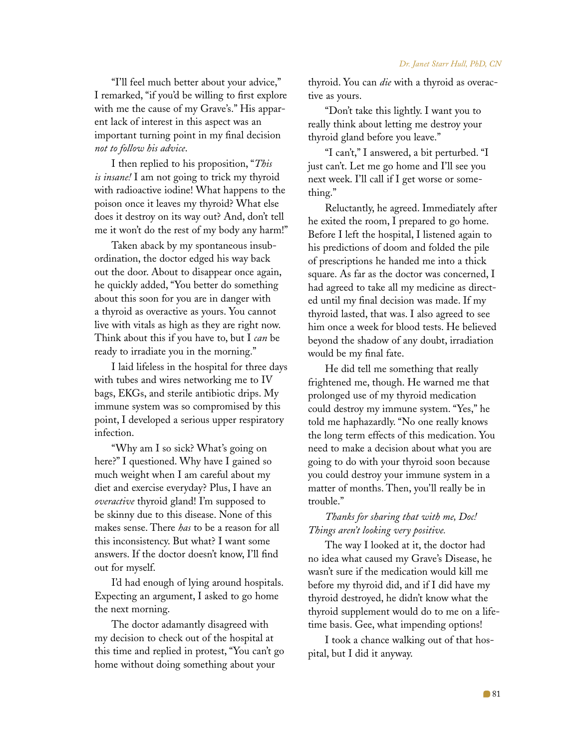"I'll feel much better about your advice," I remarked, "if you'd be willing to first explore with me the cause of my Grave's." His apparent lack of interest in this aspect was an important turning point in my final decision *not to follow his advice*.

I then replied to his proposition, "*This is insane!* I am not going to trick my thyroid with radioactive iodine! What happens to the poison once it leaves my thyroid? What else does it destroy on its way out? And, don't tell me it won't do the rest of my body any harm!"

Taken aback by my spontaneous insubordination, the doctor edged his way back out the door. About to disappear once again, he quickly added, "You better do something about this soon for you are in danger with a thyroid as overactive as yours. You cannot live with vitals as high as they are right now. Think about this if you have to, but I *can* be ready to irradiate you in the morning."

I laid lifeless in the hospital for three days with tubes and wires networking me to IV bags, EKGs, and sterile antibiotic drips. My immune system was so compromised by this point, I developed a serious upper respiratory infection.

"Why am I so sick? What's going on here?" I questioned. Why have I gained so much weight when I am careful about my diet and exercise everyday? Plus, I have an *overactive* thyroid gland! I'm supposed to be skinny due to this disease. None of this makes sense. There *has* to be a reason for all this inconsistency. But what? I want some answers. If the doctor doesn't know, I'll find out for myself.

I'd had enough of lying around hospitals. Expecting an argument, I asked to go home the next morning.

The doctor adamantly disagreed with my decision to check out of the hospital at this time and replied in protest, "You can't go home without doing something about your

thyroid. You can *die* with a thyroid as overactive as yours.

"Don't take this lightly. I want you to really think about letting me destroy your thyroid gland before you leave."

"I can't," I answered, a bit perturbed. "I just can't. Let me go home and I'll see you next week. I'll call if I get worse or something."

Reluctantly, he agreed. Immediately after he exited the room, I prepared to go home. Before I left the hospital, I listened again to his predictions of doom and folded the pile of prescriptions he handed me into a thick square. As far as the doctor was concerned, I had agreed to take all my medicine as directed until my final decision was made. If my thyroid lasted, that was. I also agreed to see him once a week for blood tests. He believed beyond the shadow of any doubt, irradiation would be my final fate.

He did tell me something that really frightened me, though. He warned me that prolonged use of my thyroid medication could destroy my immune system. "Yes," he told me haphazardly. "No one really knows the long term effects of this medication. You need to make a decision about what you are going to do with your thyroid soon because you could destroy your immune system in a matter of months. Then, you'll really be in trouble."

## *Thanks for sharing that with me, Doc! Things aren't looking very positive.*

The way I looked at it, the doctor had no idea what caused my Grave's Disease, he wasn't sure if the medication would kill me before my thyroid did, and if I did have my thyroid destroyed, he didn't know what the thyroid supplement would do to me on a lifetime basis. Gee, what impending options!

I took a chance walking out of that hospital, but I did it anyway.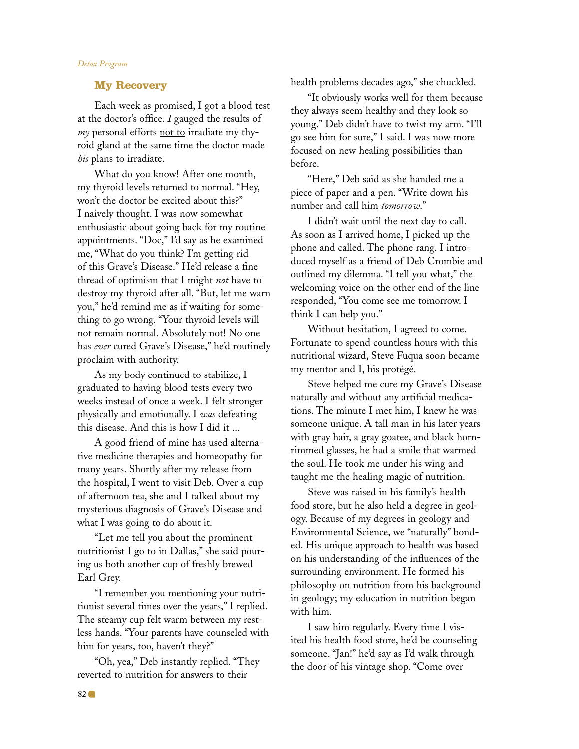## **My Recovery**

Each week as promised, I got a blood test at the doctor's office. *I* gauged the results of *my* personal efforts not to irradiate my thyroid gland at the same time the doctor made *his* plans to irradiate.

What do you know! After one month, my thyroid levels returned to normal. "Hey, won't the doctor be excited about this?" I naively thought. I was now somewhat enthusiastic about going back for my routine appointments. "Doc," I'd say as he examined me, "What do you think? I'm getting rid of this Grave's Disease." He'd release a fine thread of optimism that I might *not* have to destroy my thyroid after all. "But, let me warn you," he'd remind me as if waiting for something to go wrong. "Your thyroid levels will not remain normal. Absolutely not! No one has *ever* cured Grave's Disease," he'd routinely proclaim with authority.

As my body continued to stabilize, I graduated to having blood tests every two weeks instead of once a week. I felt stronger physically and emotionally. I *was* defeating this disease. And this is how I did it ...

A good friend of mine has used alternative medicine therapies and homeopathy for many years. Shortly after my release from the hospital, I went to visit Deb. Over a cup of afternoon tea, she and I talked about my mysterious diagnosis of Grave's Disease and what I was going to do about it.

"Let me tell you about the prominent nutritionist I go to in Dallas," she said pouring us both another cup of freshly brewed Earl Grey.

"I remember you mentioning your nutritionist several times over the years," I replied. The steamy cup felt warm between my restless hands. "Your parents have counseled with him for years, too, haven't they?"

"Oh, yea," Deb instantly replied. "They reverted to nutrition for answers to their

health problems decades ago," she chuckled.

"It obviously works well for them because they always seem healthy and they look so young." Deb didn't have to twist my arm. "I'll go see him for sure," I said. I was now more focused on new healing possibilities than before.

"Here," Deb said as she handed me a piece of paper and a pen. "Write down his number and call him *tomorrow*."

I didn't wait until the next day to call. As soon as I arrived home, I picked up the phone and called. The phone rang. I introduced myself as a friend of Deb Crombie and outlined my dilemma. "I tell you what," the welcoming voice on the other end of the line responded, "You come see me tomorrow. I think I can help you."

Without hesitation, I agreed to come. Fortunate to spend countless hours with this nutritional wizard, Steve Fuqua soon became my mentor and I, his protégé.

Steve helped me cure my Grave's Disease naturally and without any artificial medications. The minute I met him, I knew he was someone unique. A tall man in his later years with gray hair, a gray goatee, and black hornrimmed glasses, he had a smile that warmed the soul. He took me under his wing and taught me the healing magic of nutrition.

Steve was raised in his family's health food store, but he also held a degree in geology. Because of my degrees in geology and Environmental Science, we "naturally" bonded. His unique approach to health was based on his understanding of the influences of the surrounding environment. He formed his philosophy on nutrition from his background in geology; my education in nutrition began with him.

I saw him regularly. Every time I visited his health food store, he'd be counseling someone. "Jan!" he'd say as I'd walk through the door of his vintage shop. "Come over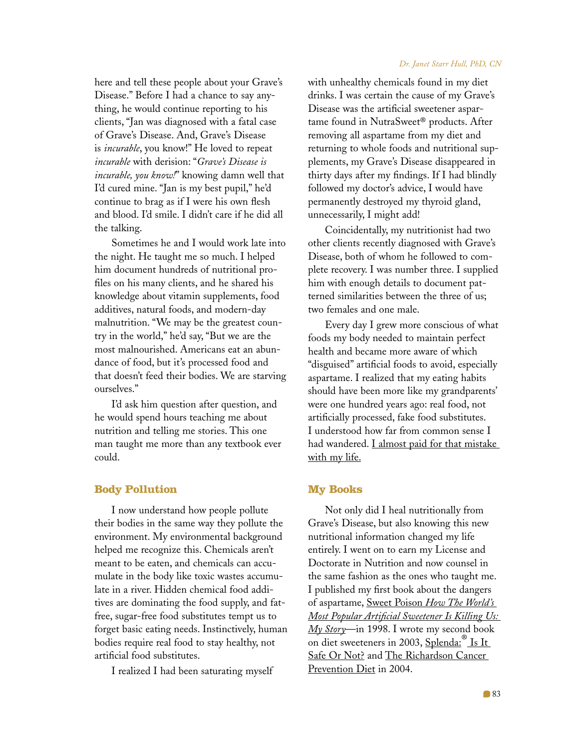## here and tell these people about your Grave's Disease." Before I had a chance to say anything, he would continue reporting to his clients, "Jan was diagnosed with a fatal case of Grave's Disease. And, Grave's Disease is *incurable*, you know!" He loved to repeat *incurable* with derision: "*Grave's Disease is*

*incurable, you know!*" knowing damn well that I'd cured mine. "Jan is my best pupil," he'd continue to brag as if I were his own flesh and blood. I'd smile. I didn't care if he did all the talking.

Sometimes he and I would work late into the night. He taught me so much. I helped him document hundreds of nutritional profiles on his many clients, and he shared his knowledge about vitamin supplements, food additives, natural foods, and modern-day malnutrition. "We may be the greatest country in the world," he'd say, "But we are the most malnourished. Americans eat an abundance of food, but it's processed food and that doesn't feed their bodies. We are starving ourselves."

I'd ask him question after question, and he would spend hours teaching me about nutrition and telling me stories. This one man taught me more than any textbook ever could.

## **Body Pollution**

I now understand how people pollute their bodies in the same way they pollute the environment. My environmental background helped me recognize this. Chemicals aren't meant to be eaten, and chemicals can accumulate in the body like toxic wastes accumulate in a river. Hidden chemical food additives are dominating the food supply, and fatfree, sugar-free food substitutes tempt us to forget basic eating needs. Instinctively, human bodies require real food to stay healthy, not artificial food substitutes.

I realized I had been saturating myself

## *Dr. Janet Starr Hull, PhD, CN*

with unhealthy chemicals found in my diet drinks. I was certain the cause of my Grave's Disease was the artificial sweetener aspartame found in NutraSweet® products. After removing all aspartame from my diet and returning to whole foods and nutritional supplements, my Grave's Disease disappeared in thirty days after my findings. If I had blindly followed my doctor's advice, I would have permanently destroyed my thyroid gland, unnecessarily, I might add!

Coincidentally, my nutritionist had two other clients recently diagnosed with Grave's Disease, both of whom he followed to complete recovery. I was number three. I supplied him with enough details to document patterned similarities between the three of us; two females and one male.

Every day I grew more conscious of what foods my body needed to maintain perfect health and became more aware of which "disguised" artificial foods to avoid, especially aspartame. I realized that my eating habits should have been more like my grandparents' were one hundred years ago: real food, not artificially processed, fake food substitutes. I understood how far from common sense I had wandered. I almost paid for that mistake with my life.

## **My Books**

Not only did I heal nutritionally from Grave's Disease, but also knowing this new nutritional information changed my life entirely. I went on to earn my License and Doctorate in Nutrition and now counsel in the same fashion as the ones who taught me. I published my first book about the dangers of aspartame, Sweet Poison *How The World's Most Popular Artificial Sweetener Is Killing Us: My Story*—in 1998. I wrote my second book on diet sweeteners in 2003, Splenda: Lis It Safe Or Not? and The Richardson Cancer Prevention Diet in 2004.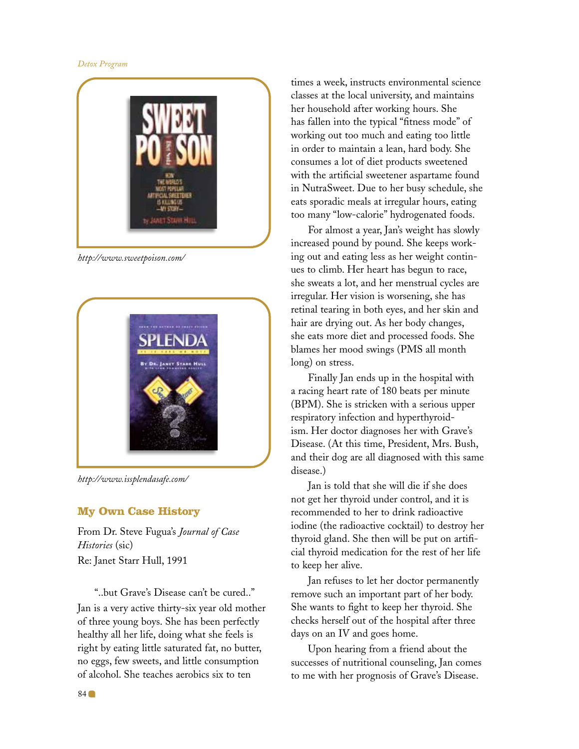

*http://www.sweetpoison.com/*



*http://www.issplendasafe.com/*

## **My Own Case History**

From Dr. Steve Fugua's *Journal of Case Histories* (sic) Re: Janet Starr Hull, 1991

"..but Grave's Disease can't be cured.." Jan is a very active thirty-six year old mother of three young boys. She has been perfectly healthy all her life, doing what she feels is right by eating little saturated fat, no butter, no eggs, few sweets, and little consumption of alcohol. She teaches aerobics six to ten

times a week, instructs environmental science classes at the local university, and maintains her household after working hours. She has fallen into the typical "fitness mode" of working out too much and eating too little in order to maintain a lean, hard body. She consumes a lot of diet products sweetened with the artificial sweetener aspartame found in NutraSweet. Due to her busy schedule, she eats sporadic meals at irregular hours, eating too many "low-calorie" hydrogenated foods.

For almost a year, Jan's weight has slowly increased pound by pound. She keeps working out and eating less as her weight continues to climb. Her heart has begun to race, she sweats a lot, and her menstrual cycles are irregular. Her vision is worsening, she has retinal tearing in both eyes, and her skin and hair are drying out. As her body changes, she eats more diet and processed foods. She blames her mood swings (PMS all month long) on stress.

Finally Jan ends up in the hospital with a racing heart rate of 180 beats per minute (BPM). She is stricken with a serious upper respiratory infection and hyperthyroidism. Her doctor diagnoses her with Grave's Disease. (At this time, President, Mrs. Bush, and their dog are all diagnosed with this same disease.)

Jan is told that she will die if she does not get her thyroid under control, and it is recommended to her to drink radioactive iodine (the radioactive cocktail) to destroy her thyroid gland. She then will be put on artificial thyroid medication for the rest of her life to keep her alive.

Jan refuses to let her doctor permanently remove such an important part of her body. She wants to fight to keep her thyroid. She checks herself out of the hospital after three days on an IV and goes home.

Upon hearing from a friend about the successes of nutritional counseling, Jan comes to me with her prognosis of Grave's Disease.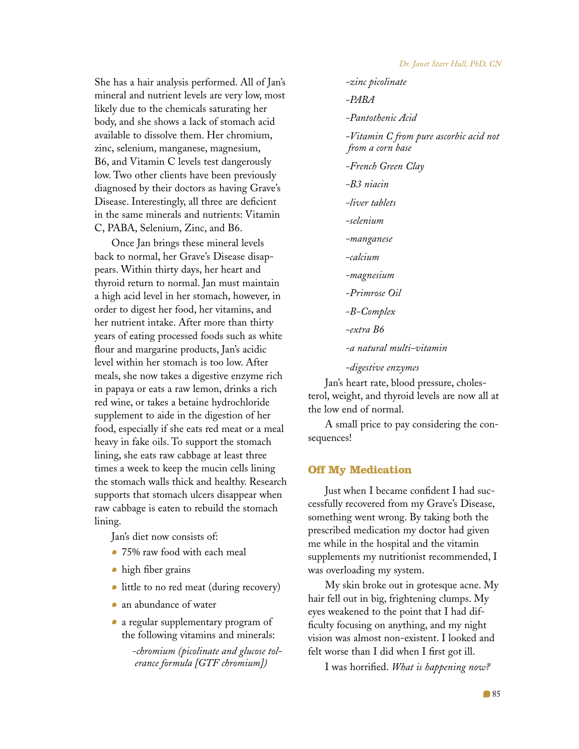She has a hair analysis performed. All of Jan's mineral and nutrient levels are very low, most likely due to the chemicals saturating her body, and she shows a lack of stomach acid available to dissolve them. Her chromium, zinc, selenium, manganese, magnesium, B6, and Vitamin C levels test dangerously low. Two other clients have been previously diagnosed by their doctors as having Grave's Disease. Interestingly, all three are deficient in the same minerals and nutrients: Vitamin C, PABA, Selenium, Zinc, and B6.

Once Jan brings these mineral levels back to normal, her Grave's Disease disappears. Within thirty days, her heart and thyroid return to normal. Jan must maintain a high acid level in her stomach, however, in order to digest her food, her vitamins, and her nutrient intake. After more than thirty years of eating processed foods such as white flour and margarine products, Jan's acidic level within her stomach is too low. After meals, she now takes a digestive enzyme rich in papaya or eats a raw lemon, drinks a rich red wine, or takes a betaine hydrochloride supplement to aide in the digestion of her food, especially if she eats red meat or a meal heavy in fake oils. To support the stomach lining, she eats raw cabbage at least three times a week to keep the mucin cells lining the stomach walls thick and healthy. Research supports that stomach ulcers disappear when raw cabbage is eaten to rebuild the stomach lining.

Jan's diet now consists of:

- 75% raw food with each meal
- high fiber grains
- little to no red meat (during recovery)
- an abundance of water
- a regular supplementary program of the following vitamins and minerals:

 *-chromium (picolinate and glucose tol erance formula [GTF chromium])*

 *-zinc picolinate -PABA -Pantothenic Acid -Vitamin C from pure ascorbic acid not from a corn base -French Green Clay -B3 niacin -liver tablets -selenium -manganese -calcium -magnesium -Primrose Oil -B-Complex -extra B6 -a natural multi-vitamin*

 *-digestive enzymes*

Jan's heart rate, blood pressure, cholesterol, weight, and thyroid levels are now all at the low end of normal.

A small price to pay considering the consequences!

## **Off My Medication**

Just when I became confident I had successfully recovered from my Grave's Disease, something went wrong. By taking both the prescribed medication my doctor had given me while in the hospital and the vitamin supplements my nutritionist recommended, I was overloading my system.

My skin broke out in grotesque acne. My hair fell out in big, frightening clumps. My eyes weakened to the point that I had difficulty focusing on anything, and my night vision was almost non-existent. I looked and felt worse than I did when I first got ill.

I was horrified. *What is happening now?*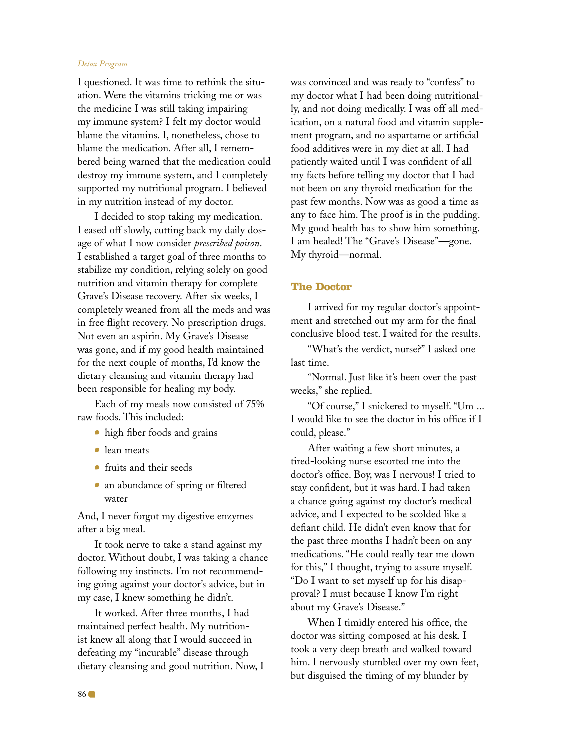I questioned. It was time to rethink the situation. Were the vitamins tricking me or was the medicine I was still taking impairing my immune system? I felt my doctor would blame the vitamins. I, nonetheless, chose to blame the medication. After all, I remembered being warned that the medication could destroy my immune system, and I completely supported my nutritional program. I believed in my nutrition instead of my doctor.

I decided to stop taking my medication. I eased off slowly, cutting back my daily dosage of what I now consider *prescribed poison*. I established a target goal of three months to stabilize my condition, relying solely on good nutrition and vitamin therapy for complete Grave's Disease recovery. After six weeks, I completely weaned from all the meds and was in free flight recovery. No prescription drugs. Not even an aspirin. My Grave's Disease was gone, and if my good health maintained for the next couple of months, I'd know the dietary cleansing and vitamin therapy had been responsible for healing my body.

Each of my meals now consisted of 75% raw foods. This included:

- high fiber foods and grains
- lean meats
- fruits and their seeds
- an abundance of spring or filtered water

And, I never forgot my digestive enzymes after a big meal.

It took nerve to take a stand against my doctor. Without doubt, I was taking a chance following my instincts. I'm not recommending going against your doctor's advice, but in my case, I knew something he didn't.

It worked. After three months, I had maintained perfect health. My nutritionist knew all along that I would succeed in defeating my "incurable" disease through dietary cleansing and good nutrition. Now, I was convinced and was ready to "confess" to my doctor what I had been doing nutritionally, and not doing medically. I was off all medication, on a natural food and vitamin supplement program, and no aspartame or artificial food additives were in my diet at all. I had patiently waited until I was confident of all my facts before telling my doctor that I had not been on any thyroid medication for the past few months. Now was as good a time as any to face him. The proof is in the pudding. My good health has to show him something. I am healed! The "Grave's Disease"—gone. My thyroid—normal.

## **The Doctor**

I arrived for my regular doctor's appointment and stretched out my arm for the final conclusive blood test. I waited for the results.

"What's the verdict, nurse?" I asked one last time.

"Normal. Just like it's been over the past weeks," she replied.

"Of course," I snickered to myself. "Um ... I would like to see the doctor in his office if I could, please."

After waiting a few short minutes, a tired-looking nurse escorted me into the doctor's office. Boy, was I nervous! I tried to stay confident, but it was hard. I had taken a chance going against my doctor's medical advice, and I expected to be scolded like a defiant child. He didn't even know that for the past three months I hadn't been on any medications. "He could really tear me down for this," I thought, trying to assure myself. "Do I want to set myself up for his disapproval? I must because I know I'm right about my Grave's Disease."

When I timidly entered his office, the doctor was sitting composed at his desk. I took a very deep breath and walked toward him. I nervously stumbled over my own feet, but disguised the timing of my blunder by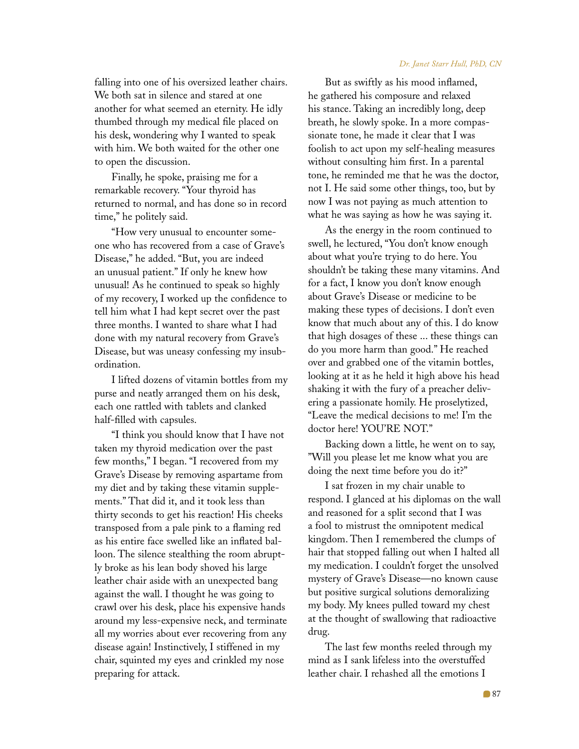#### *Dr. Janet Starr Hull, PhD, CN*

falling into one of his oversized leather chairs. We both sat in silence and stared at one another for what seemed an eternity. He idly thumbed through my medical file placed on his desk, wondering why I wanted to speak with him. We both waited for the other one to open the discussion.

Finally, he spoke, praising me for a remarkable recovery. "Your thyroid has returned to normal, and has done so in record time," he politely said.

"How very unusual to encounter someone who has recovered from a case of Grave's Disease," he added. "But, you are indeed an unusual patient." If only he knew how unusual! As he continued to speak so highly of my recovery, I worked up the confidence to tell him what I had kept secret over the past three months. I wanted to share what I had done with my natural recovery from Grave's Disease, but was uneasy confessing my insubordination.

I lifted dozens of vitamin bottles from my purse and neatly arranged them on his desk, each one rattled with tablets and clanked half-filled with capsules.

"I think you should know that I have not taken my thyroid medication over the past few months," I began. "I recovered from my Grave's Disease by removing aspartame from my diet and by taking these vitamin supplements." That did it, and it took less than thirty seconds to get his reaction! His cheeks transposed from a pale pink to a flaming red as his entire face swelled like an inflated balloon. The silence stealthing the room abruptly broke as his lean body shoved his large leather chair aside with an unexpected bang against the wall. I thought he was going to crawl over his desk, place his expensive hands around my less-expensive neck, and terminate all my worries about ever recovering from any disease again! Instinctively, I stiffened in my chair, squinted my eyes and crinkled my nose preparing for attack.

But as swiftly as his mood inflamed, he gathered his composure and relaxed his stance. Taking an incredibly long, deep breath, he slowly spoke. In a more compassionate tone, he made it clear that I was foolish to act upon my self-healing measures without consulting him first. In a parental tone, he reminded me that he was the doctor, not I. He said some other things, too, but by now I was not paying as much attention to what he was saying as how he was saying it.

As the energy in the room continued to swell, he lectured, "You don't know enough about what you're trying to do here. You shouldn't be taking these many vitamins. And for a fact, I know you don't know enough about Grave's Disease or medicine to be making these types of decisions. I don't even know that much about any of this. I do know that high dosages of these ... these things can do you more harm than good." He reached over and grabbed one of the vitamin bottles, looking at it as he held it high above his head shaking it with the fury of a preacher delivering a passionate homily. He proselytized, "Leave the medical decisions to me! I'm the doctor here! YOU'RE NOT."

Backing down a little, he went on to say, "Will you please let me know what you are doing the next time before you do it?"

I sat frozen in my chair unable to respond. I glanced at his diplomas on the wall and reasoned for a split second that I was a fool to mistrust the omnipotent medical kingdom. Then I remembered the clumps of hair that stopped falling out when I halted all my medication. I couldn't forget the unsolved mystery of Grave's Disease—no known cause but positive surgical solutions demoralizing my body. My knees pulled toward my chest at the thought of swallowing that radioactive drug.

The last few months reeled through my mind as I sank lifeless into the overstuffed leather chair. I rehashed all the emotions I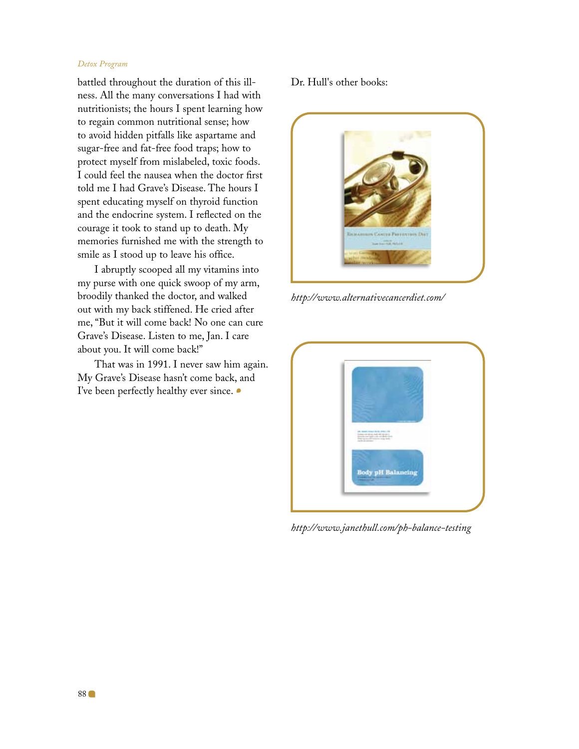battled throughout the duration of this illness. All the many conversations I had with nutritionists; the hours I spent learning how to regain common nutritional sense; how to avoid hidden pitfalls like aspartame and sugar-free and fat-free food traps; how to protect myself from mislabeled, toxic foods. I could feel the nausea when the doctor first told me I had Grave's Disease. The hours I spent educating myself on thyroid function and the endocrine system. I reflected on the courage it took to stand up to death. My memories furnished me with the strength to smile as I stood up to leave his office.

I abruptly scooped all my vitamins into my purse with one quick swoop of my arm, broodily thanked the doctor, and walked out with my back stiffened. He cried after me, "But it will come back! No one can cure Grave's Disease. Listen to me, Jan. I care about you. It will come back!"

That was in 1991. I never saw him again. My Grave's Disease hasn't come back, and I've been perfectly healthy ever since.

Dr. Hull's other books:



*http://www.alternativecancerdiet.com/*



*http://www.janethull.com/ph-balance-testing*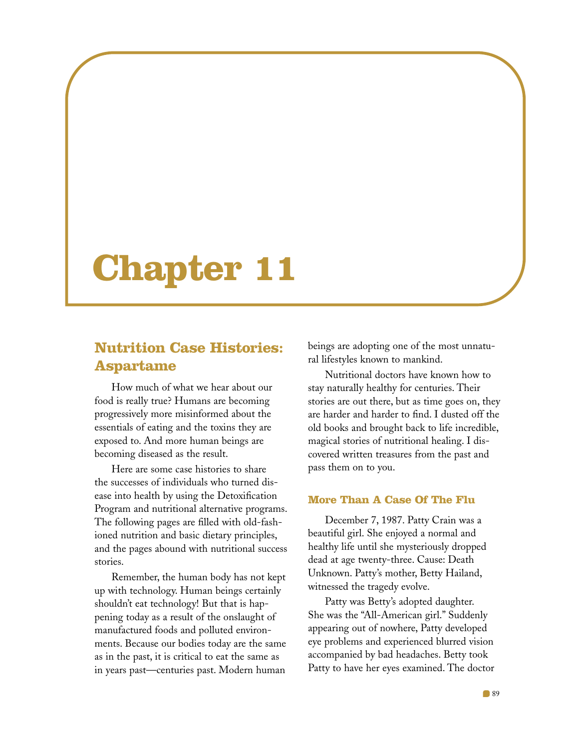# **Chapter 11**

## **Nutrition Case Histories: Aspartame**

How much of what we hear about our food is really true? Humans are becoming progressively more misinformed about the essentials of eating and the toxins they are exposed to. And more human beings are becoming diseased as the result.

Here are some case histories to share the successes of individuals who turned disease into health by using the Detoxification Program and nutritional alternative programs. The following pages are filled with old-fashioned nutrition and basic dietary principles, and the pages abound with nutritional success stories.

Remember, the human body has not kept up with technology. Human beings certainly shouldn't eat technology! But that is happening today as a result of the onslaught of manufactured foods and polluted environments. Because our bodies today are the same as in the past, it is critical to eat the same as in years past—centuries past. Modern human

beings are adopting one of the most unnatural lifestyles known to mankind.

Nutritional doctors have known how to stay naturally healthy for centuries. Their stories are out there, but as time goes on, they are harder and harder to find. I dusted off the old books and brought back to life incredible, magical stories of nutritional healing. I discovered written treasures from the past and pass them on to you.

## **More Than A Case Of The Flu**

December 7, 1987. Patty Crain was a beautiful girl. She enjoyed a normal and healthy life until she mysteriously dropped dead at age twenty-three. Cause: Death Unknown. Patty's mother, Betty Hailand, witnessed the tragedy evolve.

Patty was Betty's adopted daughter. She was the "All-American girl." Suddenly appearing out of nowhere, Patty developed eye problems and experienced blurred vision accompanied by bad headaches. Betty took Patty to have her eyes examined. The doctor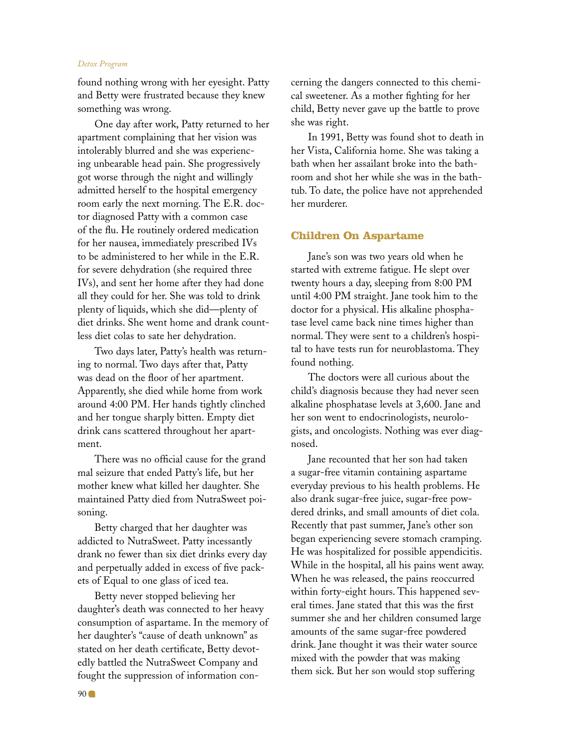found nothing wrong with her eyesight. Patty and Betty were frustrated because they knew something was wrong.

One day after work, Patty returned to her apartment complaining that her vision was intolerably blurred and she was experiencing unbearable head pain. She progressively got worse through the night and willingly admitted herself to the hospital emergency room early the next morning. The E.R. doctor diagnosed Patty with a common case of the flu. He routinely ordered medication for her nausea, immediately prescribed IVs to be administered to her while in the E.R. for severe dehydration (she required three IVs), and sent her home after they had done all they could for her. She was told to drink plenty of liquids, which she did—plenty of diet drinks. She went home and drank countless diet colas to sate her dehydration.

Two days later, Patty's health was returning to normal. Two days after that, Patty was dead on the floor of her apartment. Apparently, she died while home from work around 4:00 PM. Her hands tightly clinched and her tongue sharply bitten. Empty diet drink cans scattered throughout her apartment.

There was no official cause for the grand mal seizure that ended Patty's life, but her mother knew what killed her daughter. She maintained Patty died from NutraSweet poisoning.

Betty charged that her daughter was addicted to NutraSweet. Patty incessantly drank no fewer than six diet drinks every day and perpetually added in excess of five packets of Equal to one glass of iced tea.

Betty never stopped believing her daughter's death was connected to her heavy consumption of aspartame. In the memory of her daughter's "cause of death unknown" as stated on her death certificate, Betty devotedly battled the NutraSweet Company and fought the suppression of information concerning the dangers connected to this chemical sweetener. As a mother fighting for her child, Betty never gave up the battle to prove she was right.

In 1991, Betty was found shot to death in her Vista, California home. She was taking a bath when her assailant broke into the bathroom and shot her while she was in the bathtub. To date, the police have not apprehended her murderer.

## **Children On Aspartame**

Jane's son was two years old when he started with extreme fatigue. He slept over twenty hours a day, sleeping from 8:00 PM until 4:00 PM straight. Jane took him to the doctor for a physical. His alkaline phosphatase level came back nine times higher than normal. They were sent to a children's hospital to have tests run for neuroblastoma. They found nothing.

The doctors were all curious about the child's diagnosis because they had never seen alkaline phosphatase levels at 3,600. Jane and her son went to endocrinologists, neurologists, and oncologists. Nothing was ever diagnosed.

Jane recounted that her son had taken a sugar-free vitamin containing aspartame everyday previous to his health problems. He also drank sugar-free juice, sugar-free powdered drinks, and small amounts of diet cola. Recently that past summer, Jane's other son began experiencing severe stomach cramping. He was hospitalized for possible appendicitis. While in the hospital, all his pains went away. When he was released, the pains reoccurred within forty-eight hours. This happened several times. Jane stated that this was the first summer she and her children consumed large amounts of the same sugar-free powdered drink. Jane thought it was their water source mixed with the powder that was making them sick. But her son would stop suffering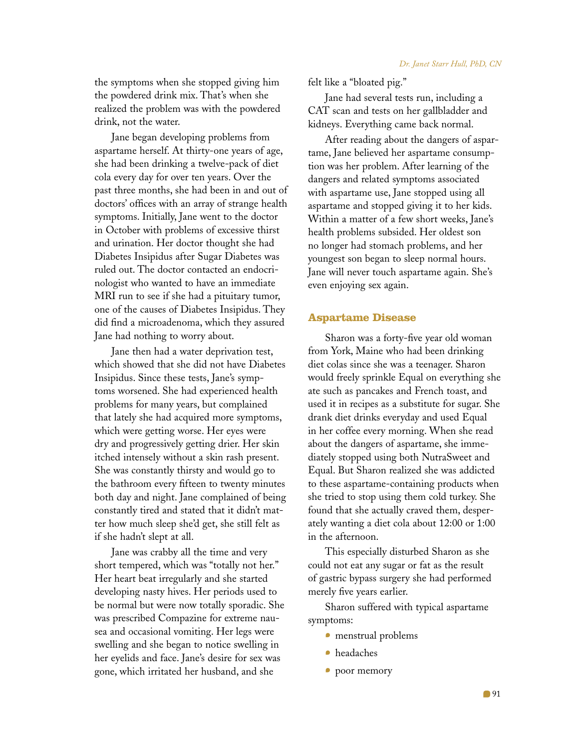the symptoms when she stopped giving him the powdered drink mix. That's when she realized the problem was with the powdered drink, not the water.

Jane began developing problems from aspartame herself. At thirty-one years of age, she had been drinking a twelve-pack of diet cola every day for over ten years. Over the past three months, she had been in and out of doctors' offices with an array of strange health symptoms. Initially, Jane went to the doctor in October with problems of excessive thirst and urination. Her doctor thought she had Diabetes Insipidus after Sugar Diabetes was ruled out. The doctor contacted an endocrinologist who wanted to have an immediate MRI run to see if she had a pituitary tumor, one of the causes of Diabetes Insipidus. They did find a microadenoma, which they assured Jane had nothing to worry about.

Jane then had a water deprivation test, which showed that she did not have Diabetes Insipidus. Since these tests, Jane's symptoms worsened. She had experienced health problems for many years, but complained that lately she had acquired more symptoms, which were getting worse. Her eyes were dry and progressively getting drier. Her skin itched intensely without a skin rash present. She was constantly thirsty and would go to the bathroom every fifteen to twenty minutes both day and night. Jane complained of being constantly tired and stated that it didn't matter how much sleep she'd get, she still felt as if she hadn't slept at all.

Jane was crabby all the time and very short tempered, which was "totally not her." Her heart beat irregularly and she started developing nasty hives. Her periods used to be normal but were now totally sporadic. She was prescribed Compazine for extreme nausea and occasional vomiting. Her legs were swelling and she began to notice swelling in her eyelids and face. Jane's desire for sex was gone, which irritated her husband, and she

felt like a "bloated pig."

Jane had several tests run, including a CAT scan and tests on her gallbladder and kidneys. Everything came back normal.

After reading about the dangers of aspartame, Jane believed her aspartame consumption was her problem. After learning of the dangers and related symptoms associated with aspartame use, Jane stopped using all aspartame and stopped giving it to her kids. Within a matter of a few short weeks, Jane's health problems subsided. Her oldest son no longer had stomach problems, and her youngest son began to sleep normal hours. Jane will never touch aspartame again. She's even enjoying sex again.

#### **Aspartame Disease**

Sharon was a forty-five year old woman from York, Maine who had been drinking diet colas since she was a teenager. Sharon would freely sprinkle Equal on everything she ate such as pancakes and French toast, and used it in recipes as a substitute for sugar. She drank diet drinks everyday and used Equal in her coffee every morning. When she read about the dangers of aspartame, she immediately stopped using both NutraSweet and Equal. But Sharon realized she was addicted to these aspartame-containing products when she tried to stop using them cold turkey. She found that she actually craved them, desperately wanting a diet cola about 12:00 or 1:00 in the afternoon.

This especially disturbed Sharon as she could not eat any sugar or fat as the result of gastric bypass surgery she had performed merely five years earlier.

Sharon suffered with typical aspartame symptoms:

- menstrual problems
- headaches
- poor memory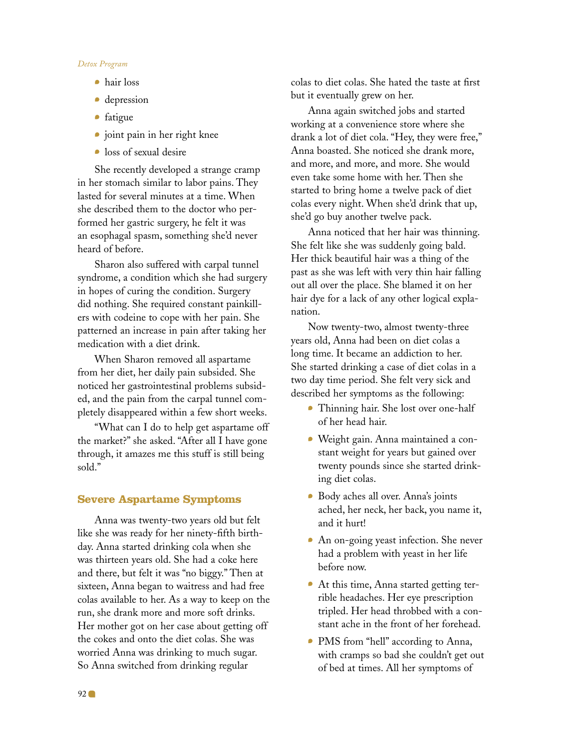- hair loss
- **depression**
- fatigue
- joint pain in her right knee
- **loss of sexual desire**

She recently developed a strange cramp in her stomach similar to labor pains. They lasted for several minutes at a time. When she described them to the doctor who performed her gastric surgery, he felt it was an esophagal spasm, something she'd never heard of before.

Sharon also suffered with carpal tunnel syndrome, a condition which she had surgery in hopes of curing the condition. Surgery did nothing. She required constant painkillers with codeine to cope with her pain. She patterned an increase in pain after taking her medication with a diet drink.

When Sharon removed all aspartame from her diet, her daily pain subsided. She noticed her gastrointestinal problems subsided, and the pain from the carpal tunnel completely disappeared within a few short weeks.

"What can I do to help get aspartame off the market?" she asked. "After all I have gone through, it amazes me this stuff is still being sold."

## **Severe Aspartame Symptoms**

Anna was twenty-two years old but felt like she was ready for her ninety-fifth birthday. Anna started drinking cola when she was thirteen years old. She had a coke here and there, but felt it was "no biggy." Then at sixteen, Anna began to waitress and had free colas available to her. As a way to keep on the run, she drank more and more soft drinks. Her mother got on her case about getting off the cokes and onto the diet colas. She was worried Anna was drinking to much sugar. So Anna switched from drinking regular

colas to diet colas. She hated the taste at first but it eventually grew on her.

Anna again switched jobs and started working at a convenience store where she drank a lot of diet cola. "Hey, they were free," Anna boasted. She noticed she drank more, and more, and more, and more. She would even take some home with her. Then she started to bring home a twelve pack of diet colas every night. When she'd drink that up, she'd go buy another twelve pack.

Anna noticed that her hair was thinning. She felt like she was suddenly going bald. Her thick beautiful hair was a thing of the past as she was left with very thin hair falling out all over the place. She blamed it on her hair dye for a lack of any other logical explanation.

Now twenty-two, almost twenty-three years old, Anna had been on diet colas a long time. It became an addiction to her. She started drinking a case of diet colas in a two day time period. She felt very sick and described her symptoms as the following:

- Thinning hair. She lost over one-half of her head hair.
- Weight gain. Anna maintained a con stant weight for years but gained over twenty pounds since she started drink ing diet colas.
- Body aches all over. Anna's joints ached, her neck, her back, you name it, and it hurt!
- An on-going yeast infection. She never had a problem with yeast in her life before now.
- At this time, Anna started getting ter rible headaches. Her eye prescription tripled. Her head throbbed with a con stant ache in the front of her forehead.
- PMS from "hell" according to Anna, with cramps so bad she couldn't get out of bed at times. All her symptoms of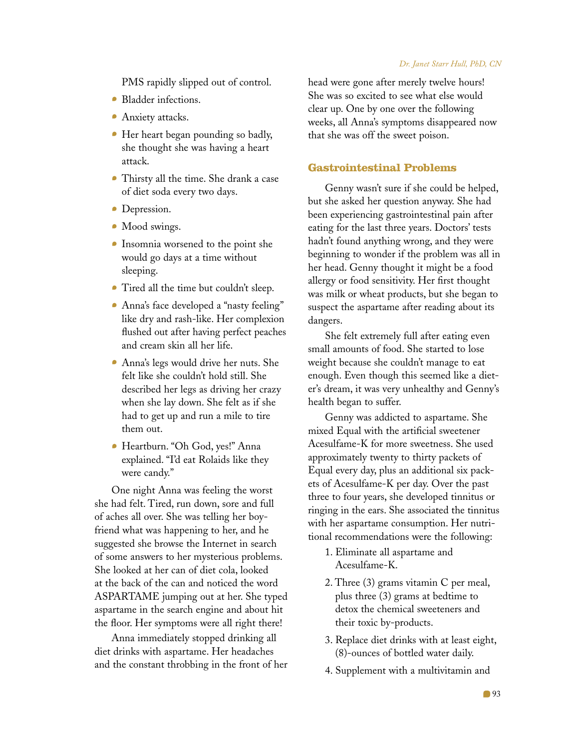## *Dr. Janet Starr Hull, PhD, CN*

PMS rapidly slipped out of control.

- Bladder infections.
- **Anxiety attacks.**
- Her heart began pounding so badly, she thought she was having a heart attack.
- Thirsty all the time. She drank a case of diet soda every two days.
- Depression.
- Mood swings.
- Insomnia worsened to the point she would go days at a time without sleeping.
- Tired all the time but couldn't sleep.
- Anna's face developed a "nasty feeling" like dry and rash-like. Her complexion flushed out after having perfect peaches and cream skin all her life.
- Anna's legs would drive her nuts. She felt like she couldn't hold still. She described her legs as driving her crazy when she lay down. She felt as if she had to get up and run a mile to tire them out.
- Heartburn. "Oh God, yes!" Anna explained. "I'd eat Rolaids like they were candy."

One night Anna was feeling the worst she had felt. Tired, run down, sore and full of aches all over. She was telling her boyfriend what was happening to her, and he suggested she browse the Internet in search of some answers to her mysterious problems. She looked at her can of diet cola, looked at the back of the can and noticed the word ASPARTAME jumping out at her. She typed aspartame in the search engine and about hit the floor. Her symptoms were all right there!

Anna immediately stopped drinking all diet drinks with aspartame. Her headaches and the constant throbbing in the front of her head were gone after merely twelve hours! She was so excited to see what else would clear up. One by one over the following weeks, all Anna's symptoms disappeared now that she was off the sweet poison.

## **Gastrointestinal Problems**

Genny wasn't sure if she could be helped, but she asked her question anyway. She had been experiencing gastrointestinal pain after eating for the last three years. Doctors' tests hadn't found anything wrong, and they were beginning to wonder if the problem was all in her head. Genny thought it might be a food allergy or food sensitivity. Her first thought was milk or wheat products, but she began to suspect the aspartame after reading about its dangers.

She felt extremely full after eating even small amounts of food. She started to lose weight because she couldn't manage to eat enough. Even though this seemed like a dieter's dream, it was very unhealthy and Genny's health began to suffer.

Genny was addicted to aspartame. She mixed Equal with the artificial sweetener Acesulfame-K for more sweetness. She used approximately twenty to thirty packets of Equal every day, plus an additional six packets of Acesulfame-K per day. Over the past three to four years, she developed tinnitus or ringing in the ears. She associated the tinnitus with her aspartame consumption. Her nutritional recommendations were the following:

- 1. Eliminate all aspartame and Acesulfame-K.
- 2. Three (3) grams vitamin C per meal, plus three (3) grams at bedtime to detox the chemical sweeteners and their toxic by-products.
- 3. Replace diet drinks with at least eight, (8)-ounces of bottled water daily.
- 4. Supplement with a multivitamin and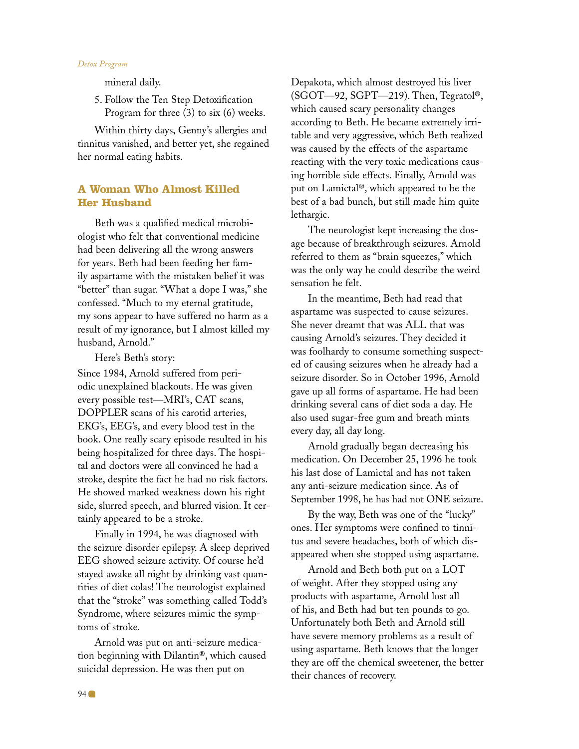mineral daily.

5. Follow the Ten Step Detoxification Program for three (3) to six (6) weeks.

Within thirty days, Genny's allergies and tinnitus vanished, and better yet, she regained her normal eating habits.

## **A Woman Who Almost Killed Her Husband**

Beth was a qualified medical microbiologist who felt that conventional medicine had been delivering all the wrong answers for years. Beth had been feeding her family aspartame with the mistaken belief it was "better" than sugar. "What a dope I was," she confessed. "Much to my eternal gratitude, my sons appear to have suffered no harm as a result of my ignorance, but I almost killed my husband, Arnold."

Here's Beth's story:

Since 1984, Arnold suffered from periodic unexplained blackouts. He was given every possible test—MRI's, CAT scans, DOPPLER scans of his carotid arteries, EKG's, EEG's, and every blood test in the book. One really scary episode resulted in his being hospitalized for three days. The hospital and doctors were all convinced he had a stroke, despite the fact he had no risk factors. He showed marked weakness down his right side, slurred speech, and blurred vision. It certainly appeared to be a stroke.

Finally in 1994, he was diagnosed with the seizure disorder epilepsy. A sleep deprived EEG showed seizure activity. Of course he'd stayed awake all night by drinking vast quantities of diet colas! The neurologist explained that the "stroke" was something called Todd's Syndrome, where seizures mimic the symptoms of stroke.

Arnold was put on anti-seizure medication beginning with Dilantin®, which caused suicidal depression. He was then put on

Depakota, which almost destroyed his liver  $(SGOT-92, SGPT-219)$ . Then, Tegratol®, which caused scary personality changes according to Beth. He became extremely irritable and very aggressive, which Beth realized was caused by the effects of the aspartame reacting with the very toxic medications causing horrible side effects. Finally, Arnold was put on Lamictal®, which appeared to be the best of a bad bunch, but still made him quite lethargic.

The neurologist kept increasing the dosage because of breakthrough seizures. Arnold referred to them as "brain squeezes," which was the only way he could describe the weird sensation he felt.

In the meantime, Beth had read that aspartame was suspected to cause seizures. She never dreamt that was ALL that was causing Arnold's seizures. They decided it was foolhardy to consume something suspected of causing seizures when he already had a seizure disorder. So in October 1996, Arnold gave up all forms of aspartame. He had been drinking several cans of diet soda a day. He also used sugar-free gum and breath mints every day, all day long.

Arnold gradually began decreasing his medication. On December 25, 1996 he took his last dose of Lamictal and has not taken any anti-seizure medication since. As of September 1998, he has had not ONE seizure.

By the way, Beth was one of the "lucky" ones. Her symptoms were confined to tinnitus and severe headaches, both of which disappeared when she stopped using aspartame.

Arnold and Beth both put on a LOT of weight. After they stopped using any products with aspartame, Arnold lost all of his, and Beth had but ten pounds to go. Unfortunately both Beth and Arnold still have severe memory problems as a result of using aspartame. Beth knows that the longer they are off the chemical sweetener, the better their chances of recovery.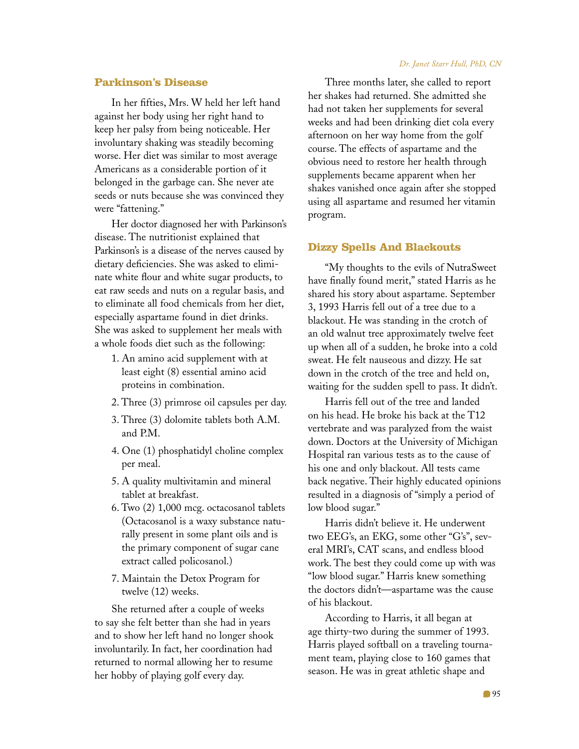#### **Parkinson's Disease**

In her fifties, Mrs. W held her left hand against her body using her right hand to keep her palsy from being noticeable. Her involuntary shaking was steadily becoming worse. Her diet was similar to most average Americans as a considerable portion of it belonged in the garbage can. She never ate seeds or nuts because she was convinced they were "fattening."

Her doctor diagnosed her with Parkinson's disease. The nutritionist explained that Parkinson's is a disease of the nerves caused by dietary deficiencies. She was asked to eliminate white flour and white sugar products, to eat raw seeds and nuts on a regular basis, and to eliminate all food chemicals from her diet, especially aspartame found in diet drinks. She was asked to supplement her meals with a whole foods diet such as the following:

- 1. An amino acid supplement with at least eight (8) essential amino acid proteins in combination.
- 2. Three (3) primrose oil capsules per day.
- 3. Three (3) dolomite tablets both A.M. and P.M.
- 4. One (1) phosphatidyl choline complex per meal.
- 5. A quality multivitamin and mineral tablet at breakfast.
- 6. Two (2) 1,000 mcg. octacosanol tablets (Octacosanol is a waxy substance natu rally present in some plant oils and is the primary component of sugar cane extract called policosanol.)
- 7. Maintain the Detox Program for twelve (12) weeks.

She returned after a couple of weeks to say she felt better than she had in years and to show her left hand no longer shook involuntarily. In fact, her coordination had returned to normal allowing her to resume her hobby of playing golf every day.

#### *Dr. Janet Starr Hull, PhD, CN*

Three months later, she called to report her shakes had returned. She admitted she had not taken her supplements for several weeks and had been drinking diet cola every afternoon on her way home from the golf course. The effects of aspartame and the obvious need to restore her health through supplements became apparent when her shakes vanished once again after she stopped using all aspartame and resumed her vitamin program.

## **Dizzy Spells And Blackouts**

"My thoughts to the evils of NutraSweet have finally found merit," stated Harris as he shared his story about aspartame. September 3, 1993 Harris fell out of a tree due to a blackout. He was standing in the crotch of an old walnut tree approximately twelve feet up when all of a sudden, he broke into a cold sweat. He felt nauseous and dizzy. He sat down in the crotch of the tree and held on, waiting for the sudden spell to pass. It didn't.

Harris fell out of the tree and landed on his head. He broke his back at the T12 vertebrate and was paralyzed from the waist down. Doctors at the University of Michigan Hospital ran various tests as to the cause of his one and only blackout. All tests came back negative. Their highly educated opinions resulted in a diagnosis of "simply a period of low blood sugar."

Harris didn't believe it. He underwent two EEG's, an EKG, some other "G's", several MRI's, CAT scans, and endless blood work. The best they could come up with was "low blood sugar." Harris knew something the doctors didn't—aspartame was the cause of his blackout.

According to Harris, it all began at age thirty-two during the summer of 1993. Harris played softball on a traveling tournament team, playing close to 160 games that season. He was in great athletic shape and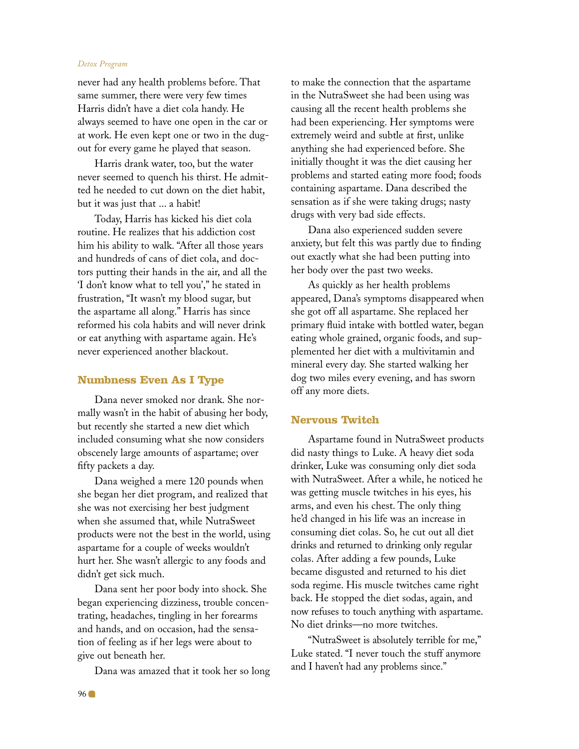never had any health problems before. That same summer, there were very few times Harris didn't have a diet cola handy. He always seemed to have one open in the car or at work. He even kept one or two in the dugout for every game he played that season.

Harris drank water, too, but the water never seemed to quench his thirst. He admitted he needed to cut down on the diet habit, but it was just that ... a habit!

Today, Harris has kicked his diet cola routine. He realizes that his addiction cost him his ability to walk. "After all those years and hundreds of cans of diet cola, and doctors putting their hands in the air, and all the 'I don't know what to tell you'," he stated in frustration, "It wasn't my blood sugar, but the aspartame all along." Harris has since reformed his cola habits and will never drink or eat anything with aspartame again. He's never experienced another blackout.

#### **Numbness Even As I Type**

Dana never smoked nor drank. She normally wasn't in the habit of abusing her body, but recently she started a new diet which included consuming what she now considers obscenely large amounts of aspartame; over fifty packets a day.

Dana weighed a mere 120 pounds when she began her diet program, and realized that she was not exercising her best judgment when she assumed that, while NutraSweet products were not the best in the world, using aspartame for a couple of weeks wouldn't hurt her. She wasn't allergic to any foods and didn't get sick much.

Dana sent her poor body into shock. She began experiencing dizziness, trouble concentrating, headaches, tingling in her forearms and hands, and on occasion, had the sensation of feeling as if her legs were about to give out beneath her.

Dana was amazed that it took her so long

to make the connection that the aspartame in the NutraSweet she had been using was causing all the recent health problems she had been experiencing. Her symptoms were extremely weird and subtle at first, unlike anything she had experienced before. She initially thought it was the diet causing her problems and started eating more food; foods containing aspartame. Dana described the sensation as if she were taking drugs; nasty drugs with very bad side effects.

Dana also experienced sudden severe anxiety, but felt this was partly due to finding out exactly what she had been putting into her body over the past two weeks.

As quickly as her health problems appeared, Dana's symptoms disappeared when she got off all aspartame. She replaced her primary fluid intake with bottled water, began eating whole grained, organic foods, and supplemented her diet with a multivitamin and mineral every day. She started walking her dog two miles every evening, and has sworn off any more diets.

#### **Nervous Twitch**

Aspartame found in NutraSweet products did nasty things to Luke. A heavy diet soda drinker, Luke was consuming only diet soda with NutraSweet. After a while, he noticed he was getting muscle twitches in his eyes, his arms, and even his chest. The only thing he'd changed in his life was an increase in consuming diet colas. So, he cut out all diet drinks and returned to drinking only regular colas. After adding a few pounds, Luke became disgusted and returned to his diet soda regime. His muscle twitches came right back. He stopped the diet sodas, again, and now refuses to touch anything with aspartame. No diet drinks—no more twitches.

"NutraSweet is absolutely terrible for me," Luke stated. "I never touch the stuff anymore and I haven't had any problems since."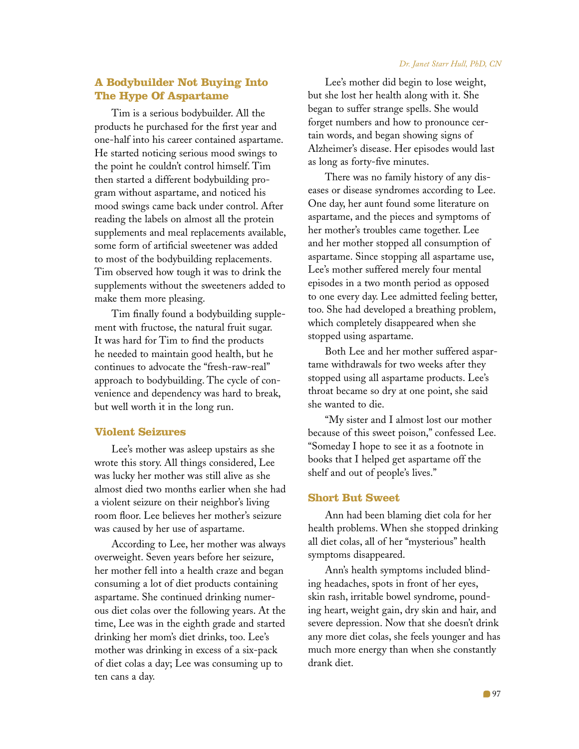## **A Bodybuilder Not Buying Into The Hype Of Aspartame**

Tim is a serious bodybuilder. All the products he purchased for the first year and one-half into his career contained aspartame. He started noticing serious mood swings to the point he couldn't control himself. Tim then started a different bodybuilding program without aspartame, and noticed his mood swings came back under control. After reading the labels on almost all the protein supplements and meal replacements available, some form of artificial sweetener was added to most of the bodybuilding replacements. Tim observed how tough it was to drink the supplements without the sweeteners added to make them more pleasing.

Tim finally found a bodybuilding supplement with fructose, the natural fruit sugar. It was hard for Tim to find the products he needed to maintain good health, but he continues to advocate the "fresh-raw-real" approach to bodybuilding. The cycle of convenience and dependency was hard to break, but well worth it in the long run.

## **Violent Seizures**

Lee's mother was asleep upstairs as she wrote this story. All things considered, Lee was lucky her mother was still alive as she almost died two months earlier when she had a violent seizure on their neighbor's living room floor. Lee believes her mother's seizure was caused by her use of aspartame.

According to Lee, her mother was always overweight. Seven years before her seizure, her mother fell into a health craze and began consuming a lot of diet products containing aspartame. She continued drinking numerous diet colas over the following years. At the time, Lee was in the eighth grade and started drinking her mom's diet drinks, too. Lee's mother was drinking in excess of a six-pack of diet colas a day; Lee was consuming up to ten cans a day.

Lee's mother did begin to lose weight, but she lost her health along with it. She began to suffer strange spells. She would forget numbers and how to pronounce certain words, and began showing signs of Alzheimer's disease. Her episodes would last as long as forty-five minutes.

There was no family history of any diseases or disease syndromes according to Lee. One day, her aunt found some literature on aspartame, and the pieces and symptoms of her mother's troubles came together. Lee and her mother stopped all consumption of aspartame. Since stopping all aspartame use, Lee's mother suffered merely four mental episodes in a two month period as opposed to one every day. Lee admitted feeling better, too. She had developed a breathing problem, which completely disappeared when she stopped using aspartame.

Both Lee and her mother suffered aspartame withdrawals for two weeks after they stopped using all aspartame products. Lee's throat became so dry at one point, she said she wanted to die.

"My sister and I almost lost our mother because of this sweet poison," confessed Lee. "Someday I hope to see it as a footnote in books that I helped get aspartame off the shelf and out of people's lives."

## **Short But Sweet**

Ann had been blaming diet cola for her health problems. When she stopped drinking all diet colas, all of her "mysterious" health symptoms disappeared.

Ann's health symptoms included blinding headaches, spots in front of her eyes, skin rash, irritable bowel syndrome, pounding heart, weight gain, dry skin and hair, and severe depression. Now that she doesn't drink any more diet colas, she feels younger and has much more energy than when she constantly drank diet.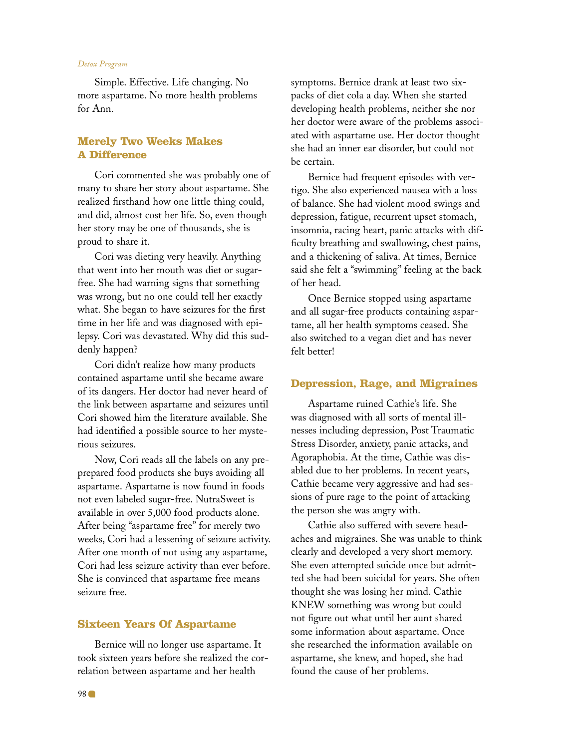Simple. Effective. Life changing. No more aspartame. No more health problems for Ann.

## **Merely Two Weeks Makes A Difference**

Cori commented she was probably one of many to share her story about aspartame. She realized firsthand how one little thing could, and did, almost cost her life. So, even though her story may be one of thousands, she is proud to share it.

Cori was dieting very heavily. Anything that went into her mouth was diet or sugarfree. She had warning signs that something was wrong, but no one could tell her exactly what. She began to have seizures for the first time in her life and was diagnosed with epilepsy. Cori was devastated. Why did this suddenly happen?

Cori didn't realize how many products contained aspartame until she became aware of its dangers. Her doctor had never heard of the link between aspartame and seizures until Cori showed him the literature available. She had identified a possible source to her mysterious seizures.

Now, Cori reads all the labels on any preprepared food products she buys avoiding all aspartame. Aspartame is now found in foods not even labeled sugar-free. NutraSweet is available in over 5,000 food products alone. After being "aspartame free" for merely two weeks, Cori had a lessening of seizure activity. After one month of not using any aspartame, Cori had less seizure activity than ever before. She is convinced that aspartame free means seizure free.

## **Sixteen Years Of Aspartame**

Bernice will no longer use aspartame. It took sixteen years before she realized the correlation between aspartame and her health

symptoms. Bernice drank at least two sixpacks of diet cola a day. When she started developing health problems, neither she nor her doctor were aware of the problems associated with aspartame use. Her doctor thought she had an inner ear disorder, but could not be certain.

Bernice had frequent episodes with vertigo. She also experienced nausea with a loss of balance. She had violent mood swings and depression, fatigue, recurrent upset stomach, insomnia, racing heart, panic attacks with difficulty breathing and swallowing, chest pains, and a thickening of saliva. At times, Bernice said she felt a "swimming" feeling at the back of her head.

Once Bernice stopped using aspartame and all sugar-free products containing aspartame, all her health symptoms ceased. She also switched to a vegan diet and has never felt better!

## **Depression, Rage, and Migraines**

Aspartame ruined Cathie's life. She was diagnosed with all sorts of mental illnesses including depression, Post Traumatic Stress Disorder, anxiety, panic attacks, and Agoraphobia. At the time, Cathie was disabled due to her problems. In recent years, Cathie became very aggressive and had sessions of pure rage to the point of attacking the person she was angry with.

Cathie also suffered with severe headaches and migraines. She was unable to think clearly and developed a very short memory. She even attempted suicide once but admitted she had been suicidal for years. She often thought she was losing her mind. Cathie KNEW something was wrong but could not figure out what until her aunt shared some information about aspartame. Once she researched the information available on aspartame, she knew, and hoped, she had found the cause of her problems.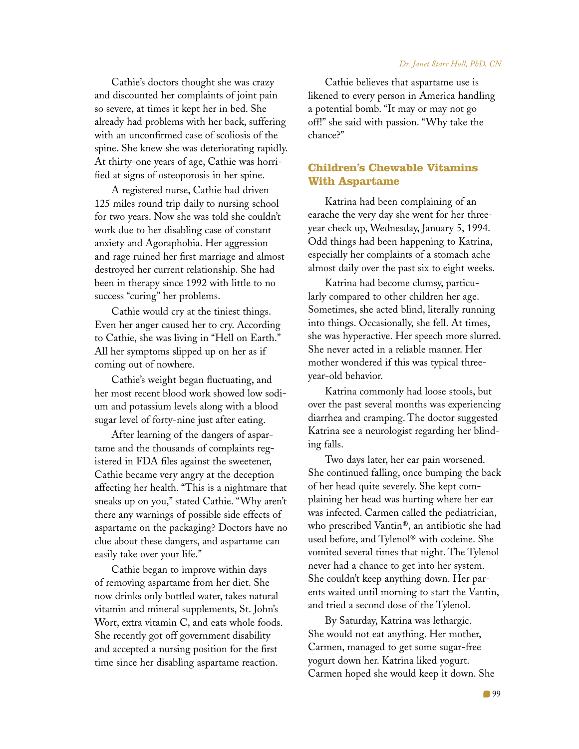#### *Dr. Janet Starr Hull, PhD, CN*

Cathie's doctors thought she was crazy and discounted her complaints of joint pain so severe, at times it kept her in bed. She already had problems with her back, suffering with an unconfirmed case of scoliosis of the spine. She knew she was deteriorating rapidly. At thirty-one years of age, Cathie was horrified at signs of osteoporosis in her spine.

A registered nurse, Cathie had driven 125 miles round trip daily to nursing school for two years. Now she was told she couldn't work due to her disabling case of constant anxiety and Agoraphobia. Her aggression and rage ruined her first marriage and almost destroyed her current relationship. She had been in therapy since 1992 with little to no success "curing" her problems.

Cathie would cry at the tiniest things. Even her anger caused her to cry. According to Cathie, she was living in "Hell on Earth." All her symptoms slipped up on her as if coming out of nowhere.

Cathie's weight began fluctuating, and her most recent blood work showed low sodium and potassium levels along with a blood sugar level of forty-nine just after eating.

After learning of the dangers of aspartame and the thousands of complaints registered in FDA files against the sweetener, Cathie became very angry at the deception affecting her health. "This is a nightmare that sneaks up on you," stated Cathie. "Why aren't there any warnings of possible side effects of aspartame on the packaging? Doctors have no clue about these dangers, and aspartame can easily take over your life."

Cathie began to improve within days of removing aspartame from her diet. She now drinks only bottled water, takes natural vitamin and mineral supplements, St. John's Wort, extra vitamin C, and eats whole foods. She recently got off government disability and accepted a nursing position for the first time since her disabling aspartame reaction.

Cathie believes that aspartame use is likened to every person in America handling a potential bomb. "It may or may not go off!" she said with passion. "Why take the chance?"

## **Children's Chewable Vitamins With Aspartame**

Katrina had been complaining of an earache the very day she went for her threeyear check up, Wednesday, January 5, 1994. Odd things had been happening to Katrina, especially her complaints of a stomach ache almost daily over the past six to eight weeks.

Katrina had become clumsy, particularly compared to other children her age. Sometimes, she acted blind, literally running into things. Occasionally, she fell. At times, she was hyperactive. Her speech more slurred. She never acted in a reliable manner. Her mother wondered if this was typical threeyear-old behavior.

Katrina commonly had loose stools, but over the past several months was experiencing diarrhea and cramping. The doctor suggested Katrina see a neurologist regarding her blinding falls.

Two days later, her ear pain worsened. She continued falling, once bumping the back of her head quite severely. She kept complaining her head was hurting where her ear was infected. Carmen called the pediatrician, who prescribed Vantin®, an antibiotic she had used before, and Tylenol® with codeine. She vomited several times that night. The Tylenol never had a chance to get into her system. She couldn't keep anything down. Her parents waited until morning to start the Vantin, and tried a second dose of the Tylenol.

By Saturday, Katrina was lethargic. She would not eat anything. Her mother, Carmen, managed to get some sugar-free yogurt down her. Katrina liked yogurt. Carmen hoped she would keep it down. She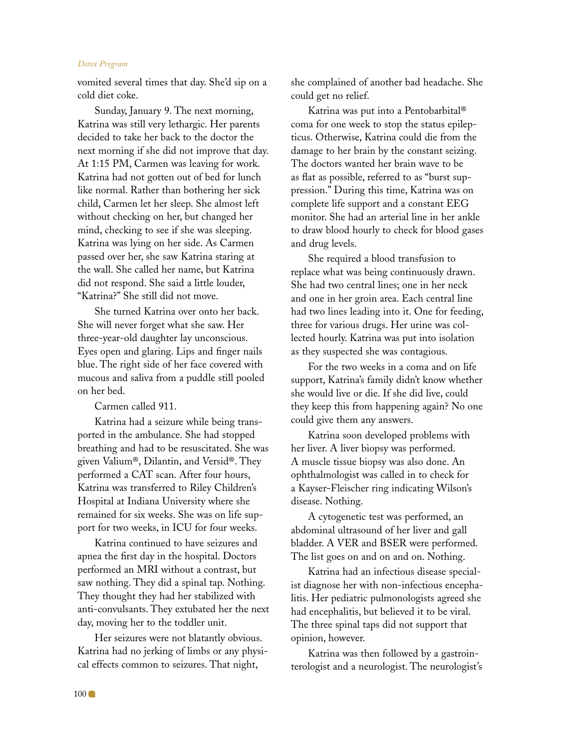vomited several times that day. She'd sip on a cold diet coke.

Sunday, January 9. The next morning, Katrina was still very lethargic. Her parents decided to take her back to the doctor the next morning if she did not improve that day. At 1:15 PM, Carmen was leaving for work. Katrina had not gotten out of bed for lunch like normal. Rather than bothering her sick child, Carmen let her sleep. She almost left without checking on her, but changed her mind, checking to see if she was sleeping. Katrina was lying on her side. As Carmen passed over her, she saw Katrina staring at the wall. She called her name, but Katrina did not respond. She said a little louder, "Katrina?" She still did not move.

She turned Katrina over onto her back. She will never forget what she saw. Her three-year-old daughter lay unconscious. Eyes open and glaring. Lips and finger nails blue. The right side of her face covered with mucous and saliva from a puddle still pooled on her bed.

Carmen called 911.

Katrina had a seizure while being transported in the ambulance. She had stopped breathing and had to be resuscitated. She was given Valium®, Dilantin, and Versid®. They performed a CAT scan. After four hours, Katrina was transferred to Riley Children's Hospital at Indiana University where she remained for six weeks. She was on life support for two weeks, in ICU for four weeks.

Katrina continued to have seizures and apnea the first day in the hospital. Doctors performed an MRI without a contrast, but saw nothing. They did a spinal tap. Nothing. They thought they had her stabilized with anti-convulsants. They extubated her the next day, moving her to the toddler unit.

Her seizures were not blatantly obvious. Katrina had no jerking of limbs or any physical effects common to seizures. That night,

she complained of another bad headache. She could get no relief.

Katrina was put into a Pentobarbital® coma for one week to stop the status epilepticus. Otherwise, Katrina could die from the damage to her brain by the constant seizing. The doctors wanted her brain wave to be as flat as possible, referred to as "burst suppression." During this time, Katrina was on complete life support and a constant EEG monitor. She had an arterial line in her ankle to draw blood hourly to check for blood gases and drug levels.

She required a blood transfusion to replace what was being continuously drawn. She had two central lines; one in her neck and one in her groin area. Each central line had two lines leading into it. One for feeding, three for various drugs. Her urine was collected hourly. Katrina was put into isolation as they suspected she was contagious.

For the two weeks in a coma and on life support, Katrina's family didn't know whether she would live or die. If she did live, could they keep this from happening again? No one could give them any answers.

Katrina soon developed problems with her liver. A liver biopsy was performed. A muscle tissue biopsy was also done. An ophthalmologist was called in to check for a Kayser-Fleischer ring indicating Wilson's disease. Nothing.

A cytogenetic test was performed, an abdominal ultrasound of her liver and gall bladder. A VER and BSER were performed. The list goes on and on and on. Nothing.

Katrina had an infectious disease specialist diagnose her with non-infectious encephalitis. Her pediatric pulmonologists agreed she had encephalitis, but believed it to be viral. The three spinal taps did not support that opinion, however.

Katrina was then followed by a gastrointerologist and a neurologist. The neurologist's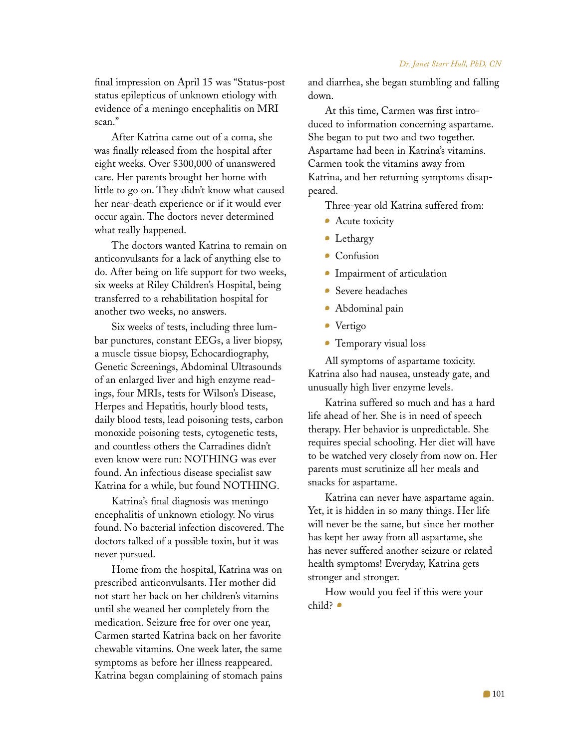final impression on April 15 was "Status-post status epilepticus of unknown etiology with evidence of a meningo encephalitis on MRI scan."

After Katrina came out of a coma, she was finally released from the hospital after eight weeks. Over \$300,000 of unanswered care. Her parents brought her home with little to go on. They didn't know what caused her near-death experience or if it would ever occur again. The doctors never determined what really happened.

The doctors wanted Katrina to remain on anticonvulsants for a lack of anything else to do. After being on life support for two weeks, six weeks at Riley Children's Hospital, being transferred to a rehabilitation hospital for another two weeks, no answers.

Six weeks of tests, including three lumbar punctures, constant EEGs, a liver biopsy, a muscle tissue biopsy, Echocardiography, Genetic Screenings, Abdominal Ultrasounds of an enlarged liver and high enzyme readings, four MRIs, tests for Wilson's Disease, Herpes and Hepatitis, hourly blood tests, daily blood tests, lead poisoning tests, carbon monoxide poisoning tests, cytogenetic tests, and countless others the Carradines didn't even know were run: NOTHING was ever found. An infectious disease specialist saw Katrina for a while, but found NOTHING.

Katrina's final diagnosis was meningo encephalitis of unknown etiology. No virus found. No bacterial infection discovered. The doctors talked of a possible toxin, but it was never pursued.

Home from the hospital, Katrina was on prescribed anticonvulsants. Her mother did not start her back on her children's vitamins until she weaned her completely from the medication. Seizure free for over one year, Carmen started Katrina back on her favorite chewable vitamins. One week later, the same symptoms as before her illness reappeared. Katrina began complaining of stomach pains and diarrhea, she began stumbling and falling down.

At this time, Carmen was first introduced to information concerning aspartame. She began to put two and two together. Aspartame had been in Katrina's vitamins. Carmen took the vitamins away from Katrina, and her returning symptoms disappeared.

Three-year old Katrina suffered from:

- Acute toxicity
- Lethargy
- Confusion
- Impairment of articulation
- Severe headaches
- Abdominal pain
- Vertigo
- Temporary visual loss

All symptoms of aspartame toxicity. Katrina also had nausea, unsteady gate, and unusually high liver enzyme levels.

Katrina suffered so much and has a hard life ahead of her. She is in need of speech therapy. Her behavior is unpredictable. She requires special schooling. Her diet will have to be watched very closely from now on. Her parents must scrutinize all her meals and snacks for aspartame.

Katrina can never have aspartame again. Yet, it is hidden in so many things. Her life will never be the same, but since her mother has kept her away from all aspartame, she has never suffered another seizure or related health symptoms! Everyday, Katrina gets stronger and stronger.

How would you feel if this were your child? ●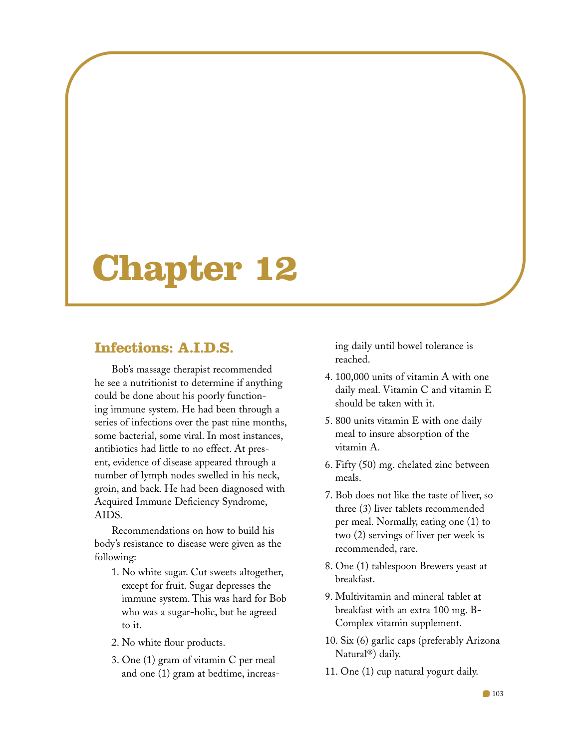# **Chapter 12**

## **Infections: A.I.D.S.**

Bob's massage therapist recommended he see a nutritionist to determine if anything could be done about his poorly functioning immune system. He had been through a series of infections over the past nine months, some bacterial, some viral. In most instances, antibiotics had little to no effect. At present, evidence of disease appeared through a number of lymph nodes swelled in his neck, groin, and back. He had been diagnosed with Acquired Immune Deficiency Syndrome, AIDS.

Recommendations on how to build his body's resistance to disease were given as the following:

- 1. No white sugar. Cut sweets altogether, except for fruit. Sugar depresses the immune system. This was hard for Bob who was a sugar-holic, but he agreed to it.
- 2. No white flour products.
- 3. One (1) gram of vitamin C per meal and one (1) gram at bedtime, increas-

 ing daily until bowel tolerance is reached.

- 4. 100,000 units of vitamin A with one daily meal. Vitamin C and vitamin E should be taken with it.
- 5. 800 units vitamin E with one daily meal to insure absorption of the vitamin A.
- 6. Fifty (50) mg. chelated zinc between meals.
- 7. Bob does not like the taste of liver, so three (3) liver tablets recommended per meal. Normally, eating one (1) to two (2) servings of liver per week is recommended, rare.
- 8. One (1) tablespoon Brewers yeast at breakfast.
- 9. Multivitamin and mineral tablet at breakfast with an extra 100 mg. B- Complex vitamin supplement.
- 10. Six (6) garlic caps (preferably Arizona Natural®) daily.
- 11. One (1) cup natural yogurt daily.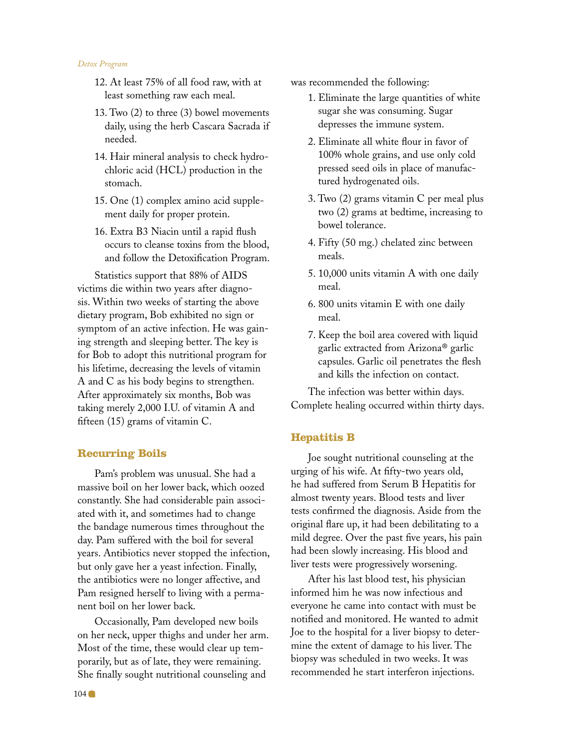- 12. At least 75% of all food raw, with at least something raw each meal.
- 13. Two (2) to three (3) bowel movements daily, using the herb Cascara Sacrada if needed.
- 14. Hair mineral analysis to check hydro chloric acid (HCL) production in the stomach.
- 15. One (1) complex amino acid supple ment daily for proper protein.
- 16. Extra B3 Niacin until a rapid flush occurs to cleanse toxins from the blood, and follow the Detoxification Program.

Statistics support that 88% of AIDS victims die within two years after diagnosis. Within two weeks of starting the above dietary program, Bob exhibited no sign or symptom of an active infection. He was gaining strength and sleeping better. The key is for Bob to adopt this nutritional program for his lifetime, decreasing the levels of vitamin A and C as his body begins to strengthen. After approximately six months, Bob was taking merely 2,000 I.U. of vitamin A and fifteen (15) grams of vitamin C.

#### **Recurring Boils**

Pam's problem was unusual. She had a massive boil on her lower back, which oozed constantly. She had considerable pain associated with it, and sometimes had to change the bandage numerous times throughout the day. Pam suffered with the boil for several years. Antibiotics never stopped the infection, but only gave her a yeast infection. Finally, the antibiotics were no longer affective, and Pam resigned herself to living with a permanent boil on her lower back.

Occasionally, Pam developed new boils on her neck, upper thighs and under her arm. Most of the time, these would clear up temporarily, but as of late, they were remaining. She finally sought nutritional counseling and

was recommended the following:

- 1. Eliminate the large quantities of white sugar she was consuming. Sugar depresses the immune system.
- 2. Eliminate all white flour in favor of 100% whole grains, and use only cold pressed seed oils in place of manufac tured hydrogenated oils.
- 3. Two (2) grams vitamin C per meal plus two (2) grams at bedtime, increasing to bowel tolerance.
- 4. Fifty (50 mg.) chelated zinc between meals.
- 5. 10,000 units vitamin A with one daily meal.
- 6. 800 units vitamin E with one daily meal.
- 7. Keep the boil area covered with liquid garlic extracted from Arizona® garlic capsules. Garlic oil penetrates the flesh and kills the infection on contact.

The infection was better within days. Complete healing occurred within thirty days.

## **Hepatitis B**

Joe sought nutritional counseling at the urging of his wife. At fifty-two years old, he had suffered from Serum B Hepatitis for almost twenty years. Blood tests and liver tests confirmed the diagnosis. Aside from the original flare up, it had been debilitating to a mild degree. Over the past five years, his pain had been slowly increasing. His blood and liver tests were progressively worsening.

After his last blood test, his physician informed him he was now infectious and everyone he came into contact with must be notified and monitored. He wanted to admit Joe to the hospital for a liver biopsy to determine the extent of damage to his liver. The biopsy was scheduled in two weeks. It was recommended he start interferon injections.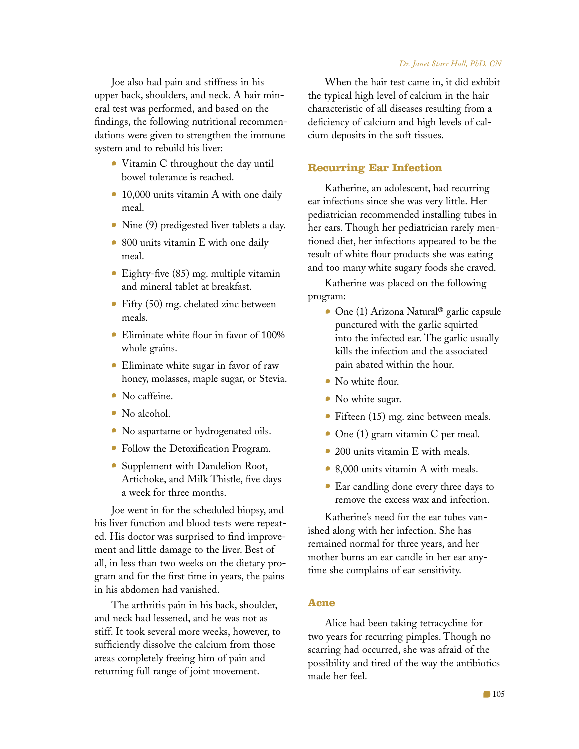#### *Dr. Janet Starr Hull, PhD, CN*

Joe also had pain and stiffness in his upper back, shoulders, and neck. A hair mineral test was performed, and based on the findings, the following nutritional recommendations were given to strengthen the immune system and to rebuild his liver:

- Vitamin C throughout the day until bowel tolerance is reached.
- 10,000 units vitamin A with one daily meal.
- Nine (9) predigested liver tablets a day.
- 800 units vitamin E with one daily meal.
- Eighty-five (85) mg. multiple vitamin and mineral tablet at breakfast.
- Fifty (50) mg. chelated zinc between meals.
- Eliminate white flour in favor of 100% whole grains.
- Eliminate white sugar in favor of raw honey, molasses, maple sugar, or Stevia.
- No caffeine.
- No alcohol.
- No aspartame or hydrogenated oils.
- Follow the Detoxification Program.
- Supplement with Dandelion Root, Artichoke, and Milk Thistle, five days a week for three months.

Joe went in for the scheduled biopsy, and his liver function and blood tests were repeated. His doctor was surprised to find improvement and little damage to the liver. Best of all, in less than two weeks on the dietary program and for the first time in years, the pains in his abdomen had vanished.

The arthritis pain in his back, shoulder, and neck had lessened, and he was not as stiff. It took several more weeks, however, to sufficiently dissolve the calcium from those areas completely freeing him of pain and returning full range of joint movement.

When the hair test came in, it did exhibit the typical high level of calcium in the hair characteristic of all diseases resulting from a deficiency of calcium and high levels of calcium deposits in the soft tissues.

## **Recurring Ear Infection**

Katherine, an adolescent, had recurring ear infections since she was very little. Her pediatrician recommended installing tubes in her ears. Though her pediatrician rarely mentioned diet, her infections appeared to be the result of white flour products she was eating and too many white sugary foods she craved.

Katherine was placed on the following program:

- One (1) Arizona Natural<sup>®</sup> garlic capsule punctured with the garlic squirted into the infected ear. The garlic usually kills the infection and the associated pain abated within the hour.
- No white flour.
- No white sugar.
- **Fifteen (15) mg. zinc between meals.**
- One (1) gram vitamin C per meal.
- 200 units vitamin E with meals.
- 8,000 units vitamin A with meals.
- Ear candling done every three days to remove the excess wax and infection.

Katherine's need for the ear tubes vanished along with her infection. She has remained normal for three years, and her mother burns an ear candle in her ear anytime she complains of ear sensitivity.

## **Acne**

Alice had been taking tetracycline for two years for recurring pimples. Though no scarring had occurred, she was afraid of the possibility and tired of the way the antibiotics made her feel.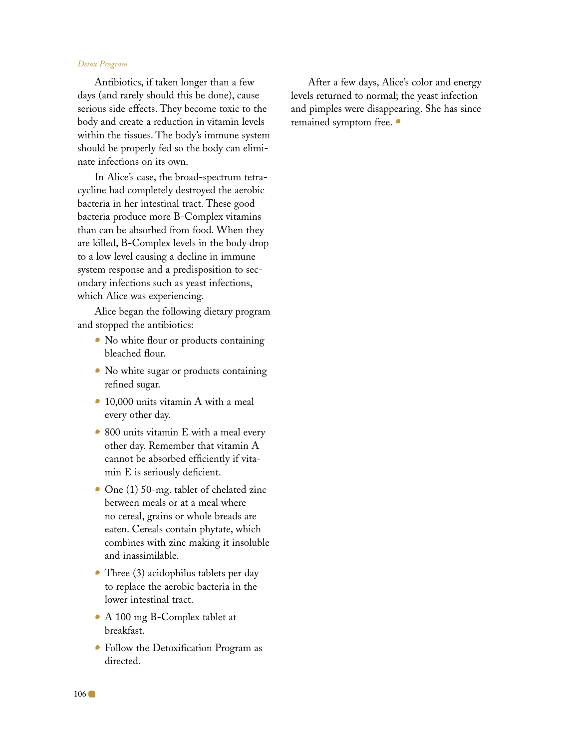Antibiotics, if taken longer than a few days (and rarely should this be done), cause serious side effects. They become toxic to the body and create a reduction in vitamin levels within the tissues. The body's immune system should be properly fed so the body can eliminate infections on its own.

In Alice's case, the broad-spectrum tetracycline had completely destroyed the aerobic bacteria in her intestinal tract. These good bacteria produce more B-Complex vitamins than can be absorbed from food. When they are killed, B-Complex levels in the body drop to a low level causing a decline in immune system response and a predisposition to secondary infections such as yeast infections, which Alice was experiencing.

Alice began the following dietary program and stopped the antibiotics:

- No white flour or products containing bleached flour.
- No white sugar or products containing refined sugar.
- 10,000 units vitamin A with a meal every other day.
- 800 units vitamin E with a meal every other day. Remember that vitamin A cannot be absorbed efficiently if vita min E is seriously deficient.
- One (1) 50-mg. tablet of chelated zinc between meals or at a meal where no cereal, grains or whole breads are eaten. Cereals contain phytate, which combines with zinc making it insoluble and inassimilable.
- Three (3) acidophilus tablets per day to replace the aerobic bacteria in the lower intestinal tract.
- A 100 mg B-Complex tablet at breakfast.
- Follow the Detoxification Program as directed.

After a few days, Alice's color and energy levels returned to normal; the yeast infection and pimples were disappearing. She has since remained symptom free.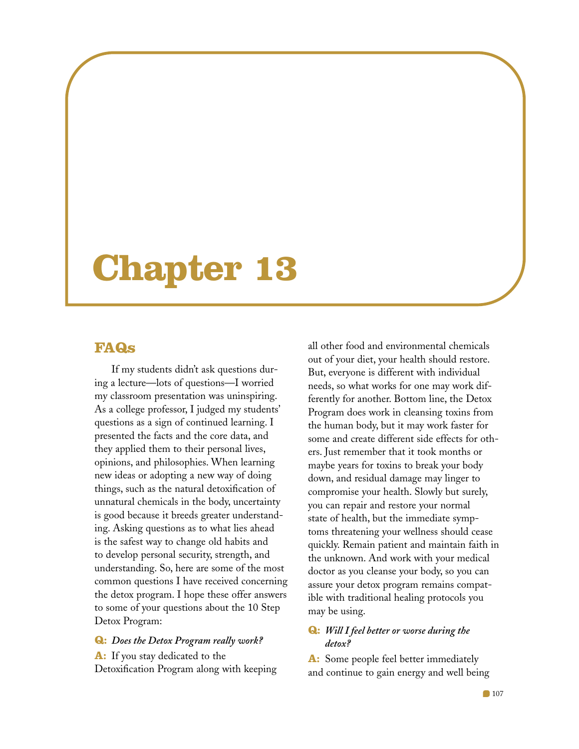# **Chapter 13**

## **FAQs**

If my students didn't ask questions during a lecture—lots of questions—I worried my classroom presentation was uninspiring. As a college professor, I judged my students' questions as a sign of continued learning. I presented the facts and the core data, and they applied them to their personal lives, opinions, and philosophies. When learning new ideas or adopting a new way of doing things, such as the natural detoxification of unnatural chemicals in the body, uncertainty is good because it breeds greater understanding. Asking questions as to what lies ahead is the safest way to change old habits and to develop personal security, strength, and understanding. So, here are some of the most common questions I have received concerning the detox program. I hope these offer answers to some of your questions about the 10 Step Detox Program:

## **Q:** *Does the Detox Program really work?*

**A:** If you stay dedicated to the Detoxification Program along with keeping all other food and environmental chemicals out of your diet, your health should restore. But, everyone is different with individual needs, so what works for one may work differently for another. Bottom line, the Detox Program does work in cleansing toxins from the human body, but it may work faster for some and create different side effects for others. Just remember that it took months or maybe years for toxins to break your body down, and residual damage may linger to compromise your health. Slowly but surely, you can repair and restore your normal state of health, but the immediate symptoms threatening your wellness should cease quickly. Remain patient and maintain faith in the unknown. And work with your medical doctor as you cleanse your body, so you can assure your detox program remains compatible with traditional healing protocols you may be using.

## **Q:** *Will I feel better or worse during the detox?*

**A:** Some people feel better immediately and continue to gain energy and well being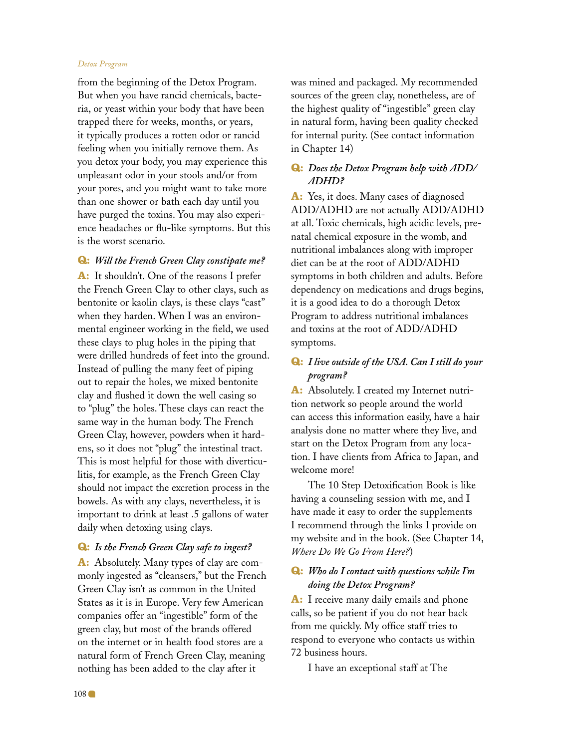from the beginning of the Detox Program. But when you have rancid chemicals, bacteria, or yeast within your body that have been trapped there for weeks, months, or years, it typically produces a rotten odor or rancid feeling when you initially remove them. As you detox your body, you may experience this unpleasant odor in your stools and/or from your pores, and you might want to take more than one shower or bath each day until you have purged the toxins. You may also experience headaches or flu-like symptoms. But this is the worst scenario.

**Q:** *Will the French Green Clay constipate me?*

**A:** It shouldn't. One of the reasons I prefer the French Green Clay to other clays, such as bentonite or kaolin clays, is these clays "cast" when they harden. When I was an environmental engineer working in the field, we used these clays to plug holes in the piping that were drilled hundreds of feet into the ground. Instead of pulling the many feet of piping out to repair the holes, we mixed bentonite clay and flushed it down the well casing so to "plug" the holes. These clays can react the same way in the human body. The French Green Clay, however, powders when it hardens, so it does not "plug" the intestinal tract. This is most helpful for those with diverticulitis, for example, as the French Green Clay should not impact the excretion process in the bowels. As with any clays, nevertheless, it is important to drink at least .5 gallons of water daily when detoxing using clays.

## **Q:** *Is the French Green Clay safe to ingest?*

**A:** Absolutely. Many types of clay are commonly ingested as "cleansers," but the French Green Clay isn't as common in the United States as it is in Europe. Very few American companies offer an "ingestible" form of the green clay, but most of the brands offered on the internet or in health food stores are a natural form of French Green Clay, meaning nothing has been added to the clay after it

was mined and packaged. My recommended sources of the green clay, nonetheless, are of the highest quality of "ingestible" green clay in natural form, having been quality checked for internal purity. (See contact information in Chapter 14)

## **Q:** *Does the Detox Program help with ADD/ ADHD?*

A: Yes, it does. Many cases of diagnosed ADD/ADHD are not actually ADD/ADHD at all. Toxic chemicals, high acidic levels, prenatal chemical exposure in the womb, and nutritional imbalances along with improper diet can be at the root of ADD/ADHD symptoms in both children and adults. Before dependency on medications and drugs begins, it is a good idea to do a thorough Detox Program to address nutritional imbalances and toxins at the root of ADD/ADHD symptoms.

## **Q:** *I live outside of the USA. Can I still do your program?*

**A:** Absolutely. I created my Internet nutrition network so people around the world can access this information easily, have a hair analysis done no matter where they live, and start on the Detox Program from any location. I have clients from Africa to Japan, and welcome more!

The 10 Step Detoxification Book is like having a counseling session with me, and I have made it easy to order the supplements I recommend through the links I provide on my website and in the book. (See Chapter 14, *Where Do We Go From Here?*)

## **Q:** *Who do I contact with questions while I'm doing the Detox Program?*

A: I receive many daily emails and phone calls, so be patient if you do not hear back from me quickly. My office staff tries to respond to everyone who contacts us within 72 business hours.

I have an exceptional staff at The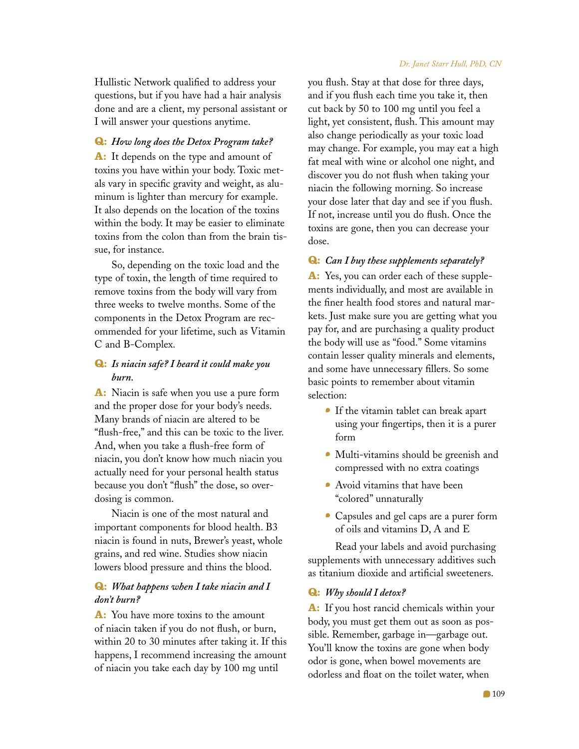Hullistic Network qualified to address your questions, but if you have had a hair analysis done and are a client, my personal assistant or I will answer your questions anytime.

## **Q:** *How long does the Detox Program take?*

**A:** It depends on the type and amount of toxins you have within your body. Toxic metals vary in specific gravity and weight, as aluminum is lighter than mercury for example. It also depends on the location of the toxins within the body. It may be easier to eliminate toxins from the colon than from the brain tissue, for instance.

So, depending on the toxic load and the type of toxin, the length of time required to remove toxins from the body will vary from three weeks to twelve months. Some of the components in the Detox Program are recommended for your lifetime, such as Vitamin C and B-Complex.

## **Q:** *Is niacin safe? I heard it could make you burn.*

**A:** Niacin is safe when you use a pure form and the proper dose for your body's needs. Many brands of niacin are altered to be "flush-free," and this can be toxic to the liver. And, when you take a flush-free form of niacin, you don't know how much niacin you actually need for your personal health status because you don't "flush" the dose, so overdosing is common.

Niacin is one of the most natural and important components for blood health. B3 niacin is found in nuts, Brewer's yeast, whole grains, and red wine. Studies show niacin lowers blood pressure and thins the blood.

## **Q:** *What happens when I take niacin and I don't burn?*

**A:** You have more toxins to the amount of niacin taken if you do not flush, or burn, within 20 to 30 minutes after taking it. If this happens, I recommend increasing the amount of niacin you take each day by 100 mg until

## *Dr. Janet Starr Hull, PhD, CN*

you flush. Stay at that dose for three days, and if you flush each time you take it, then cut back by 50 to 100 mg until you feel a light, yet consistent, flush. This amount may also change periodically as your toxic load may change. For example, you may eat a high fat meal with wine or alcohol one night, and discover you do not flush when taking your niacin the following morning. So increase your dose later that day and see if you flush. If not, increase until you do flush. Once the toxins are gone, then you can decrease your dose.

## **Q:** *Can I buy these supplements separately?*

**A:** Yes, you can order each of these supplements individually, and most are available in the finer health food stores and natural markets. Just make sure you are getting what you pay for, and are purchasing a quality product the body will use as "food." Some vitamins contain lesser quality minerals and elements, and some have unnecessary fillers. So some basic points to remember about vitamin selection:

- If the vitamin tablet can break apart using your fingertips, then it is a purer form
- Multi-vitamins should be greenish and compressed with no extra coatings
- Avoid vitamins that have been "colored" unnaturally
- Capsules and gel caps are a purer form of oils and vitamins D, A and E

 Read your labels and avoid purchasing supplements with unnecessary additives such as titanium dioxide and artificial sweeteners.

## **Q:** *Why should I detox?*

**A:** If you host rancid chemicals within your body, you must get them out as soon as possible. Remember, garbage in—garbage out. You'll know the toxins are gone when body odor is gone, when bowel movements are odorless and float on the toilet water, when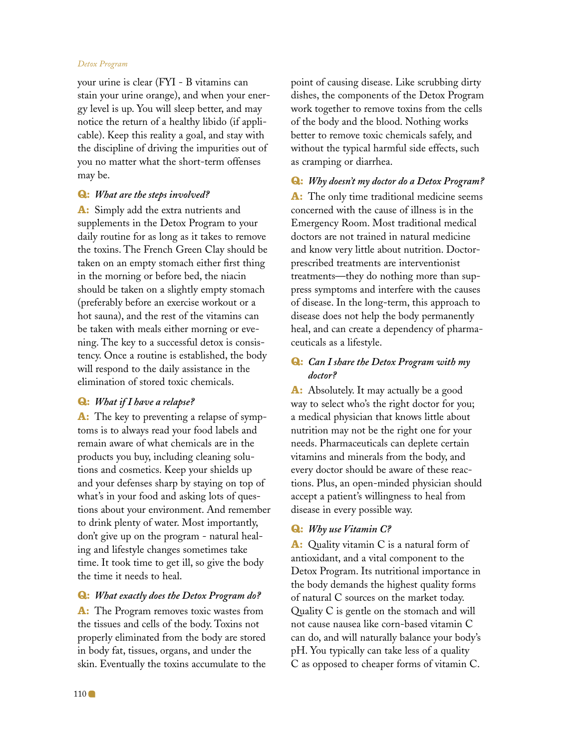your urine is clear (FYI - B vitamins can stain your urine orange), and when your energy level is up. You will sleep better, and may notice the return of a healthy libido (if applicable). Keep this reality a goal, and stay with the discipline of driving the impurities out of you no matter what the short-term offenses may be.

## **Q:** *What are the steps involved?*

**A:** Simply add the extra nutrients and supplements in the Detox Program to your daily routine for as long as it takes to remove the toxins. The French Green Clay should be taken on an empty stomach either first thing in the morning or before bed, the niacin should be taken on a slightly empty stomach (preferably before an exercise workout or a hot sauna), and the rest of the vitamins can be taken with meals either morning or evening. The key to a successful detox is consistency. Once a routine is established, the body will respond to the daily assistance in the elimination of stored toxic chemicals.

## **Q:** *What if I have a relapse?*

**A:** The key to preventing a relapse of symptoms is to always read your food labels and remain aware of what chemicals are in the products you buy, including cleaning solutions and cosmetics. Keep your shields up and your defenses sharp by staying on top of what's in your food and asking lots of questions about your environment. And remember to drink plenty of water. Most importantly, don't give up on the program - natural healing and lifestyle changes sometimes take time. It took time to get ill, so give the body the time it needs to heal.

## **Q:** *What exactly does the Detox Program do?*

**A:** The Program removes toxic wastes from the tissues and cells of the body. Toxins not properly eliminated from the body are stored in body fat, tissues, organs, and under the skin. Eventually the toxins accumulate to the point of causing disease. Like scrubbing dirty dishes, the components of the Detox Program work together to remove toxins from the cells of the body and the blood. Nothing works better to remove toxic chemicals safely, and without the typical harmful side effects, such as cramping or diarrhea.

## **Q:** *Why doesn't my doctor do a Detox Program?*

**A:** The only time traditional medicine seems concerned with the cause of illness is in the Emergency Room. Most traditional medical doctors are not trained in natural medicine and know very little about nutrition. Doctorprescribed treatments are interventionist treatments—they do nothing more than suppress symptoms and interfere with the causes of disease. In the long-term, this approach to disease does not help the body permanently heal, and can create a dependency of pharmaceuticals as a lifestyle.

## **Q:** *Can I share the Detox Program with my doctor?*

A: Absolutely. It may actually be a good way to select who's the right doctor for you; a medical physician that knows little about nutrition may not be the right one for your needs. Pharmaceuticals can deplete certain vitamins and minerals from the body, and every doctor should be aware of these reactions. Plus, an open-minded physician should accept a patient's willingness to heal from disease in every possible way.

## **Q:** *Why use Vitamin C?*

**A:** Quality vitamin C is a natural form of antioxidant, and a vital component to the Detox Program. Its nutritional importance in the body demands the highest quality forms of natural C sources on the market today. Quality C is gentle on the stomach and will not cause nausea like corn-based vitamin C can do, and will naturally balance your body's pH. You typically can take less of a quality C as opposed to cheaper forms of vitamin C.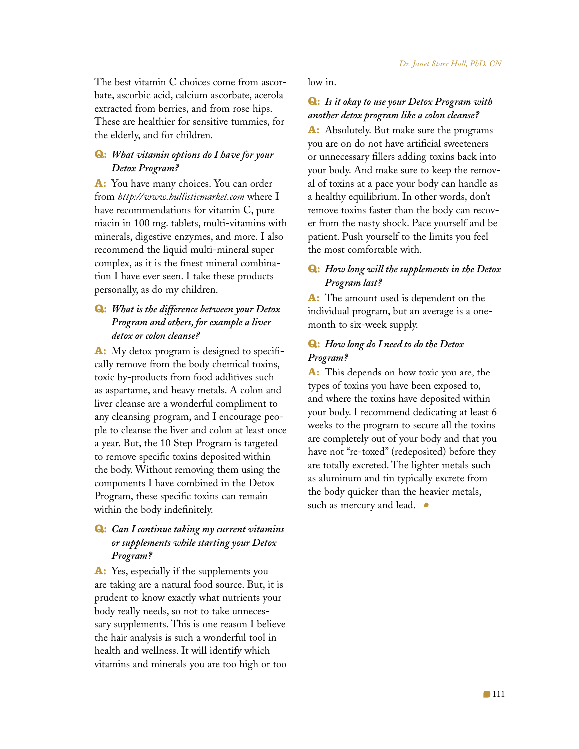The best vitamin C choices come from ascorbate, ascorbic acid, calcium ascorbate, acerola extracted from berries, and from rose hips. These are healthier for sensitive tummies, for the elderly, and for children.

## **Q:** *What vitamin options do I have for your Detox Program?*

**A:** You have many choices. You can order from *http://www.hullisticmarket.com* where I have recommendations for vitamin C, pure niacin in 100 mg. tablets, multi-vitamins with minerals, digestive enzymes, and more. I also recommend the liquid multi-mineral super complex, as it is the finest mineral combination I have ever seen. I take these products personally, as do my children.

## **Q:** *What is the difference between your Detox Program and others, for example a liver detox or colon cleanse?*

**A:** My detox program is designed to specifically remove from the body chemical toxins, toxic by-products from food additives such as aspartame, and heavy metals. A colon and liver cleanse are a wonderful compliment to any cleansing program, and I encourage people to cleanse the liver and colon at least once a year. But, the 10 Step Program is targeted to remove specific toxins deposited within the body. Without removing them using the components I have combined in the Detox Program, these specific toxins can remain within the body indefinitely.

## **Q:** *Can I continue taking my current vitamins or supplements while starting your Detox Program?*

A: Yes, especially if the supplements you are taking are a natural food source. But, it is prudent to know exactly what nutrients your body really needs, so not to take unnecessary supplements. This is one reason I believe the hair analysis is such a wonderful tool in health and wellness. It will identify which vitamins and minerals you are too high or too low in.

## **Q:** *Is it okay to use your Detox Program with another detox program like a colon cleanse?*

**A:** Absolutely. But make sure the programs you are on do not have artificial sweeteners or unnecessary fillers adding toxins back into your body. And make sure to keep the removal of toxins at a pace your body can handle as a healthy equilibrium. In other words, don't remove toxins faster than the body can recover from the nasty shock. Pace yourself and be patient. Push yourself to the limits you feel the most comfortable with.

## **Q:** *How long will the supplements in the Detox Program last?*

**A:** The amount used is dependent on the individual program, but an average is a onemonth to six-week supply.

## **Q:** *How long do I need to do the Detox Program?*

**A:** This depends on how toxic you are, the types of toxins you have been exposed to, and where the toxins have deposited within your body. I recommend dedicating at least 6 weeks to the program to secure all the toxins are completely out of your body and that you have not "re-toxed" (redeposited) before they are totally excreted. The lighter metals such as aluminum and tin typically excrete from the body quicker than the heavier metals, such as mercury and lead.  $\bullet$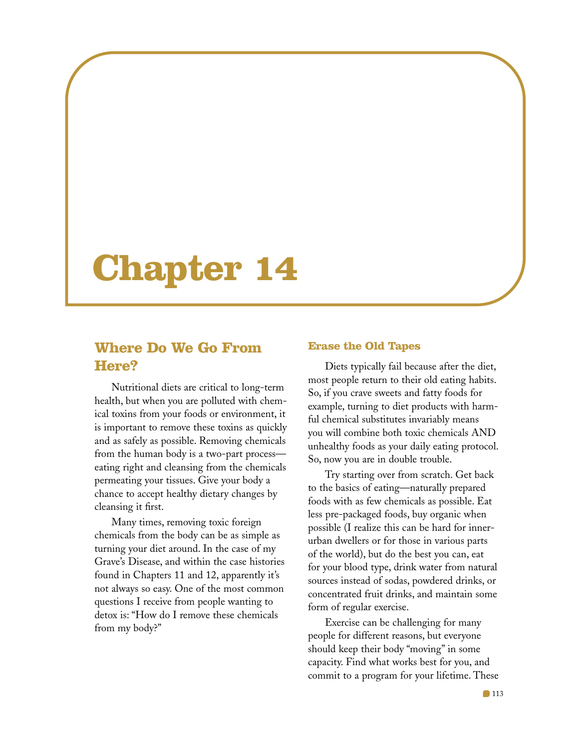# **Chapter 14**

# **Where Do We Go From Here?**

Nutritional diets are critical to long-term health, but when you are polluted with chemical toxins from your foods or environment, it is important to remove these toxins as quickly and as safely as possible. Removing chemicals from the human body is a two-part process eating right and cleansing from the chemicals permeating your tissues. Give your body a chance to accept healthy dietary changes by cleansing it first.

Many times, removing toxic foreign chemicals from the body can be as simple as turning your diet around. In the case of my Grave's Disease, and within the case histories found in Chapters 11 and 12, apparently it's not always so easy. One of the most common questions I receive from people wanting to detox is: "How do I remove these chemicals from my body?"

## **Erase the Old Tapes**

Diets typically fail because after the diet, most people return to their old eating habits. So, if you crave sweets and fatty foods for example, turning to diet products with harmful chemical substitutes invariably means you will combine both toxic chemicals AND unhealthy foods as your daily eating protocol. So, now you are in double trouble.

Try starting over from scratch. Get back to the basics of eating—naturally prepared foods with as few chemicals as possible. Eat less pre-packaged foods, buy organic when possible (I realize this can be hard for innerurban dwellers or for those in various parts of the world), but do the best you can, eat for your blood type, drink water from natural sources instead of sodas, powdered drinks, or concentrated fruit drinks, and maintain some form of regular exercise.

Exercise can be challenging for many people for different reasons, but everyone should keep their body "moving" in some capacity. Find what works best for you, and commit to a program for your lifetime. These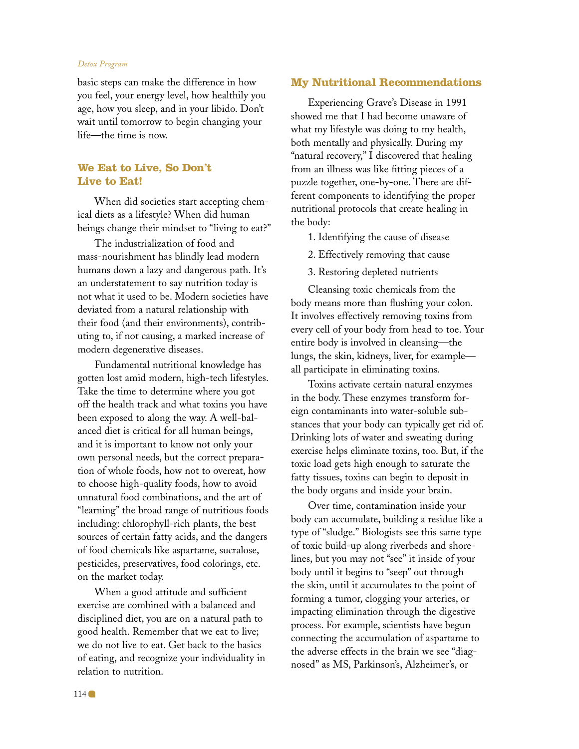#### *Detox Program*

basic steps can make the difference in how you feel, your energy level, how healthily you age, how you sleep, and in your libido. Don't wait until tomorrow to begin changing your life—the time is now.

## **We Eat to Live, So Don't Live to Eat!**

When did societies start accepting chemical diets as a lifestyle? When did human beings change their mindset to "living to eat?"

The industrialization of food and mass-nourishment has blindly lead modern humans down a lazy and dangerous path. It's an understatement to say nutrition today is not what it used to be. Modern societies have deviated from a natural relationship with their food (and their environments), contributing to, if not causing, a marked increase of modern degenerative diseases.

Fundamental nutritional knowledge has gotten lost amid modern, high-tech lifestyles. Take the time to determine where you got off the health track and what toxins you have been exposed to along the way. A well-balanced diet is critical for all human beings, and it is important to know not only your own personal needs, but the correct preparation of whole foods, how not to overeat, how to choose high-quality foods, how to avoid unnatural food combinations, and the art of "learning" the broad range of nutritious foods including: chlorophyll-rich plants, the best sources of certain fatty acids, and the dangers of food chemicals like aspartame, sucralose, pesticides, preservatives, food colorings, etc. on the market today.

When a good attitude and sufficient exercise are combined with a balanced and disciplined diet, you are on a natural path to good health. Remember that we eat to live; we do not live to eat. Get back to the basics of eating, and recognize your individuality in relation to nutrition.

### **My Nutritional Recommendations**

Experiencing Grave's Disease in 1991 showed me that I had become unaware of what my lifestyle was doing to my health, both mentally and physically. During my "natural recovery," I discovered that healing from an illness was like fitting pieces of a puzzle together, one-by-one. There are different components to identifying the proper nutritional protocols that create healing in the body:

1. Identifying the cause of disease

2. Effectively removing that cause

3. Restoring depleted nutrients

Cleansing toxic chemicals from the body means more than flushing your colon. It involves effectively removing toxins from every cell of your body from head to toe. Your entire body is involved in cleansing—the lungs, the skin, kidneys, liver, for example all participate in eliminating toxins.

Toxins activate certain natural enzymes in the body. These enzymes transform foreign contaminants into water-soluble substances that your body can typically get rid of. Drinking lots of water and sweating during exercise helps eliminate toxins, too. But, if the toxic load gets high enough to saturate the fatty tissues, toxins can begin to deposit in the body organs and inside your brain.

Over time, contamination inside your body can accumulate, building a residue like a type of "sludge." Biologists see this same type of toxic build-up along riverbeds and shorelines, but you may not "see" it inside of your body until it begins to "seep" out through the skin, until it accumulates to the point of forming a tumor, clogging your arteries, or impacting elimination through the digestive process. For example, scientists have begun connecting the accumulation of aspartame to the adverse effects in the brain we see "diagnosed" as MS, Parkinson's, Alzheimer's, or